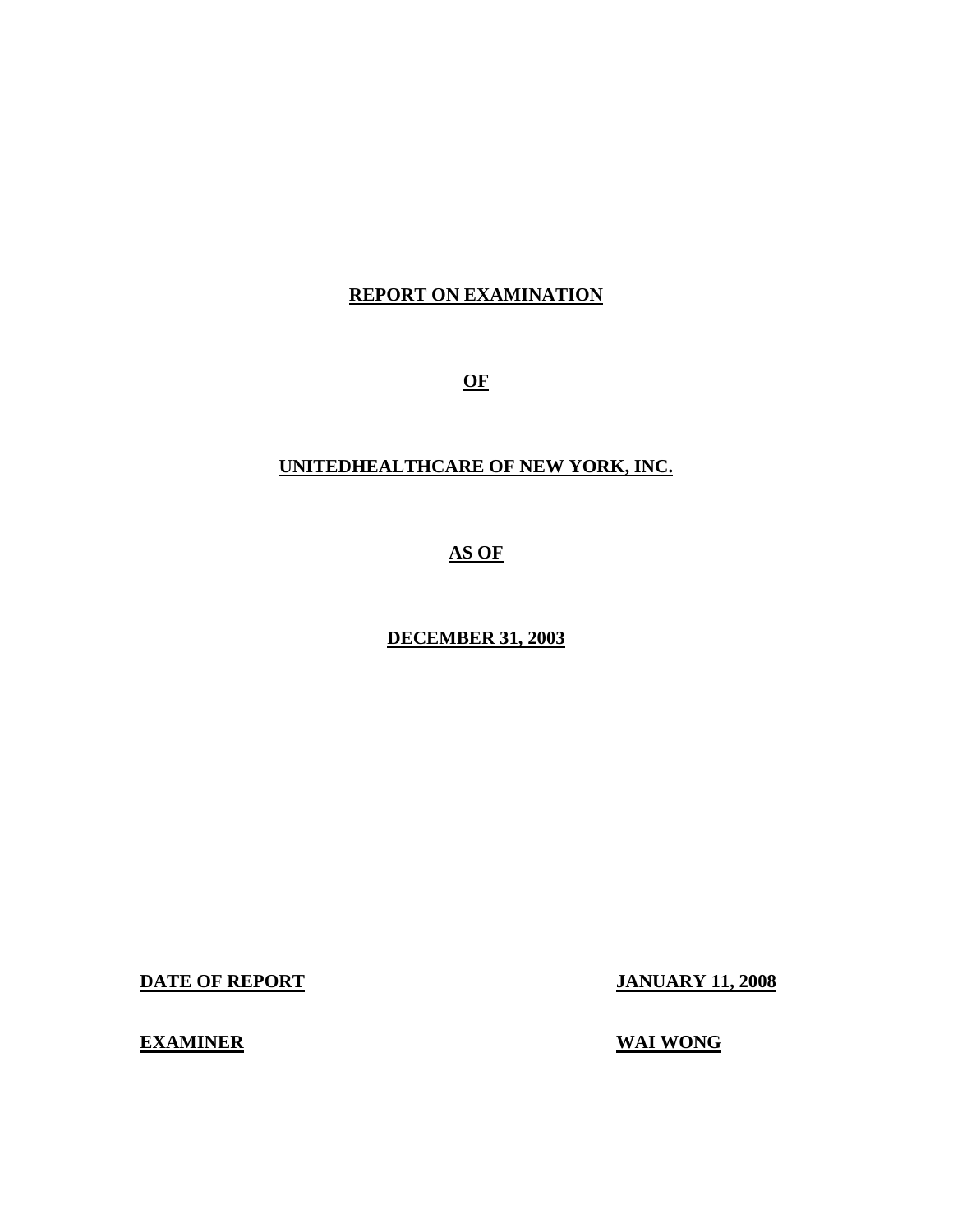## **REPORT ON EXAMINATION**

**OF** 

## **UNITEDHEALTHCARE OF NEW YORK, INC.**

## **AS OF**

## **DECEMBER 31, 2003**

**DATE OF REPORT JANUARY 11, 2008** 

## **EXAMINER** WAI WONG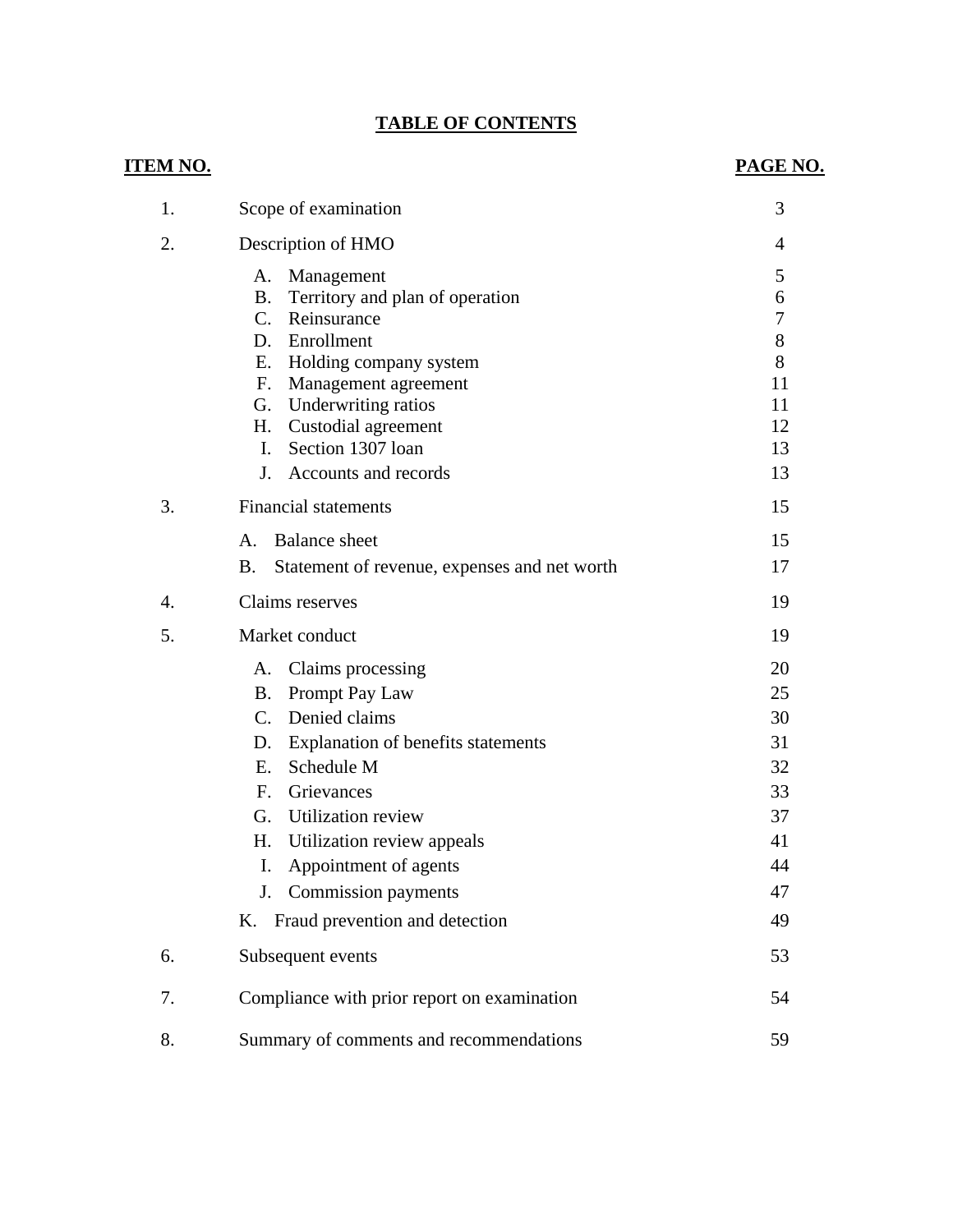## **TABLE OF CONTENTS**

| <u>ITEM NO.</u> |                                                                                                                                                                                                                                                                                                                                                 | PAGE NO.                                                       |
|-----------------|-------------------------------------------------------------------------------------------------------------------------------------------------------------------------------------------------------------------------------------------------------------------------------------------------------------------------------------------------|----------------------------------------------------------------|
| 1.              | Scope of examination                                                                                                                                                                                                                                                                                                                            | 3                                                              |
| 2.              | Description of HMO                                                                                                                                                                                                                                                                                                                              | 4                                                              |
|                 | Management<br>А.<br><b>B.</b><br>Territory and plan of operation<br>C.<br>Reinsurance<br>D. Enrollment<br>Holding company system<br>Е.<br>F. Management agreement<br>G. Underwriting ratios<br>Н.<br>Custodial agreement<br>Section 1307 loan<br>$\mathbf{I}$ .                                                                                 | 5<br>6<br>$\boldsymbol{7}$<br>8<br>8<br>11<br>11<br>12<br>13   |
|                 | J.<br>Accounts and records                                                                                                                                                                                                                                                                                                                      | 13                                                             |
| 3.              | <b>Financial statements</b>                                                                                                                                                                                                                                                                                                                     | 15                                                             |
|                 | <b>Balance</b> sheet<br>A.<br><b>B.</b><br>Statement of revenue, expenses and net worth                                                                                                                                                                                                                                                         | 15<br>17                                                       |
| 4.              | Claims reserves                                                                                                                                                                                                                                                                                                                                 | 19                                                             |
| 5.              | Market conduct                                                                                                                                                                                                                                                                                                                                  | 19                                                             |
|                 | Claims processing<br>А.<br><b>B.</b><br>Prompt Pay Law<br>Denied claims<br>$C_{\cdot}$<br>Explanation of benefits statements<br>D.<br>Schedule M<br>E.<br>Grievances<br>F.<br>Utilization review<br>G.<br>H. Utilization review appeals<br>Appointment of agents<br>I.<br><b>Commission</b> payments<br>J.<br>K. Fraud prevention and detection | 20<br>25<br>30<br>31<br>32<br>33<br>37<br>41<br>44<br>47<br>49 |
| 6.              | Subsequent events                                                                                                                                                                                                                                                                                                                               | 53                                                             |
| 7.              | Compliance with prior report on examination                                                                                                                                                                                                                                                                                                     | 54                                                             |
| 8.              | Summary of comments and recommendations                                                                                                                                                                                                                                                                                                         | 59                                                             |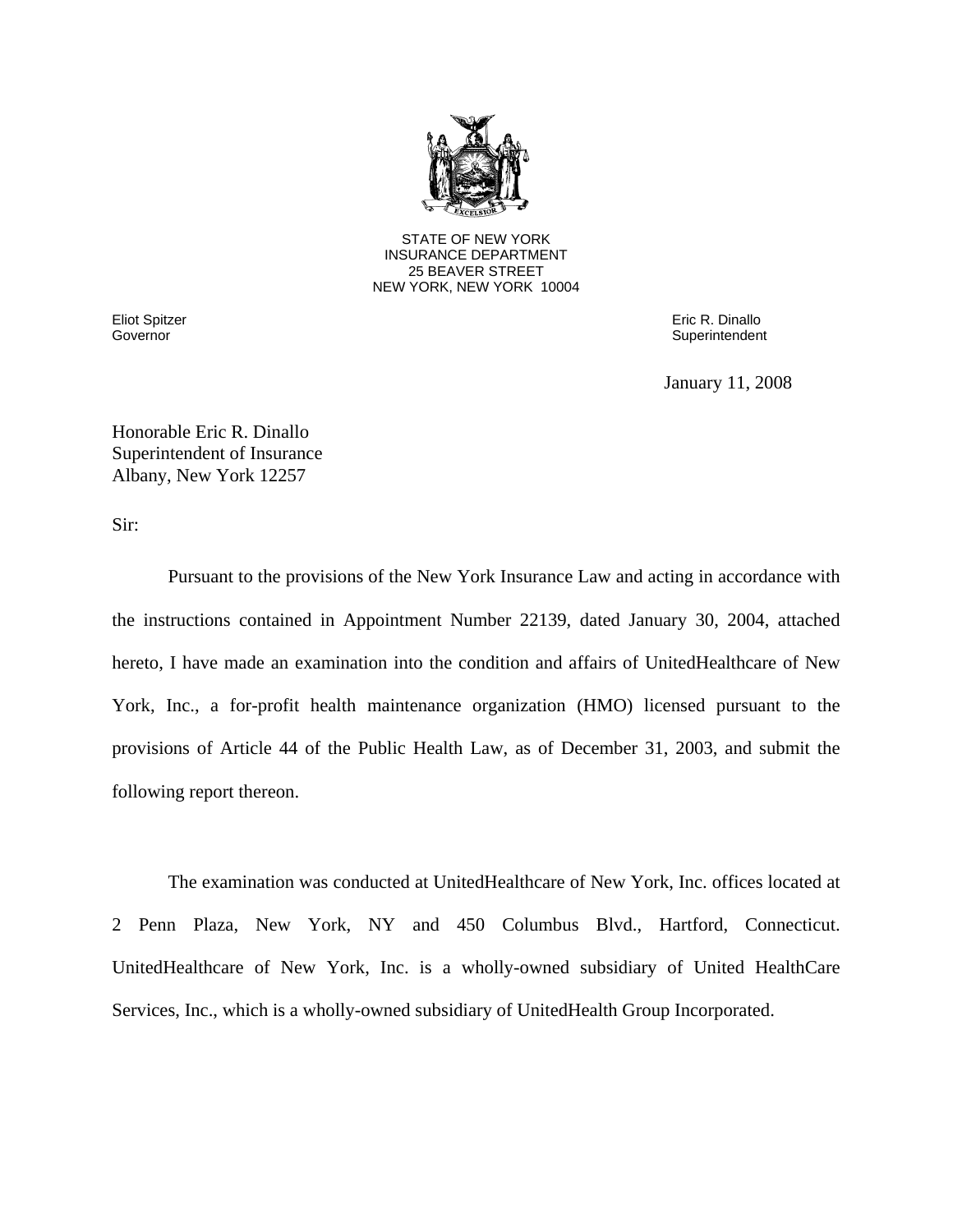

25 BEAVER STREET STATE OF NEW YORK INSURANCE DEPARTMENT NEW YORK, NEW YORK 10004

Governor

Eliot Spitzer Eric R. Dinallo Superintendent

January 11, 2008

Honorable Eric R. Dinallo Superintendent of Insurance Albany, New York 12257

Sir:

Pursuant to the provisions of the New York Insurance Law and acting in accordance with the instructions contained in Appointment Number 22139, dated January 30, 2004, attached hereto, I have made an examination into the condition and affairs of UnitedHealthcare of New York, Inc., a for-profit health maintenance organization (HMO) licensed pursuant to the provisions of Article 44 of the Public Health Law, as of December 31, 2003, and submit the following report thereon.

The examination was conducted at UnitedHealthcare of New York, Inc. offices located at 2 Penn Plaza, New York, NY and 450 Columbus Blvd., Hartford, Connecticut. UnitedHealthcare of New York, Inc. is a wholly-owned subsidiary of United HealthCare Services, Inc., which is a wholly-owned subsidiary of UnitedHealth Group Incorporated.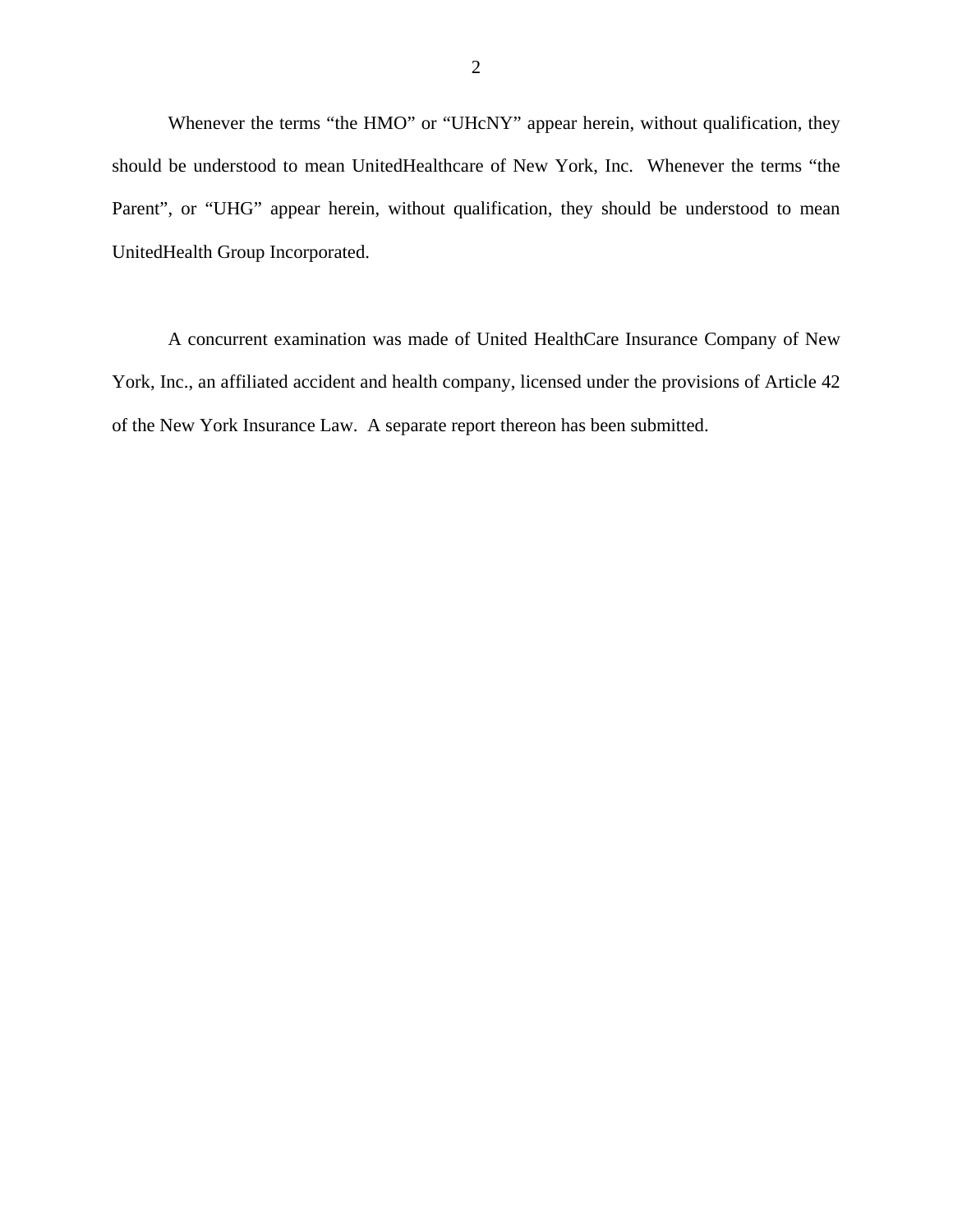Whenever the terms "the HMO" or "UHcNY" appear herein, without qualification, they should be understood to mean UnitedHealthcare of New York, Inc. Whenever the terms "the Parent", or "UHG" appear herein, without qualification, they should be understood to mean UnitedHealth Group Incorporated.

A concurrent examination was made of United HealthCare Insurance Company of New York, Inc., an affiliated accident and health company, licensed under the provisions of Article 42 of the New York Insurance Law. A separate report thereon has been submitted.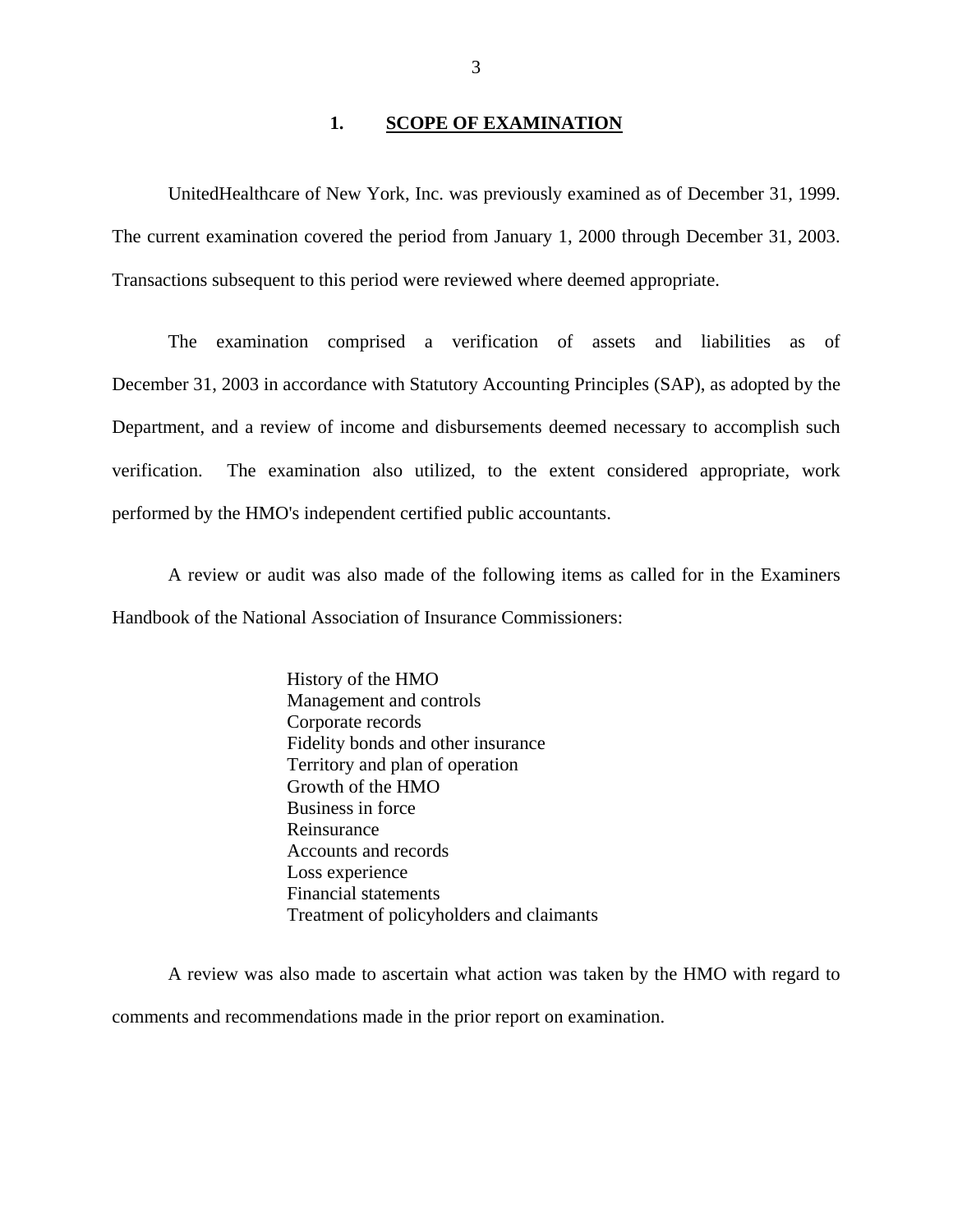### 1. **SCOPE OF EXAMINATION**

UnitedHealthcare of New York, Inc. was previously examined as of December 31, 1999. The current examination covered the period from January 1, 2000 through December 31, 2003. Transactions subsequent to this period were reviewed where deemed appropriate.

The examination comprised a verification of assets and liabilities as of December 31, 2003 in accordance with Statutory Accounting Principles (SAP), as adopted by the Department, and a review of income and disbursements deemed necessary to accomplish such verification. The examination also utilized, to the extent considered appropriate, work performed by the HMO's independent certified public accountants.

A review or audit was also made of the following items as called for in the Examiners Handbook of the National Association of Insurance Commissioners:

> History of the HMO Management and controls Corporate records Fidelity bonds and other insurance Territory and plan of operation Growth of the HMO Business in force Reinsurance Accounts and records Loss experience Financial statements Treatment of policyholders and claimants

A review was also made to ascertain what action was taken by the HMO with regard to comments and recommendations made in the prior report on examination.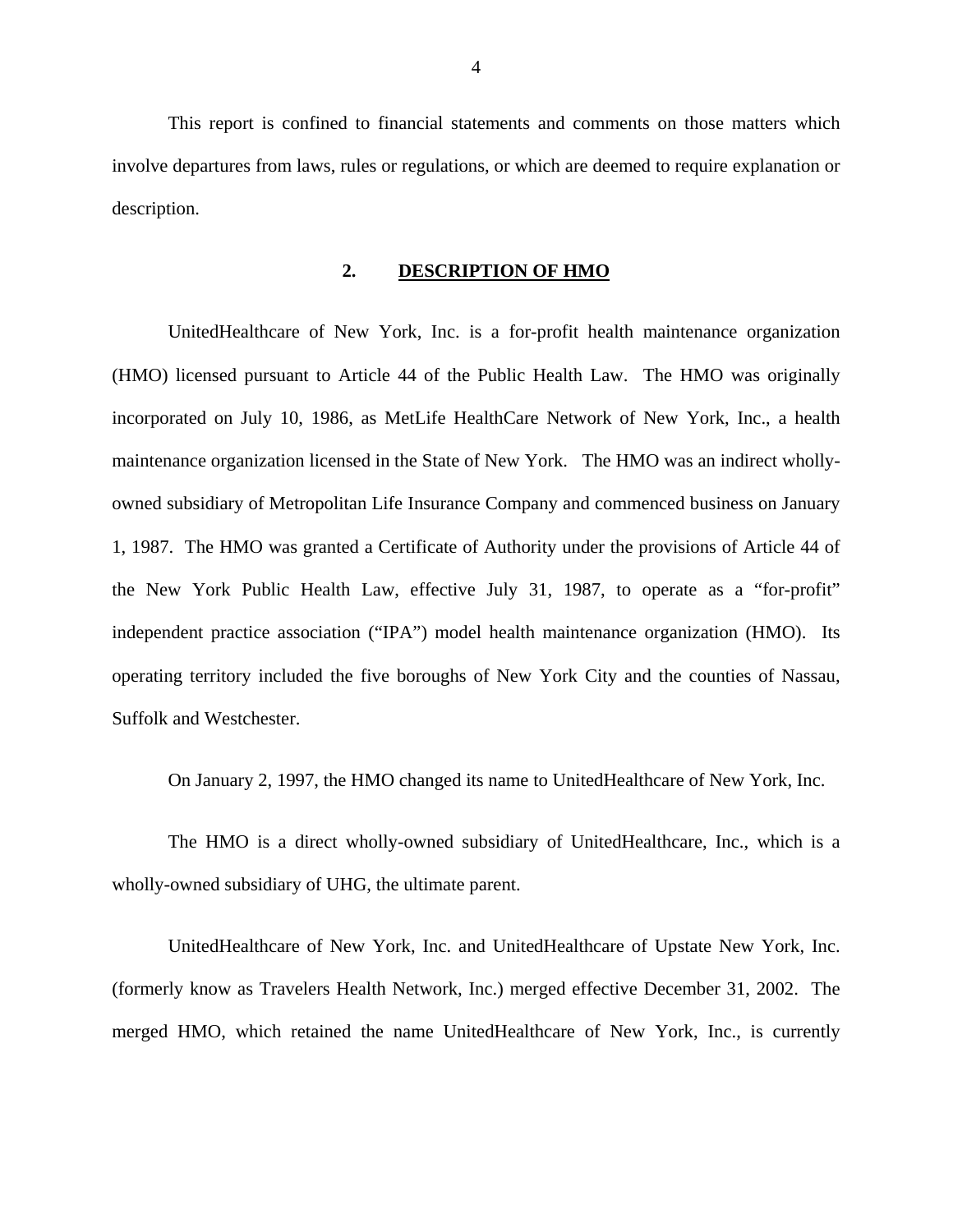This report is confined to financial statements and comments on those matters which involve departures from laws, rules or regulations, or which are deemed to require explanation or description.

### **2. DESCRIPTION OF HMO**

UnitedHealthcare of New York, Inc. is a for-profit health maintenance organization (HMO) licensed pursuant to Article 44 of the Public Health Law. The HMO was originally incorporated on July 10, 1986, as MetLife HealthCare Network of New York, Inc., a health maintenance organization licensed in the State of New York. The HMO was an indirect whollyowned subsidiary of Metropolitan Life Insurance Company and commenced business on January 1, 1987. The HMO was granted a Certificate of Authority under the provisions of Article 44 of the New York Public Health Law, effective July 31, 1987, to operate as a "for-profit" independent practice association ("IPA") model health maintenance organization (HMO). Its operating territory included the five boroughs of New York City and the counties of Nassau, Suffolk and Westchester.

On January 2, 1997, the HMO changed its name to UnitedHealthcare of New York, Inc.

The HMO is a direct wholly-owned subsidiary of UnitedHealthcare, Inc., which is a wholly-owned subsidiary of UHG, the ultimate parent.

UnitedHealthcare of New York, Inc. and UnitedHealthcare of Upstate New York, Inc. (formerly know as Travelers Health Network, Inc.) merged effective December 31, 2002. The merged HMO, which retained the name UnitedHealthcare of New York, Inc., is currently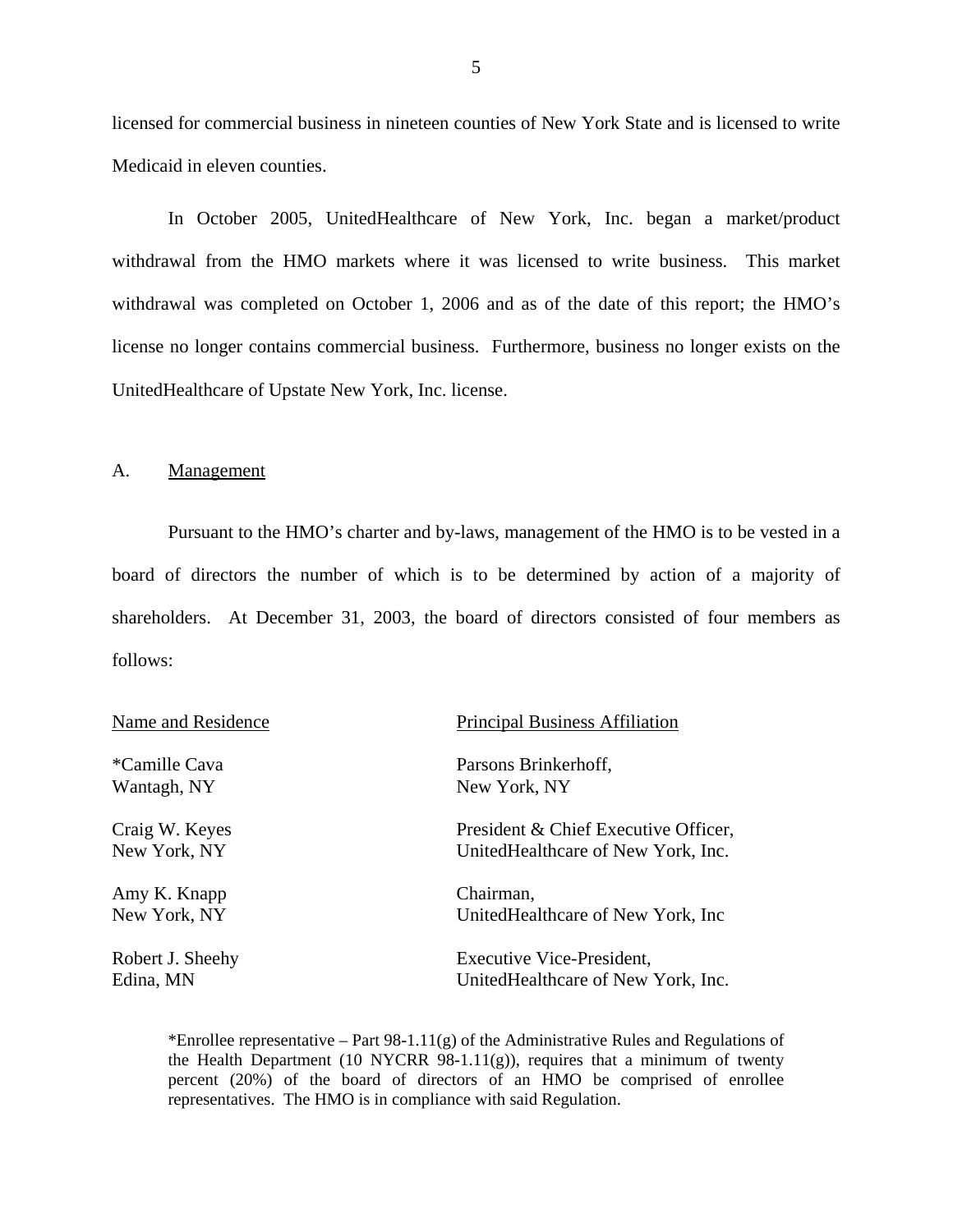licensed for commercial business in nineteen counties of New York State and is licensed to write Medicaid in eleven counties.

In October 2005, UnitedHealthcare of New York, Inc. began a market/product withdrawal from the HMO markets where it was licensed to write business. This market withdrawal was completed on October 1, 2006 and as of the date of this report; the HMO's license no longer contains commercial business. Furthermore, business no longer exists on the UnitedHealthcare of Upstate New York, Inc. license.

### A. Management

Pursuant to the HMO's charter and by-laws, management of the HMO is to be vested in a board of directors the number of which is to be determined by action of a majority of shareholders. At December 31, 2003, the board of directors consisted of four members as follows:

| Name and Residence | <b>Principal Business Affiliation</b> |
|--------------------|---------------------------------------|
| *Camille Cava      | Parsons Brinkerhoff,                  |
| Wantagh, NY        | New York, NY                          |
| Craig W. Keyes     | President & Chief Executive Officer,  |
| New York, NY       | UnitedHealthcare of New York, Inc.    |
| Amy K. Knapp       | Chairman,                             |
| New York, NY       | UnitedHealthcare of New York, Inc.    |
| Robert J. Sheehy   | Executive Vice-President,             |
| Edina, MN          | United Healthcare of New York, Inc.   |

\*Enrollee representative – Part 98-1.11 $(g)$  of the Administrative Rules and Regulations of the Health Department (10 NYCRR 98-1.11(g)), requires that a minimum of twenty percent (20%) of the board of directors of an HMO be comprised of enrollee representatives. The HMO is in compliance with said Regulation.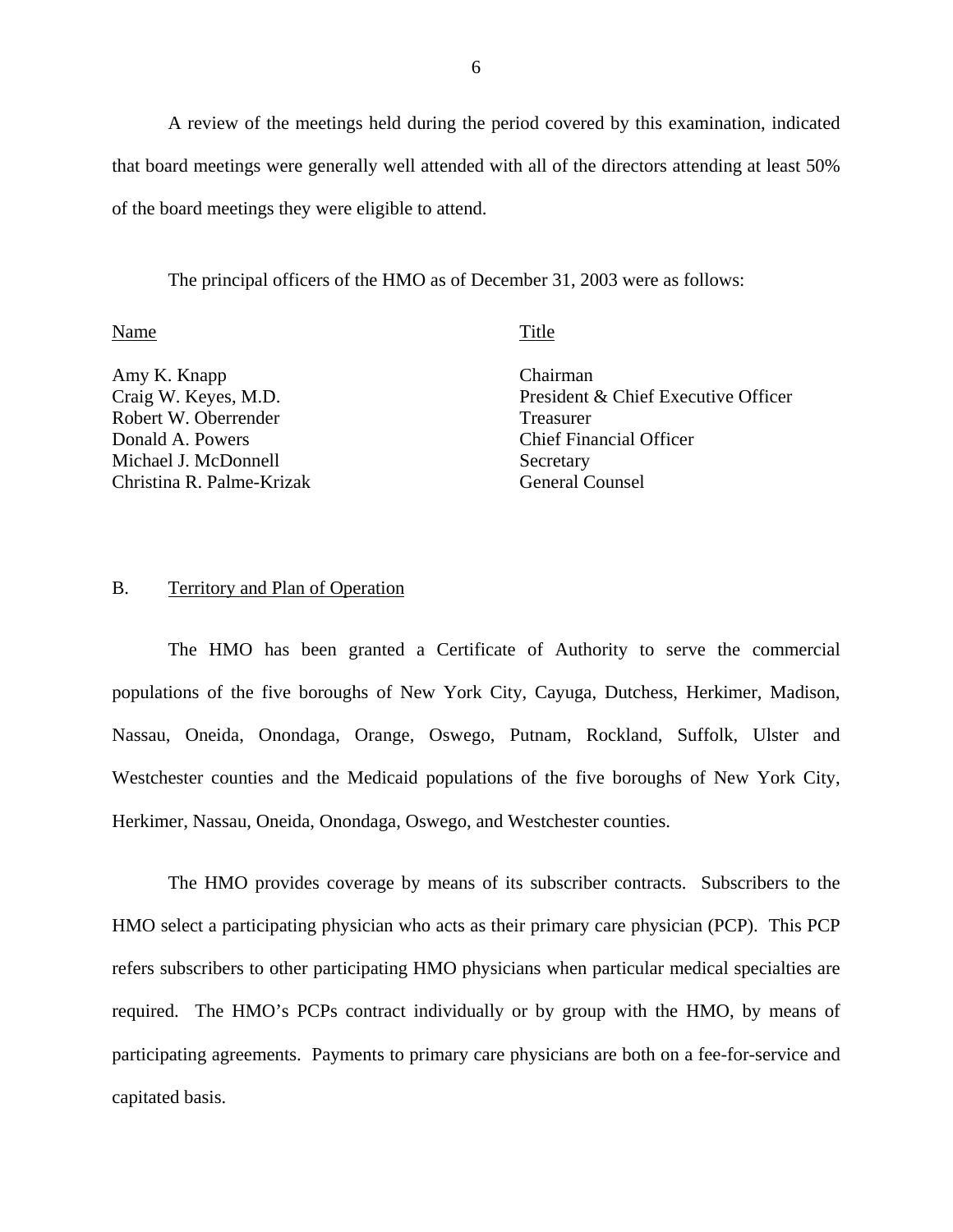A review of the meetings held during the period covered by this examination, indicated that board meetings were generally well attended with all of the directors attending at least 50% of the board meetings they were eligible to attend.

The principal officers of the HMO as of December 31, 2003 were as follows:

### Name Title

Amy K. Knapp Craig W. Keyes, M.D. Robert W. Oberrender Donald A. Powers Michael J. McDonnell Christina R. Palme-Krizak Chairman President & Chief Executive Officer Treasurer Chief Financial Officer Secretary General Counsel

### B. Territory and Plan of Operation

The HMO has been granted a Certificate of Authority to serve the commercial populations of the five boroughs of New York City, Cayuga, Dutchess, Herkimer, Madison, Nassau, Oneida, Onondaga, Orange, Oswego, Putnam, Rockland, Suffolk, Ulster and Westchester counties and the Medicaid populations of the five boroughs of New York City, Herkimer, Nassau, Oneida, Onondaga, Oswego, and Westchester counties.

The HMO provides coverage by means of its subscriber contracts. Subscribers to the HMO select a participating physician who acts as their primary care physician (PCP). This PCP refers subscribers to other participating HMO physicians when particular medical specialties are required. The HMO's PCPs contract individually or by group with the HMO, by means of participating agreements. Payments to primary care physicians are both on a fee-for-service and capitated basis.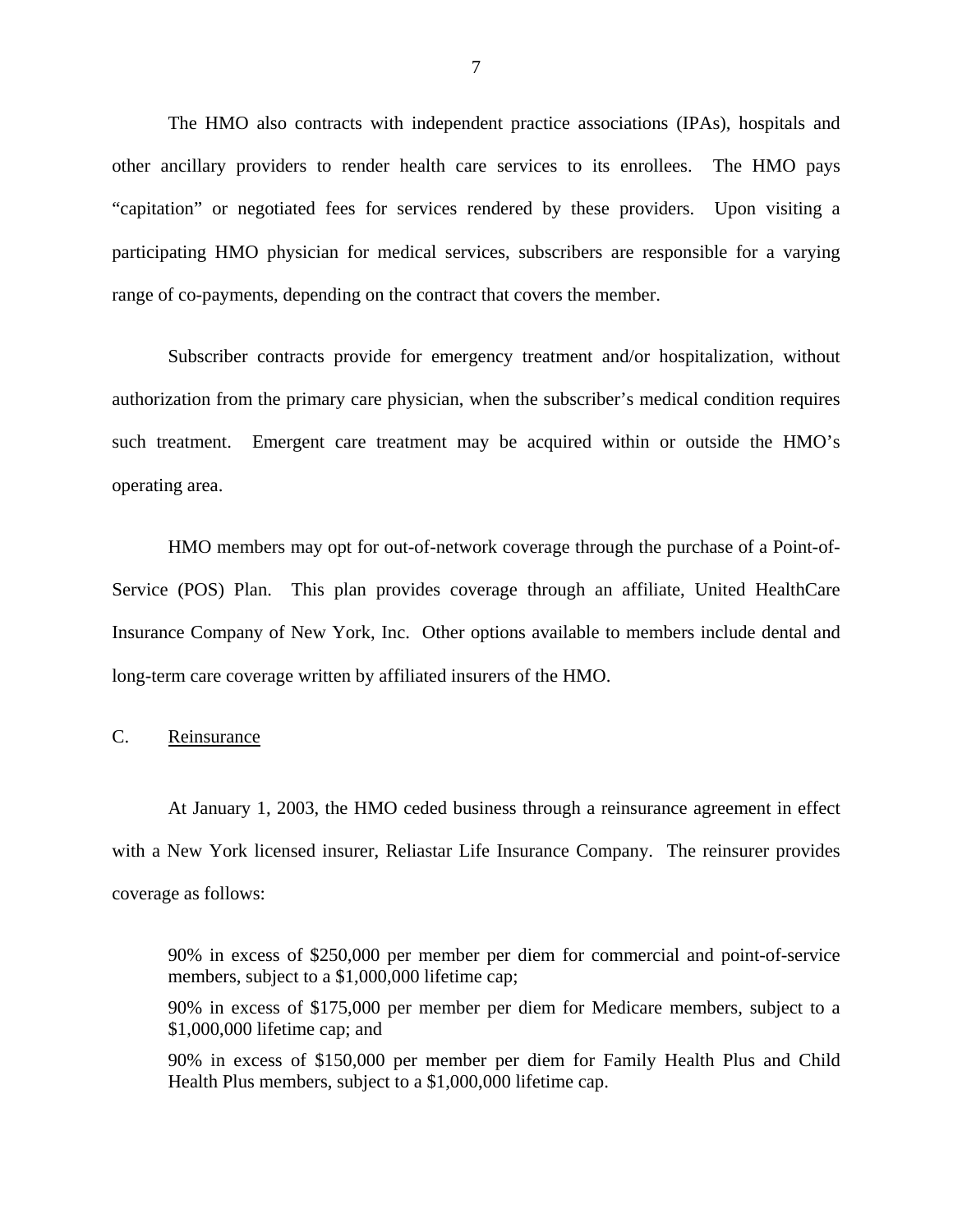<span id="page-8-0"></span>The HMO also contracts with independent practice associations (IPAs), hospitals and other ancillary providers to render health care services to its enrollees. The HMO pays "capitation" or negotiated fees for services rendered by these providers. Upon visiting a participating HMO physician for medical services, subscribers are responsible for a varying range of co-payments, depending on the contract that covers the member.

Subscriber contracts provide for emergency treatment and/or hospitalization, without authorization from the primary care physician, when the subscriber's medical condition requires such treatment. Emergent care treatment may be acquired within or outside the HMO's operating area.

HMO members may opt for out-of-network coverage through the purchase of a Point-of-Service (POS) Plan. This plan provides coverage through an affiliate, United HealthCare Insurance Company of New York, Inc. Other options available to members include dental and long-term care coverage written by affiliated insurers of the HMO.

## C. Reinsurance

At January 1, 2003, the HMO ceded business through a reinsurance agreement in effect with a New York licensed insurer, Reliastar Life Insurance Company. The reinsurer provides coverage as follows:

90% in excess of \$250,000 per member per diem for commercial and point-of-service members, subject to a \$1,000,000 lifetime cap;

90% in excess of \$175,000 per member per diem for Medicare members, subject to a \$1,000,000 lifetime cap; and

90% in excess of \$150,000 per member per diem for Family Health Plus and Child Health Plus members, subject to a \$1,000,000 lifetime cap.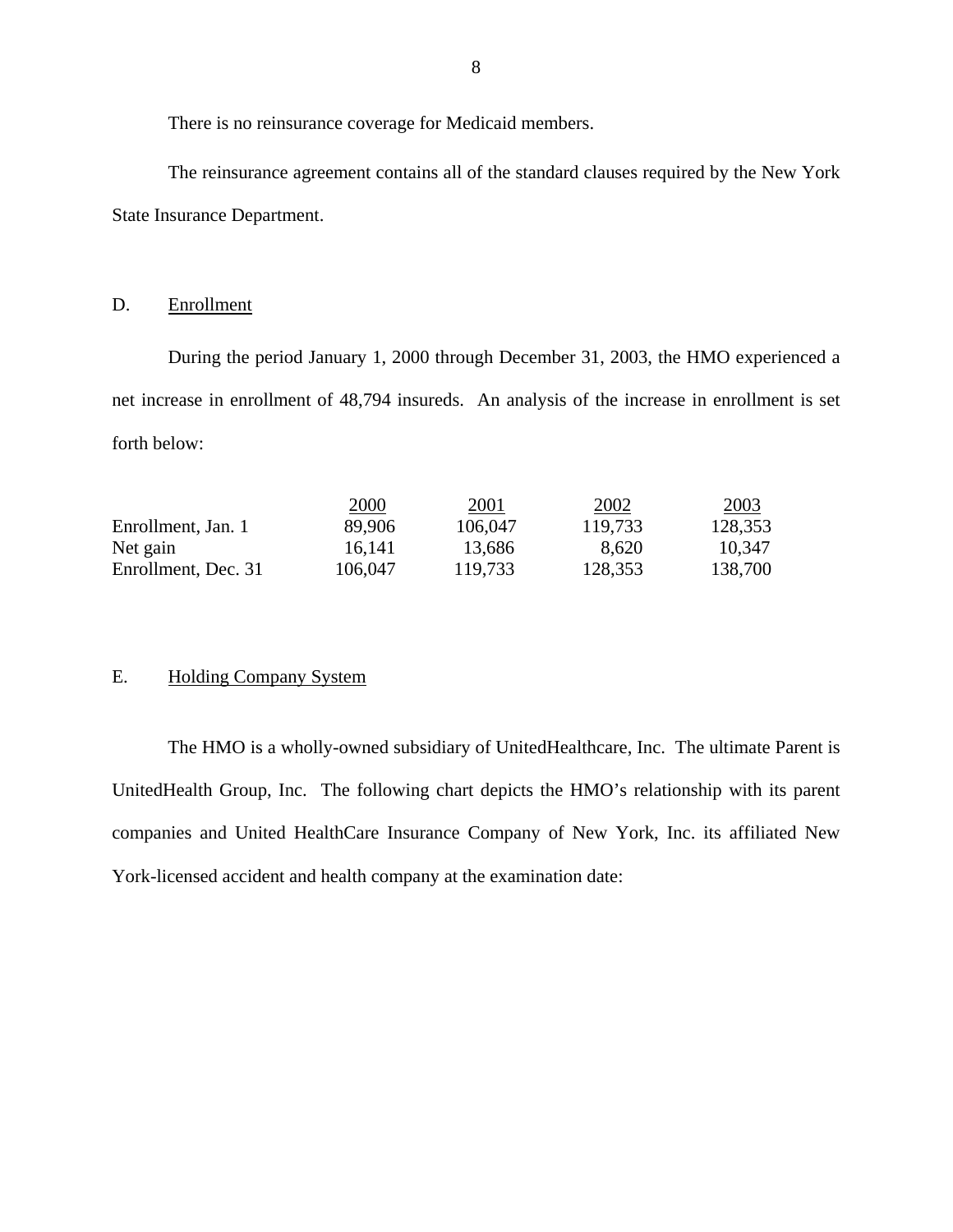There is no reinsurance coverage for Medicaid members.

The reinsurance agreement contains all of the standard clauses required by the New York State Insurance Department.

### D. Enrollment

During the period January 1, 2000 through December 31, 2003, the HMO experienced a net increase in enrollment of 48,794 insureds. An analysis of the increase in enrollment is set forth below:

|                     | 2000    | <u> 2001</u> | 2002    | 2003    |
|---------------------|---------|--------------|---------|---------|
| Enrollment, Jan. 1  | 89,906  | 106,047      | 119,733 | 128,353 |
| Net gain            | 16,141  | 13,686       | 8,620   | 10,347  |
| Enrollment, Dec. 31 | 106,047 | 119,733      | 128,353 | 138,700 |

## E. Holding Company System

The HMO is a wholly-owned subsidiary of UnitedHealthcare, Inc. The ultimate Parent is UnitedHealth Group, Inc. The following chart depicts the HMO's relationship with its parent companies and United HealthCare Insurance Company of New York, Inc. its affiliated New York-licensed accident and health company at the examination date: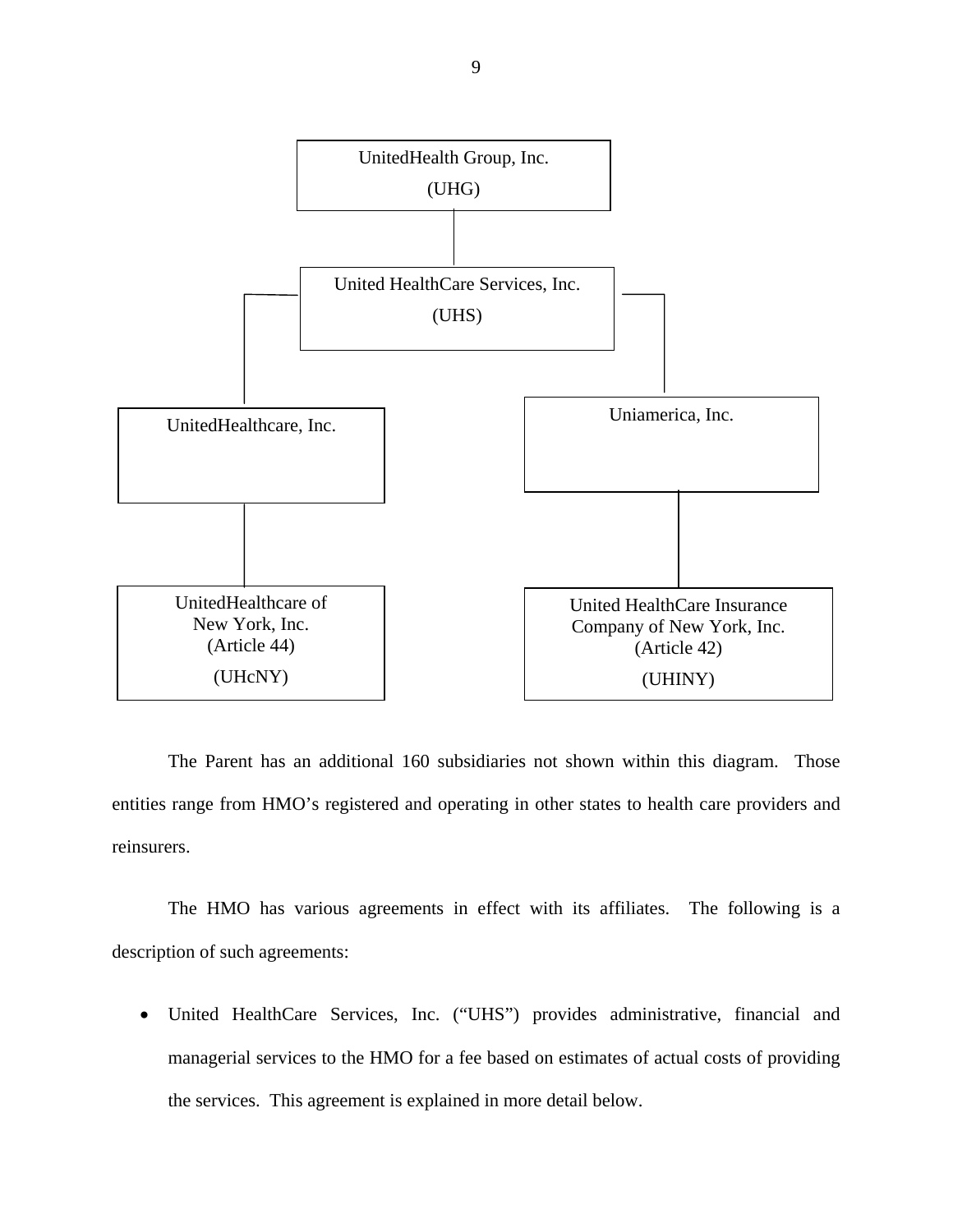

The Parent has an additional 160 subsidiaries not shown within this diagram. Those entities range from HMO's registered and operating in other states to health care providers and reinsurers.

The HMO has various agreements in effect with its affiliates. The following is a description of such agreements:

• United HealthCare Services, Inc. ("UHS") provides administrative, financial and managerial services to the HMO for a fee based on estimates of actual costs of providing the services. This agreement is explained in more detail below.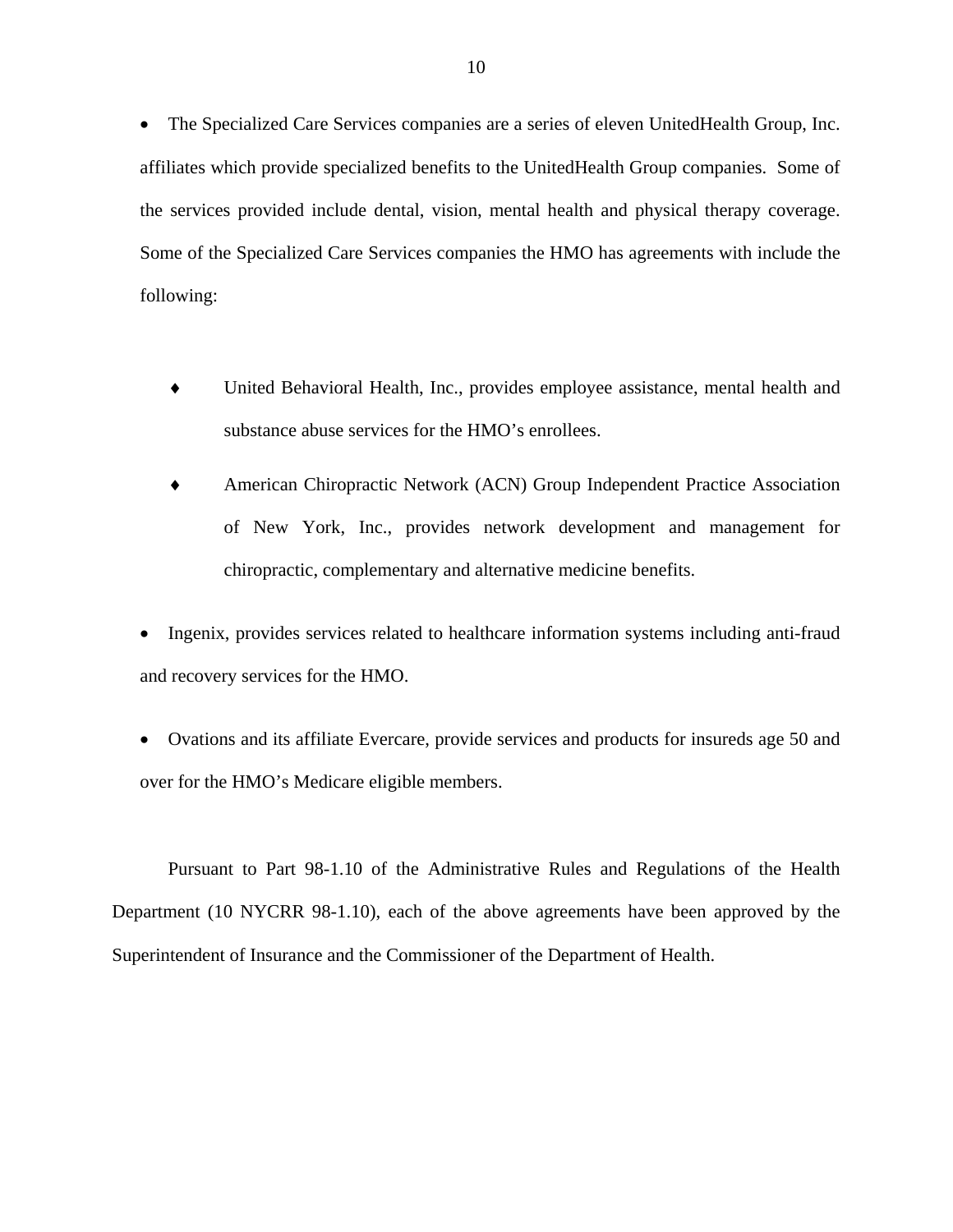• The Specialized Care Services companies are a series of eleven UnitedHealth Group, Inc. affiliates which provide specialized benefits to the UnitedHealth Group companies. Some of the services provided include dental, vision, mental health and physical therapy coverage. Some of the Specialized Care Services companies the HMO has agreements with include the following:

- ♦ United Behavioral Health, Inc., provides employee assistance, mental health and substance abuse services for the HMO's enrollees.
- ♦ American Chiropractic Network (ACN) Group Independent Practice Association of New York, Inc., provides network development and management for chiropractic, complementary and alternative medicine benefits.
- Ingenix, provides services related to healthcare information systems including anti-fraud and recovery services for the HMO.
- Ovations and its affiliate Evercare, provide services and products for insureds age 50 and over for the HMO's Medicare eligible members.

Pursuant to Part 98-1.10 of the Administrative Rules and Regulations of the Health Department (10 NYCRR 98-1.10), each of the above agreements have been approved by the Superintendent of Insurance and the Commissioner of the Department of Health.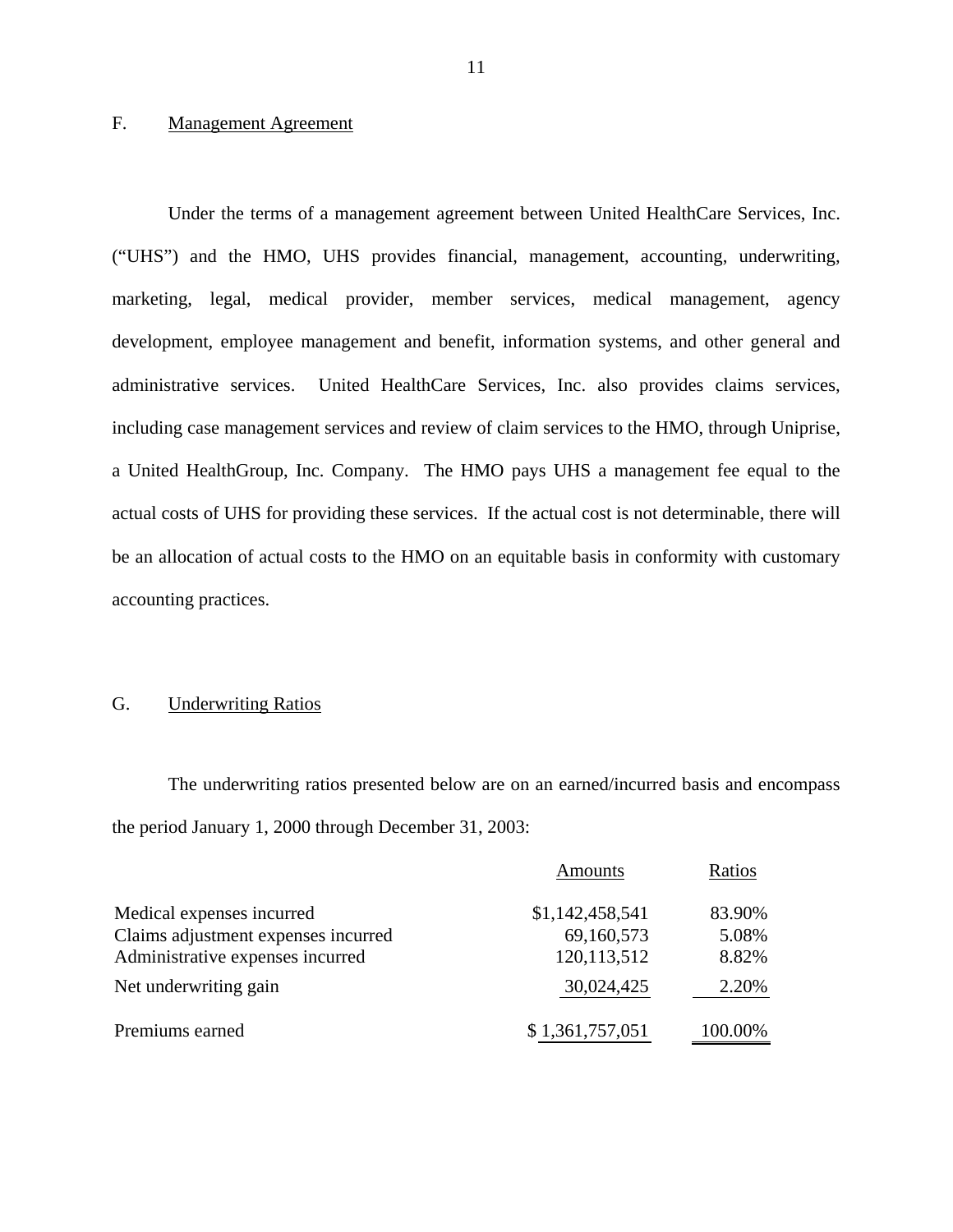## F. Management Agreement

Under the terms of a management agreement between United HealthCare Services, Inc. ("UHS") and the HMO, UHS provides financial, management, accounting, underwriting, marketing, legal, medical provider, member services, medical management, agency development, employee management and benefit, information systems, and other general and administrative services. United HealthCare Services, Inc. also provides claims services, including case management services and review of claim services to the HMO, through Uniprise, a United HealthGroup, Inc. Company. The HMO pays UHS a management fee equal to the actual costs of UHS for providing these services. If the actual cost is not determinable, there will be an allocation of actual costs to the HMO on an equitable basis in conformity with customary accounting practices.

## G. Underwriting Ratios

The underwriting ratios presented below are on an earned/incurred basis and encompass the period January 1, 2000 through December 31, 2003:

|                                     | Amounts         | Ratios  |
|-------------------------------------|-----------------|---------|
| Medical expenses incurred           | \$1,142,458,541 | 83.90%  |
| Claims adjustment expenses incurred | 69,160,573      | 5.08%   |
| Administrative expenses incurred    | 120,113,512     | 8.82%   |
| Net underwriting gain               | 30,024,425      | 2.20%   |
| Premiums earned                     | \$1,361,757,051 | 100.00% |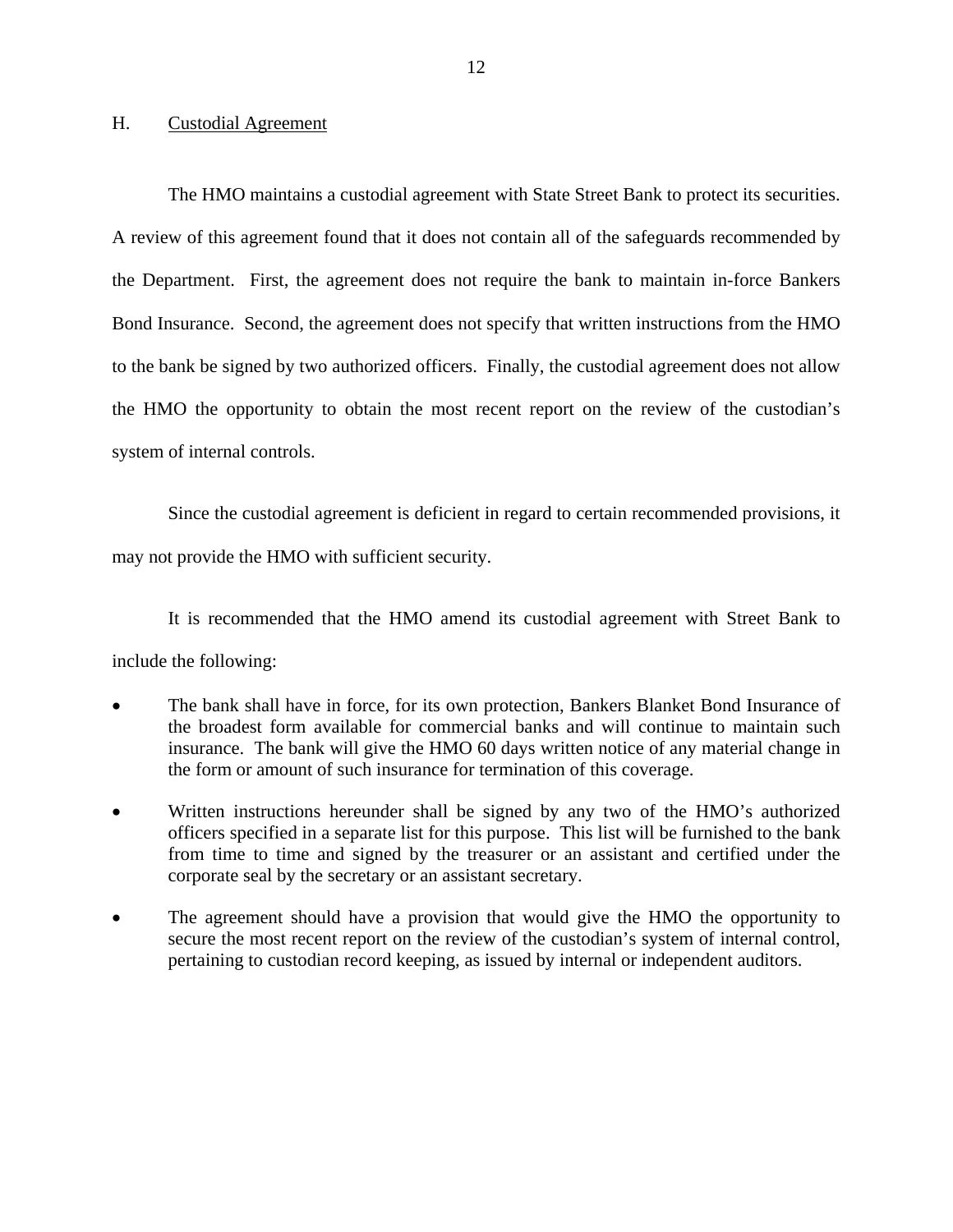### <span id="page-13-0"></span>H. Custodial Agreement

The HMO maintains a custodial agreement with State Street Bank to protect its securities. A review of this agreement found that it does not contain all of the safeguards recommended by the Department. First, the agreement does not require the bank to maintain in-force Bankers Bond Insurance. Second, the agreement does not specify that written instructions from the HMO to the bank be signed by two authorized officers. Finally, the custodial agreement does not allow the HMO the opportunity to obtain the most recent report on the review of the custodian's system of internal controls.

Since the custodial agreement is deficient in regard to certain recommended provisions, it may not provide the HMO with sufficient security.

It is recommended that the HMO amend its custodial agreement with Street Bank to include the following:

- The bank shall have in force, for its own protection, Bankers Blanket Bond Insurance of the broadest form available for commercial banks and will continue to maintain such insurance. The bank will give the HMO 60 days written notice of any material change in the form or amount of such insurance for termination of this coverage.
- Written instructions hereunder shall be signed by any two of the HMO's authorized officers specified in a separate list for this purpose. This list will be furnished to the bank from time to time and signed by the treasurer or an assistant and certified under the corporate seal by the secretary or an assistant secretary.
- The agreement should have a provision that would give the HMO the opportunity to secure the most recent report on the review of the custodian's system of internal control, pertaining to custodian record keeping, as issued by internal or independent auditors.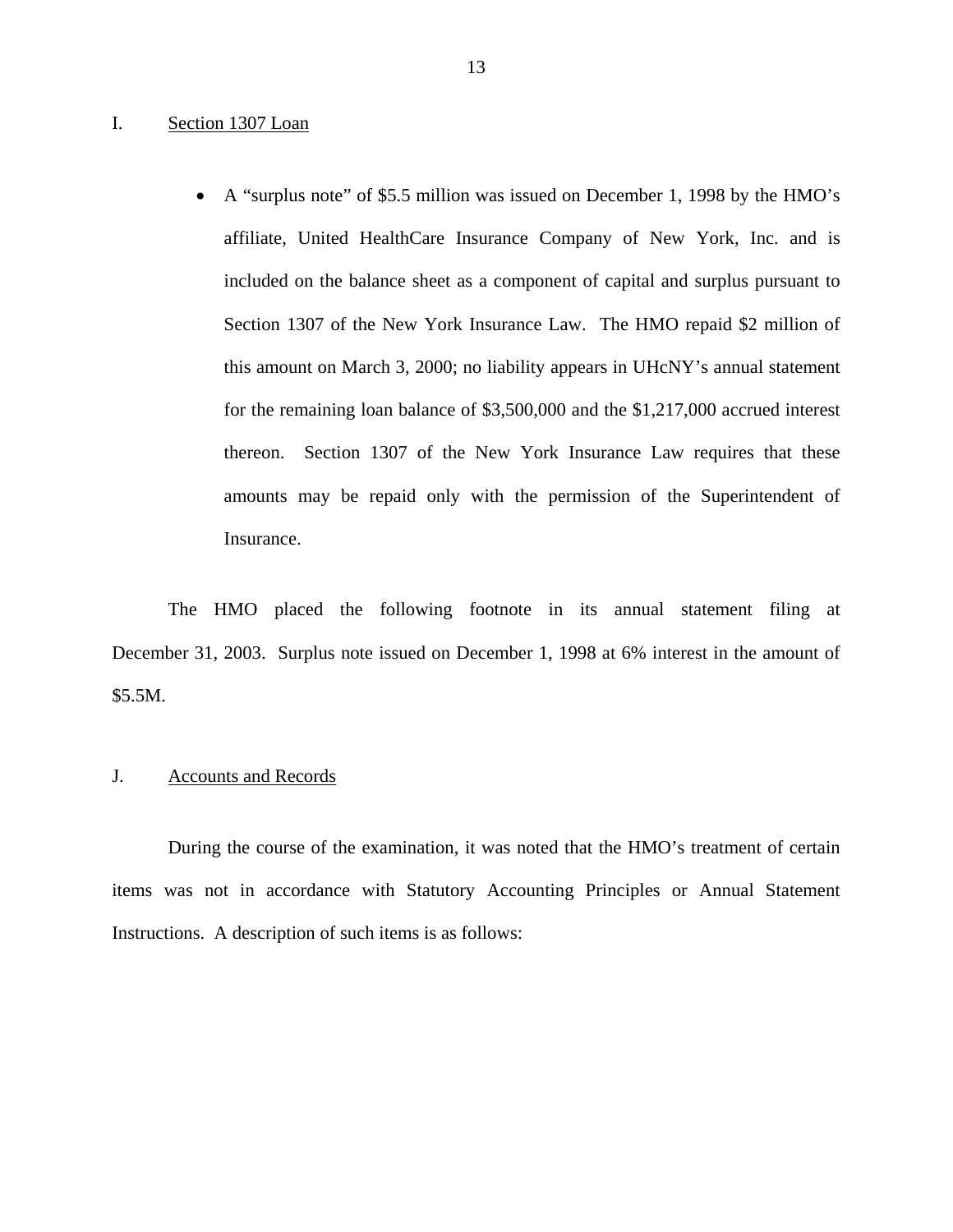### <span id="page-14-0"></span>I. Section 1307 Loan

• A "surplus note" of \$5.5 million was issued on December 1, 1998 by the HMO's affiliate, United HealthCare Insurance Company of New York, Inc. and is included on the balance sheet as a component of capital and surplus pursuant to Section 1307 of the New York Insurance Law. The HMO repaid \$2 million of this amount on March 3, 2000; no liability appears in UHcNY's annual statement for the remaining loan balance of \$3,500,000 and the \$1,217,000 accrued interest thereon. Section 1307 of the New York Insurance Law requires that these amounts may be repaid only with the permission of the Superintendent of Insurance.

The HMO placed the following footnote in its annual statement filing at December 31, 2003. Surplus note issued on December 1, 1998 at 6% interest in the amount of \$5.5M.

### J. Accounts and Records

During the course of the examination, it was noted that the HMO's treatment of certain items was not in accordance with Statutory Accounting Principles or Annual Statement Instructions. A description of such items is as follows: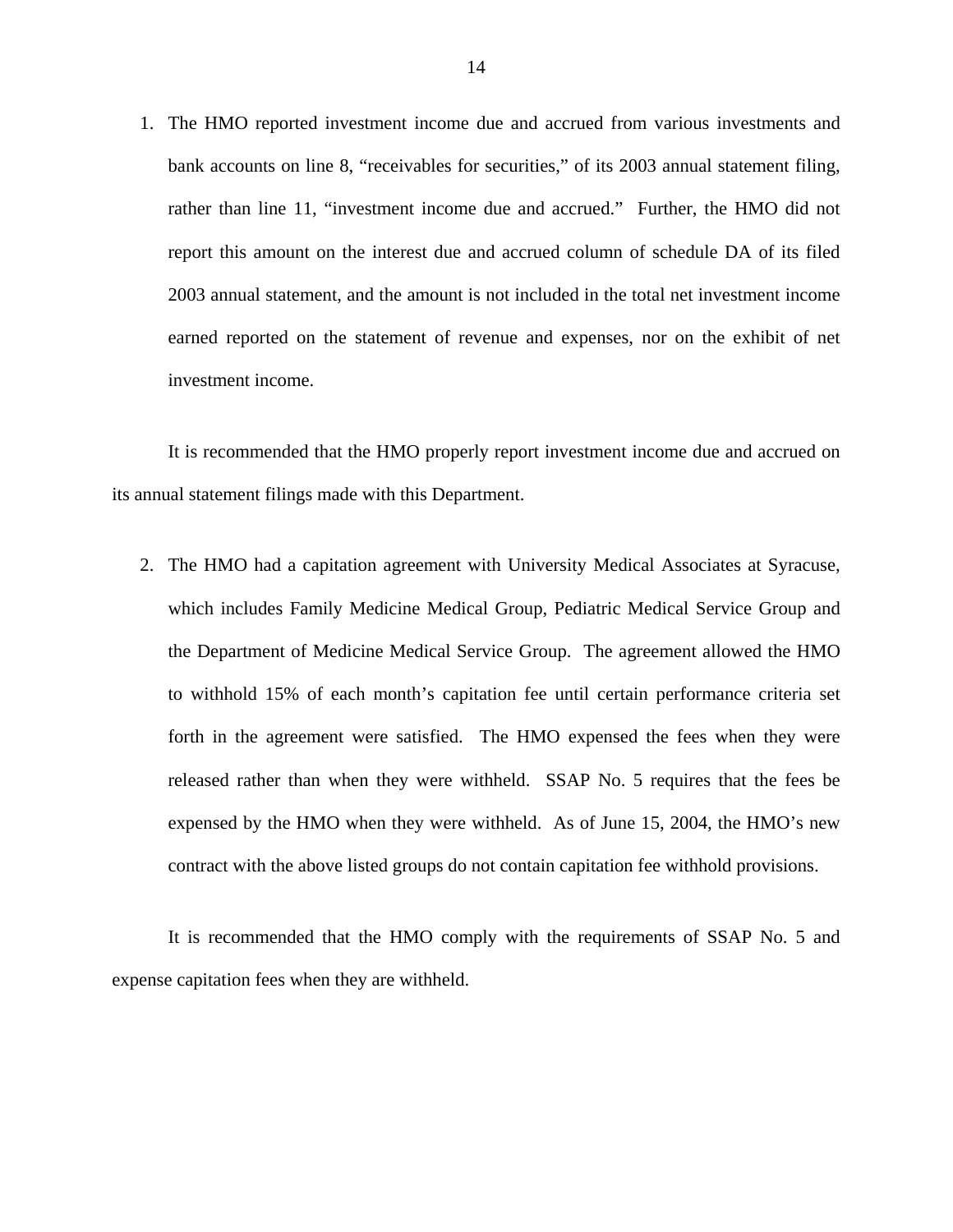1. The HMO reported investment income due and accrued from various investments and bank accounts on line 8, "receivables for securities," of its 2003 annual statement filing, rather than line 11, "investment income due and accrued." Further, the HMO did not report this amount on the interest due and accrued column of schedule DA of its filed 2003 annual statement, and the amount is not included in the total net investment income earned reported on the statement of revenue and expenses, nor on the exhibit of net investment income.

It is recommended that the HMO properly report investment income due and accrued on its annual statement filings made with this Department.

2. The HMO had a capitation agreement with University Medical Associates at Syracuse, which includes Family Medicine Medical Group, Pediatric Medical Service Group and the Department of Medicine Medical Service Group. The agreement allowed the HMO to withhold 15% of each month's capitation fee until certain performance criteria set forth in the agreement were satisfied. The HMO expensed the fees when they were released rather than when they were withheld. SSAP No. 5 requires that the fees be expensed by the HMO when they were withheld. As of June 15, 2004, the HMO's new contract with the above listed groups do not contain capitation fee withhold provisions.

It is recommended that the HMO comply with the requirements of SSAP No. 5 and expense capitation fees when they are withheld.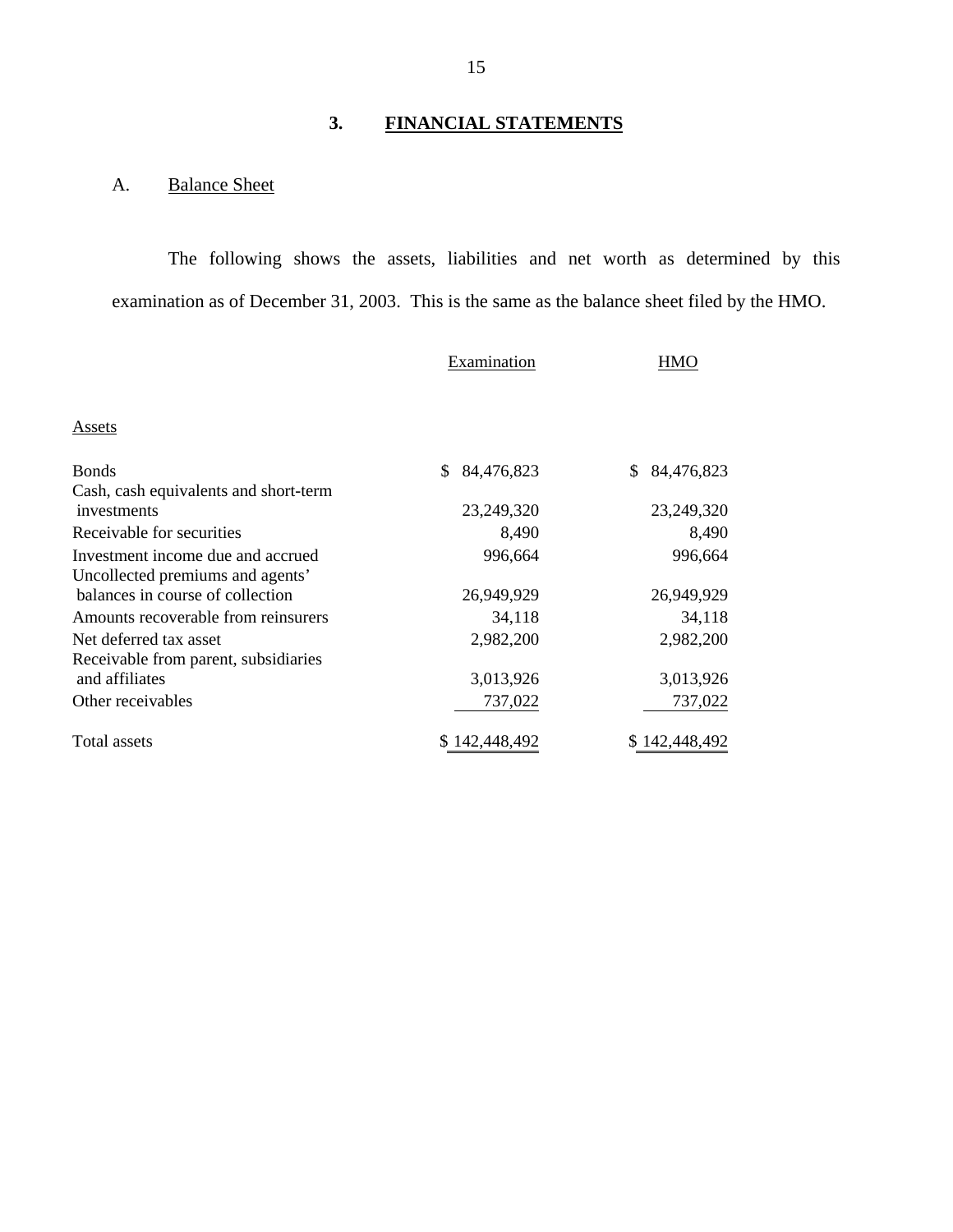## **3. FINANCIAL STATEMENTS**

## <span id="page-16-0"></span>A. Balance Sheet

The following shows the assets, liabilities and net worth as determined by this examination as of December 31, 2003. This is the same as the balance sheet filed by the HMO.

|                                                       | Examination   | <b>HMO</b>       |
|-------------------------------------------------------|---------------|------------------|
| Assets                                                |               |                  |
| <b>Bonds</b><br>Cash, cash equivalents and short-term | 84,476,823    | 84,476,823<br>S. |
| investments                                           | 23,249,320    | 23,249,320       |
| Receivable for securities                             | 8,490         | 8,490            |
| Investment income due and accrued                     | 996,664       | 996,664          |
| Uncollected premiums and agents'                      |               |                  |
| balances in course of collection                      | 26,949,929    | 26,949,929       |
| Amounts recoverable from reinsurers                   | 34,118        | 34,118           |
| Net deferred tax asset                                | 2,982,200     | 2,982,200        |
| Receivable from parent, subsidiaries                  |               |                  |
| and affiliates                                        | 3,013,926     | 3,013,926        |
| Other receivables                                     | 737,022       | 737,022          |
|                                                       |               |                  |
| <b>Total assets</b>                                   | \$142,448,492 | \$142,448,492    |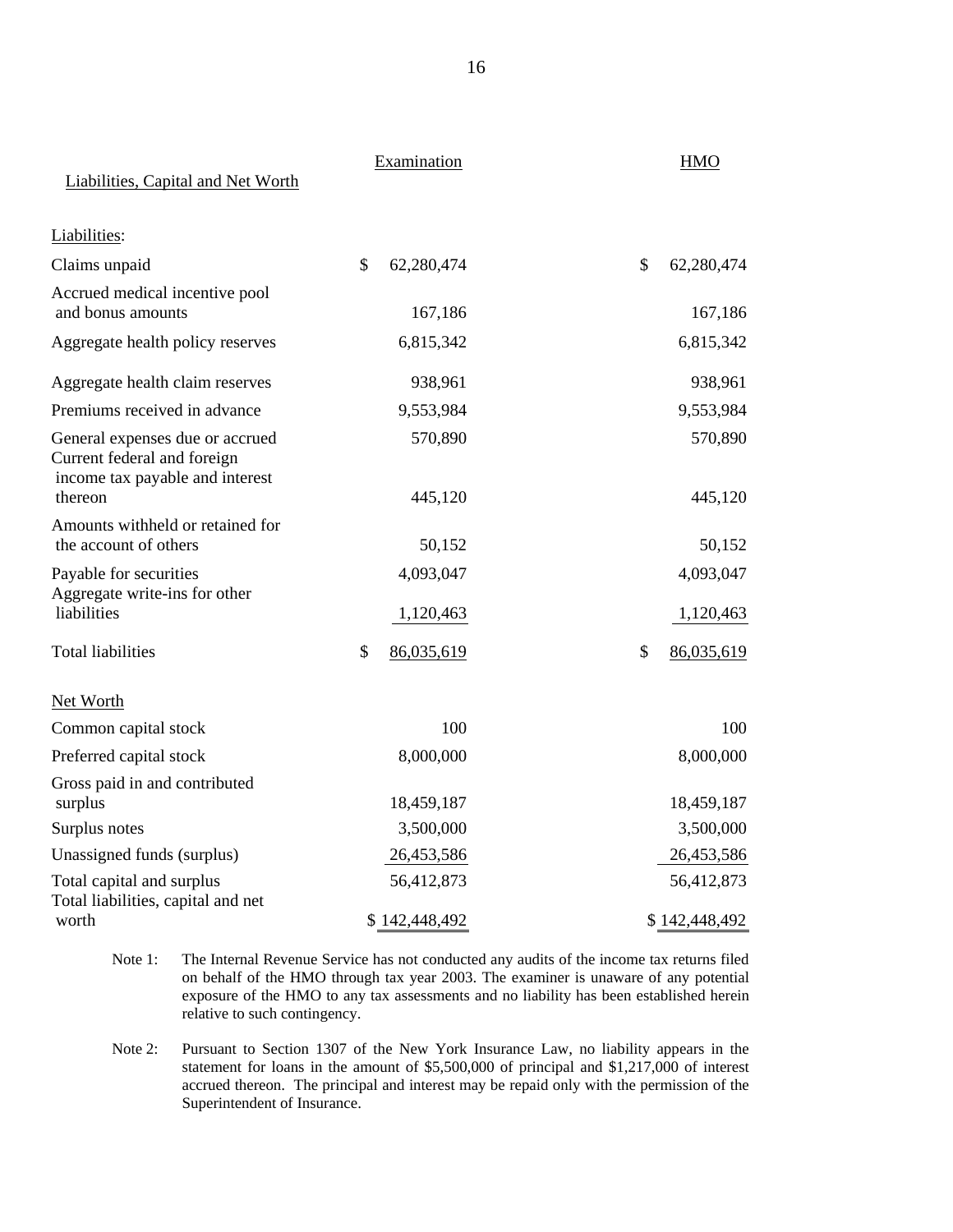|                                                                                                   | Liabilities, Capital and Net Worth | Examination      |                                                                                                                                                                                                                                                                                 | <b>HMO</b>       |
|---------------------------------------------------------------------------------------------------|------------------------------------|------------------|---------------------------------------------------------------------------------------------------------------------------------------------------------------------------------------------------------------------------------------------------------------------------------|------------------|
| Liabilities:                                                                                      |                                    |                  |                                                                                                                                                                                                                                                                                 |                  |
| Claims unpaid                                                                                     |                                    | \$<br>62,280,474 |                                                                                                                                                                                                                                                                                 | \$<br>62,280,474 |
| Accrued medical incentive pool<br>and bonus amounts                                               |                                    | 167,186          |                                                                                                                                                                                                                                                                                 | 167,186          |
| Aggregate health policy reserves                                                                  |                                    | 6,815,342        |                                                                                                                                                                                                                                                                                 | 6,815,342        |
| Aggregate health claim reserves                                                                   |                                    | 938,961          |                                                                                                                                                                                                                                                                                 | 938,961          |
| Premiums received in advance                                                                      |                                    | 9,553,984        |                                                                                                                                                                                                                                                                                 | 9,553,984        |
| General expenses due or accrued<br>Current federal and foreign<br>income tax payable and interest |                                    | 570,890          |                                                                                                                                                                                                                                                                                 | 570,890          |
| thereon                                                                                           |                                    | 445,120          |                                                                                                                                                                                                                                                                                 | 445,120          |
| Amounts withheld or retained for<br>the account of others                                         |                                    | 50,152           |                                                                                                                                                                                                                                                                                 | 50,152           |
| Payable for securities                                                                            |                                    | 4,093,047        |                                                                                                                                                                                                                                                                                 | 4,093,047        |
| Aggregate write-ins for other<br>liabilities                                                      |                                    | 1,120,463        |                                                                                                                                                                                                                                                                                 | 1,120,463        |
| <b>Total liabilities</b>                                                                          |                                    | \$<br>86,035,619 |                                                                                                                                                                                                                                                                                 | \$<br>86,035,619 |
| Net Worth                                                                                         |                                    |                  |                                                                                                                                                                                                                                                                                 |                  |
| Common capital stock                                                                              |                                    | 100              |                                                                                                                                                                                                                                                                                 | 100              |
| Preferred capital stock                                                                           |                                    | 8,000,000        |                                                                                                                                                                                                                                                                                 | 8,000,000        |
| Gross paid in and contributed<br>surplus                                                          |                                    | 18,459,187       |                                                                                                                                                                                                                                                                                 | 18,459,187       |
| Surplus notes                                                                                     |                                    | 3,500,000        |                                                                                                                                                                                                                                                                                 | 3,500,000        |
| Unassigned funds (surplus)                                                                        |                                    | 26,453,586       |                                                                                                                                                                                                                                                                                 | 26,453,586       |
| Total capital and surplus                                                                         |                                    | 56,412,873       |                                                                                                                                                                                                                                                                                 | 56,412,873       |
| Total liabilities, capital and net<br>worth                                                       |                                    | \$142,448,492    |                                                                                                                                                                                                                                                                                 | \$142,448,492    |
| Note 1:                                                                                           | relative to such contingency.      |                  | The Internal Revenue Service has not conducted any audits of the income tax returns filed<br>on behalf of the HMO through tax year 2003. The examiner is unaware of any potential<br>exposure of the HMO to any tax assessments and no liability has been established herein    |                  |
| Note 2:                                                                                           | Superintendent of Insurance.       |                  | Pursuant to Section 1307 of the New York Insurance Law, no liability appears in the<br>statement for loans in the amount of $$5,500,000$ of principal and $$1,217,000$ of interest<br>accrued thereon. The principal and interest may be repaid only with the permission of the |                  |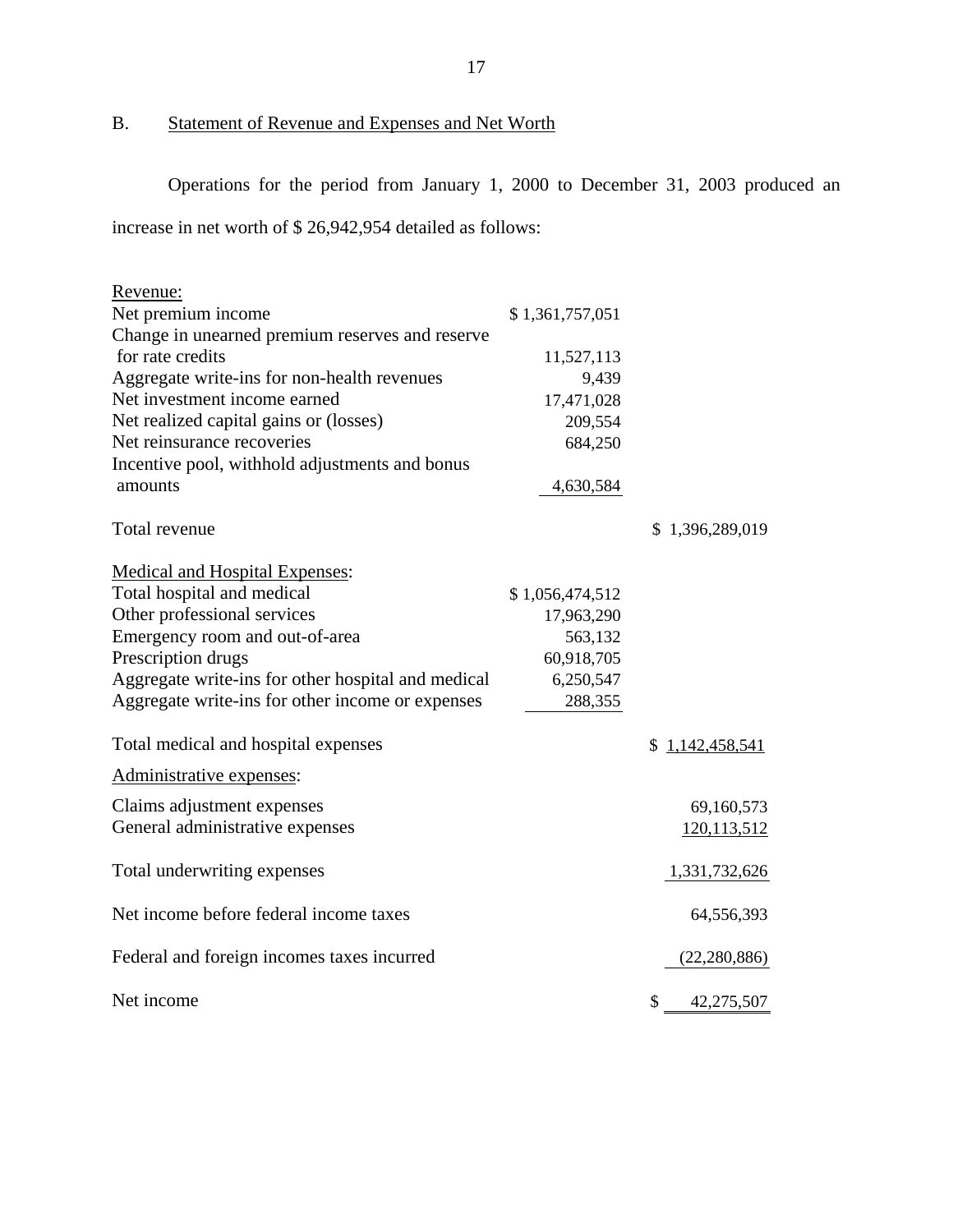B. Statement of Revenue and Expenses and Net Worth

Operations for the period from January 1, 2000 to December 31, 2003 produced an

increase in net worth of \$ 26,942,954 detailed as follows:

| Revenue:                                           |                 |                  |
|----------------------------------------------------|-----------------|------------------|
| Net premium income                                 | \$1,361,757,051 |                  |
| Change in unearned premium reserves and reserve    |                 |                  |
| for rate credits                                   | 11,527,113      |                  |
| Aggregate write-ins for non-health revenues        | 9,439           |                  |
| Net investment income earned                       | 17,471,028      |                  |
| Net realized capital gains or (losses)             | 209,554         |                  |
| Net reinsurance recoveries                         | 684,250         |                  |
| Incentive pool, withhold adjustments and bonus     |                 |                  |
| amounts                                            | 4,630,584       |                  |
| Total revenue                                      |                 | \$1,396,289,019  |
| <b>Medical and Hospital Expenses:</b>              |                 |                  |
| Total hospital and medical                         | \$1,056,474,512 |                  |
| Other professional services                        | 17,963,290      |                  |
| Emergency room and out-of-area                     | 563,132         |                  |
| Prescription drugs                                 | 60,918,705      |                  |
| Aggregate write-ins for other hospital and medical | 6,250,547       |                  |
| Aggregate write-ins for other income or expenses   | 288,355         |                  |
| Total medical and hospital expenses                |                 | \$1,142,458,541  |
| Administrative expenses:                           |                 |                  |
| Claims adjustment expenses                         |                 | 69,160,573       |
| General administrative expenses                    |                 | 120,113,512      |
| Total underwriting expenses                        |                 | 1,331,732,626    |
| Net income before federal income taxes             |                 | 64,556,393       |
| Federal and foreign incomes taxes incurred         |                 | (22, 280, 886)   |
| Net income                                         |                 | \$<br>42,275,507 |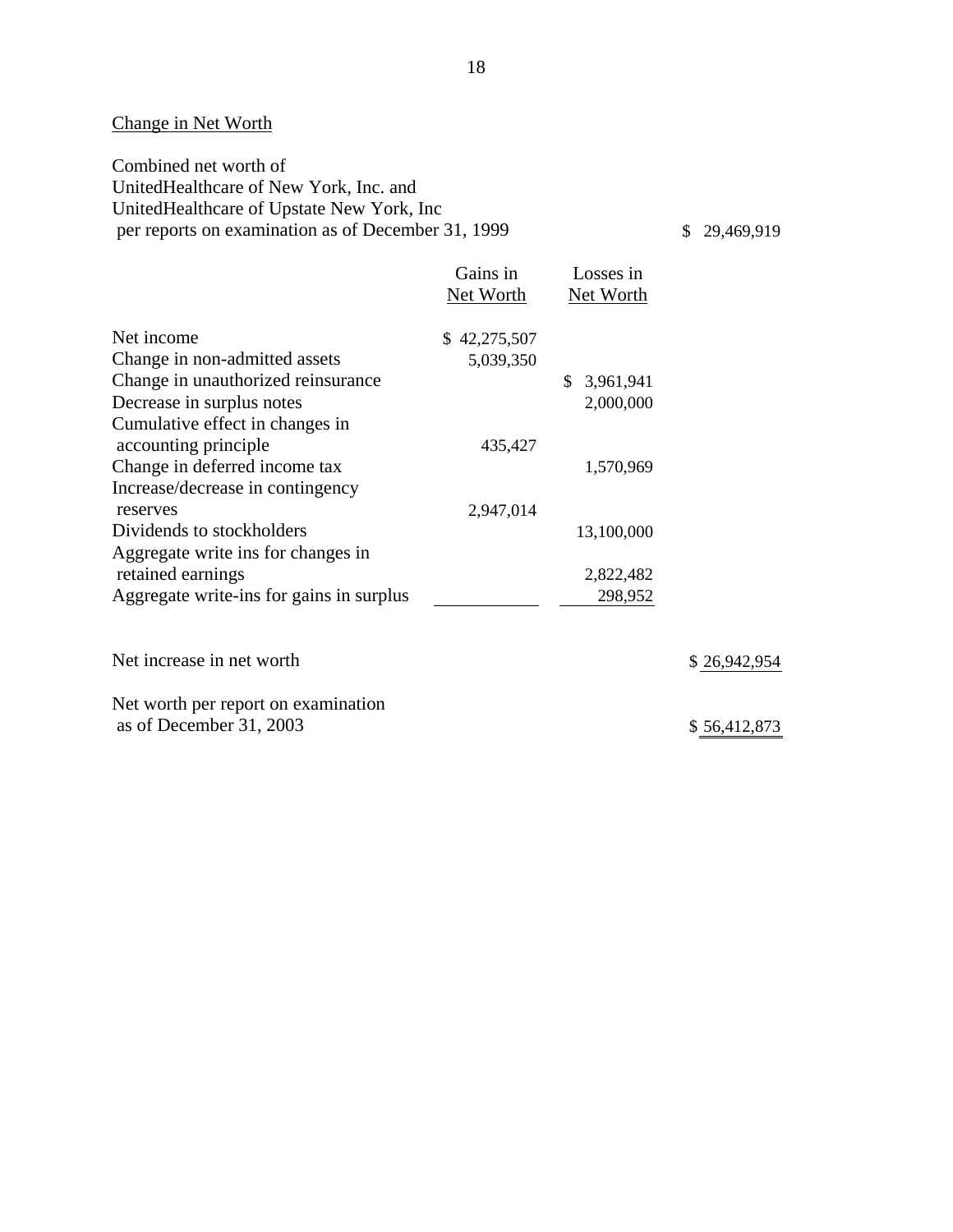## Change in Net Worth

Combined net worth of UnitedHealthcare of New York, Inc. and UnitedHealthcare of Upstate New York, Inc per reports on examination as of December 31, 1999

\$ 29,469,919

|                                          | Gains in<br>Net Worth | Losses in<br>Net Worth |              |
|------------------------------------------|-----------------------|------------------------|--------------|
| Net income                               | \$42,275,507          |                        |              |
| Change in non-admitted assets            | 5,039,350             |                        |              |
| Change in unauthorized reinsurance       |                       | 3,961,941<br>\$        |              |
| Decrease in surplus notes                |                       | 2,000,000              |              |
| Cumulative effect in changes in          |                       |                        |              |
| accounting principle                     | 435,427               |                        |              |
| Change in deferred income tax            |                       | 1,570,969              |              |
| Increase/decrease in contingency         |                       |                        |              |
| reserves                                 | 2,947,014             |                        |              |
| Dividends to stockholders                |                       | 13,100,000             |              |
| Aggregate write ins for changes in       |                       |                        |              |
| retained earnings                        |                       | 2,822,482              |              |
| Aggregate write-ins for gains in surplus |                       | 298,952                |              |
| Net increase in net worth                |                       |                        | \$26,942,954 |
|                                          |                       |                        |              |
| Net worth per report on examination      |                       |                        |              |
| as of December 31, 2003                  |                       |                        | \$56,412,873 |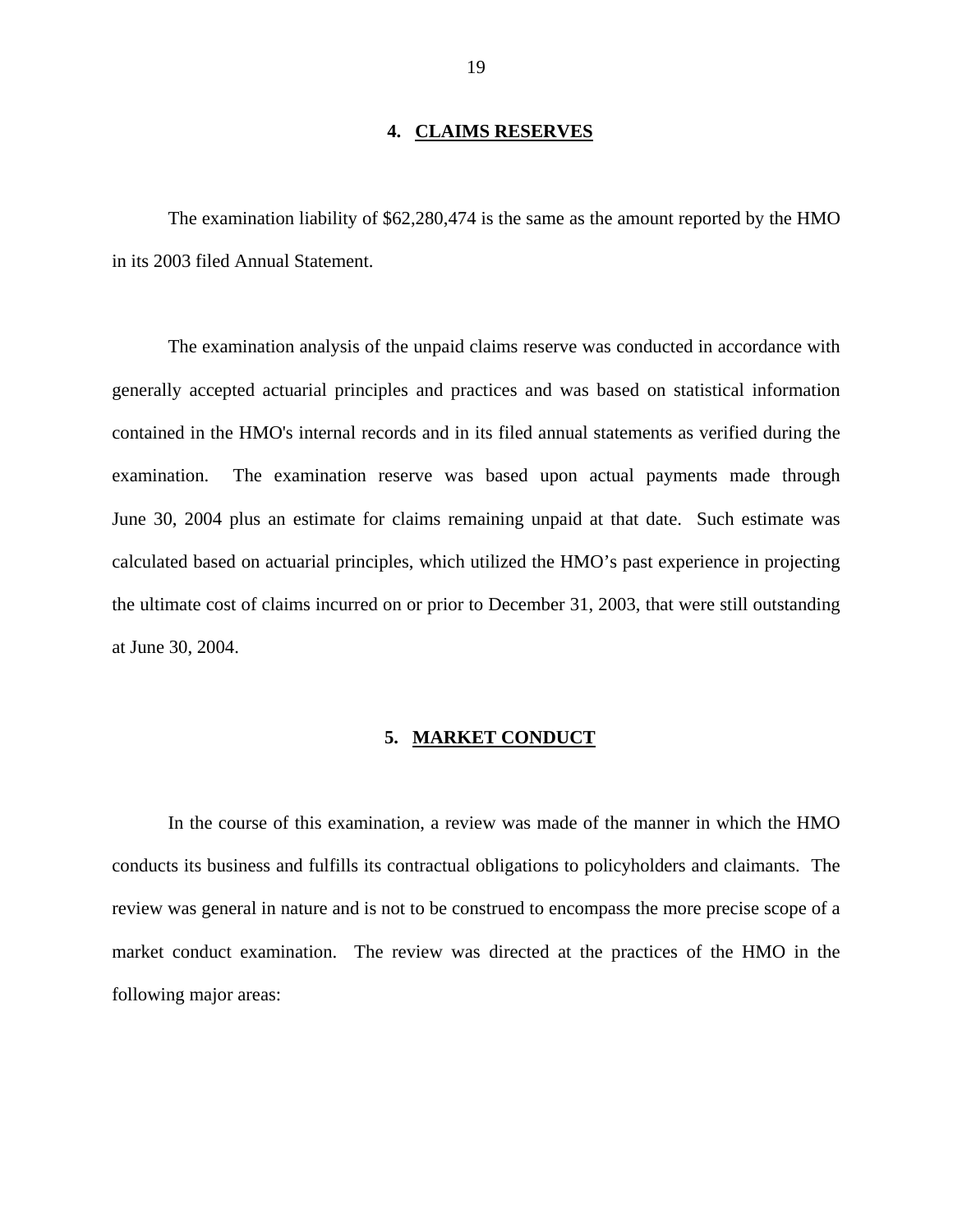### **4. CLAIMS RESERVES**

<span id="page-20-0"></span>The examination liability of \$62,280,474 is the same as the amount reported by the HMO in its 2003 filed Annual Statement.

The examination analysis of the unpaid claims reserve was conducted in accordance with generally accepted actuarial principles and practices and was based on statistical information contained in the HMO's internal records and in its filed annual statements as verified during the examination. The examination reserve was based upon actual payments made through June 30, 2004 plus an estimate for claims remaining unpaid at that date. Such estimate was calculated based on actuarial principles, which utilized the HMO's past experience in projecting the ultimate cost of claims incurred on or prior to December 31, 2003, that were still outstanding at June 30, 2004.

### **5. MARKET CONDUCT**

In the course of this examination, a review was made of the manner in which the HMO conducts its business and fulfills its contractual obligations to policyholders and claimants. The review was general in nature and is not to be construed to encompass the more precise scope of a market conduct examination. The review was directed at the practices of the HMO in the following major areas: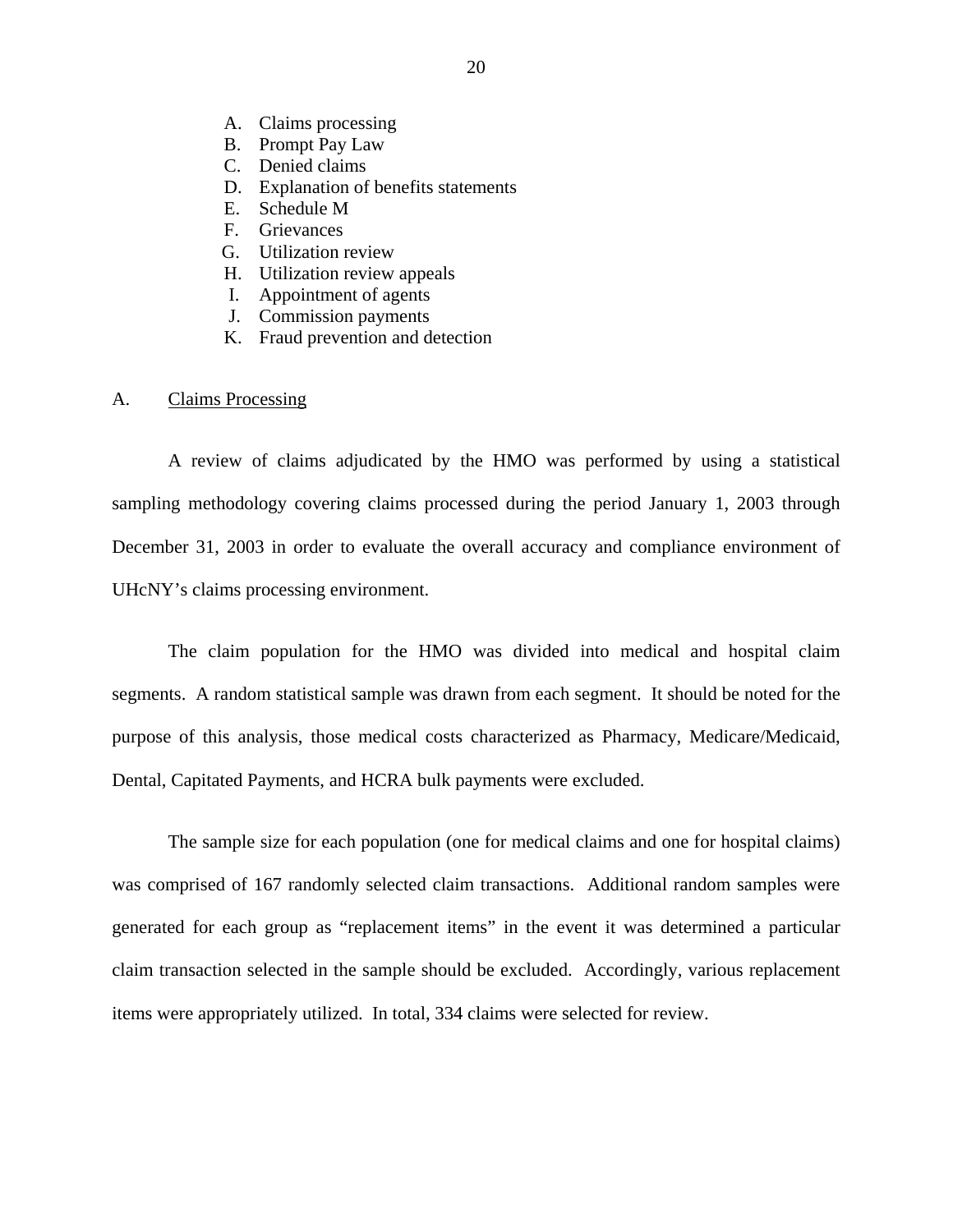- <span id="page-21-0"></span>A. Claims processing
- B. Prompt Pay Law
- C. Denied claims
- D. Explanation of benefits statements
- E. Schedule M
- F. Grievances
- G. Utilization review
- H. Utilization review appeals
- I. Appointment of agents
- J. Commission payments
- K. Fraud prevention and detection

### A. Claims Processing

A review of claims adjudicated by the HMO was performed by using a statistical sampling methodology covering claims processed during the period January 1, 2003 through December 31, 2003 in order to evaluate the overall accuracy and compliance environment of UHcNY's claims processing environment.

The claim population for the HMO was divided into medical and hospital claim segments. A random statistical sample was drawn from each segment. It should be noted for the purpose of this analysis, those medical costs characterized as Pharmacy, Medicare/Medicaid, Dental, Capitated Payments, and HCRA bulk payments were excluded.

The sample size for each population (one for medical claims and one for hospital claims) was comprised of 167 randomly selected claim transactions. Additional random samples were generated for each group as "replacement items" in the event it was determined a particular claim transaction selected in the sample should be excluded. Accordingly, various replacement items were appropriately utilized. In total, 334 claims were selected for review.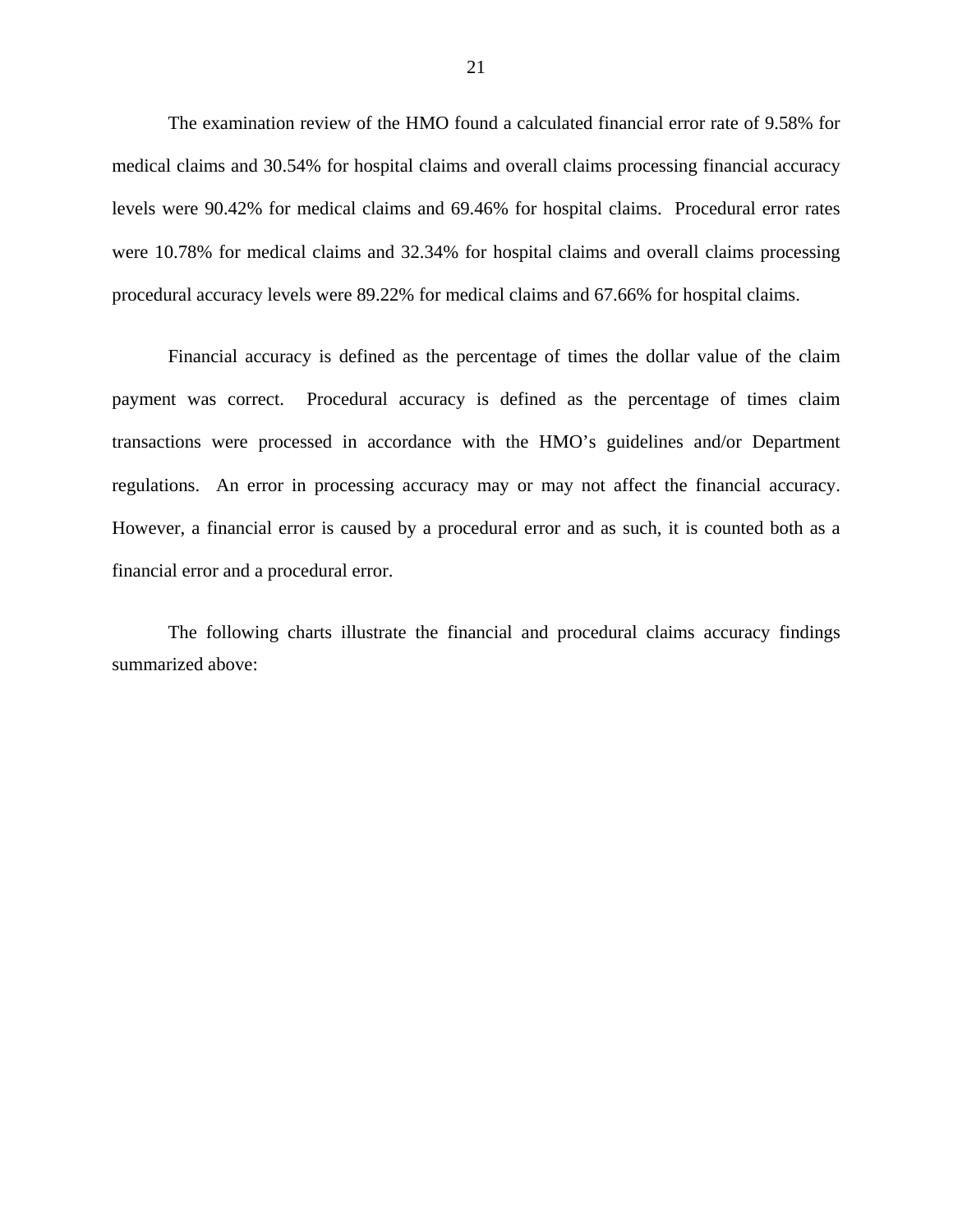The examination review of the HMO found a calculated financial error rate of 9.58% for medical claims and 30.54% for hospital claims and overall claims processing financial accuracy levels were 90.42% for medical claims and 69.46% for hospital claims. Procedural error rates were 10.78% for medical claims and 32.34% for hospital claims and overall claims processing procedural accuracy levels were 89.22% for medical claims and 67.66% for hospital claims.

Financial accuracy is defined as the percentage of times the dollar value of the claim payment was correct. Procedural accuracy is defined as the percentage of times claim transactions were processed in accordance with the HMO's guidelines and/or Department regulations. An error in processing accuracy may or may not affect the financial accuracy. However, a financial error is caused by a procedural error and as such, it is counted both as a financial error and a procedural error.

The following charts illustrate the financial and procedural claims accuracy findings summarized above: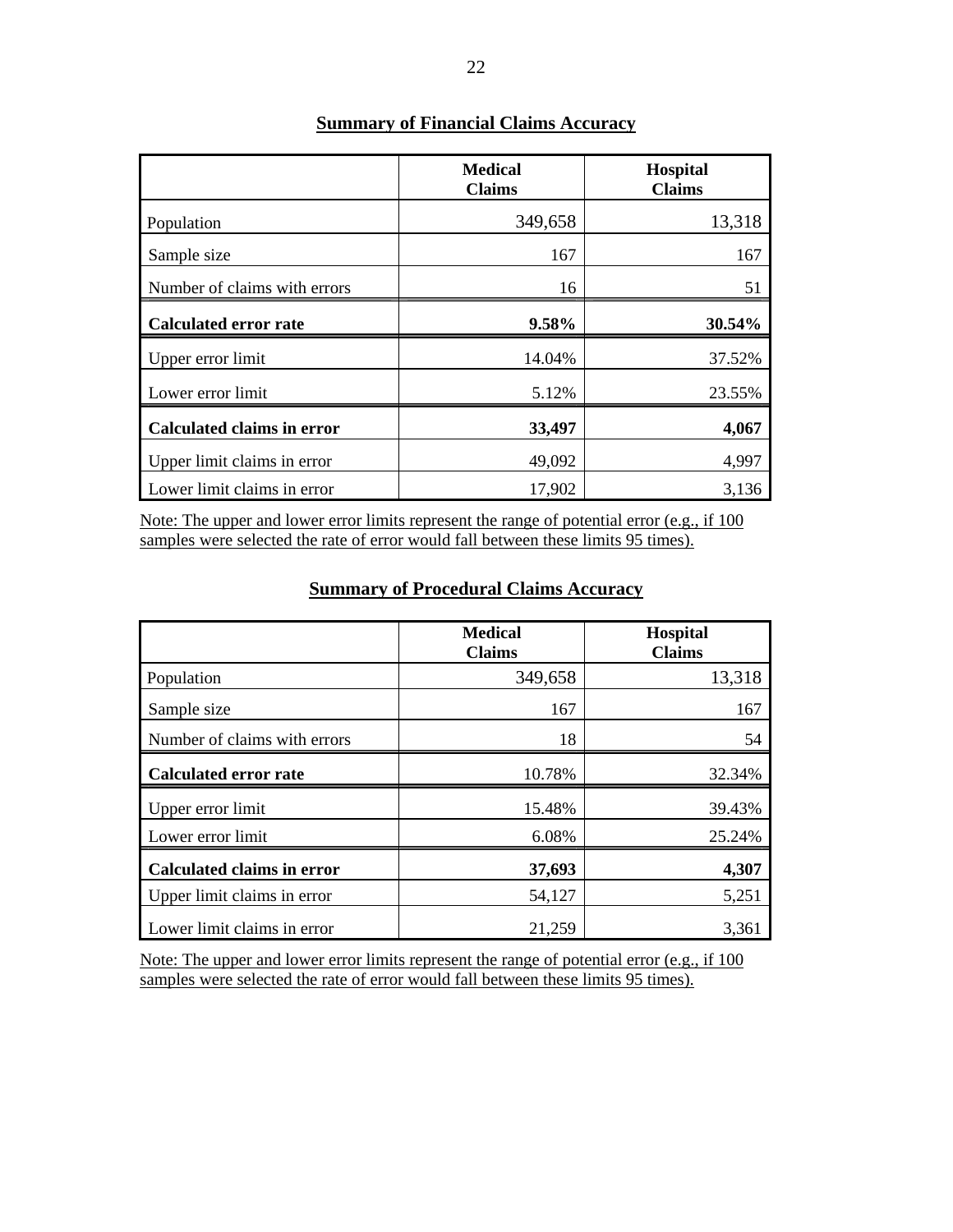|                                   | <b>Medical</b><br><b>Claims</b> | <b>Hospital</b><br><b>Claims</b> |
|-----------------------------------|---------------------------------|----------------------------------|
| Population                        | 349,658                         | 13,318                           |
| Sample size                       | 167                             | 167                              |
| Number of claims with errors      | 16                              | 51                               |
| <b>Calculated error rate</b>      | 9.58%                           | 30.54%                           |
| Upper error limit                 | 14.04%                          | 37.52%                           |
| Lower error limit                 | 5.12%                           | 23.55%                           |
| <b>Calculated claims in error</b> | 33,497                          | 4,067                            |
| Upper limit claims in error       | 49,092                          | 4,997                            |
| Lower limit claims in error       | 17,902                          | 3,136                            |

## **Summary of Financial Claims Accuracy**

Note: The upper and lower error limits represent the range of potential error (e.g., if 100 samples were selected the rate of error would fall between these limits 95 times).

|                                   | <b>Medical</b><br><b>Claims</b> | <b>Hospital</b><br><b>Claims</b> |
|-----------------------------------|---------------------------------|----------------------------------|
| Population                        | 349,658                         | 13,318                           |
| Sample size                       | 167                             | 167                              |
| Number of claims with errors      | 18                              | 54                               |
| <b>Calculated error rate</b>      | 10.78%                          | 32.34%                           |
| Upper error limit                 | 15.48%                          | 39.43%                           |
| Lower error limit                 | 6.08%                           | 25.24%                           |
| <b>Calculated claims in error</b> | 37,693                          | 4,307                            |
| Upper limit claims in error       | 54,127                          | 5,251                            |
| Lower limit claims in error       | 21,259                          | 3,361                            |

## **Summary of Procedural Claims Accuracy**

Note: The upper and lower error limits represent the range of potential error (e.g., if 100 samples were selected the rate of error would fall between these limits 95 times).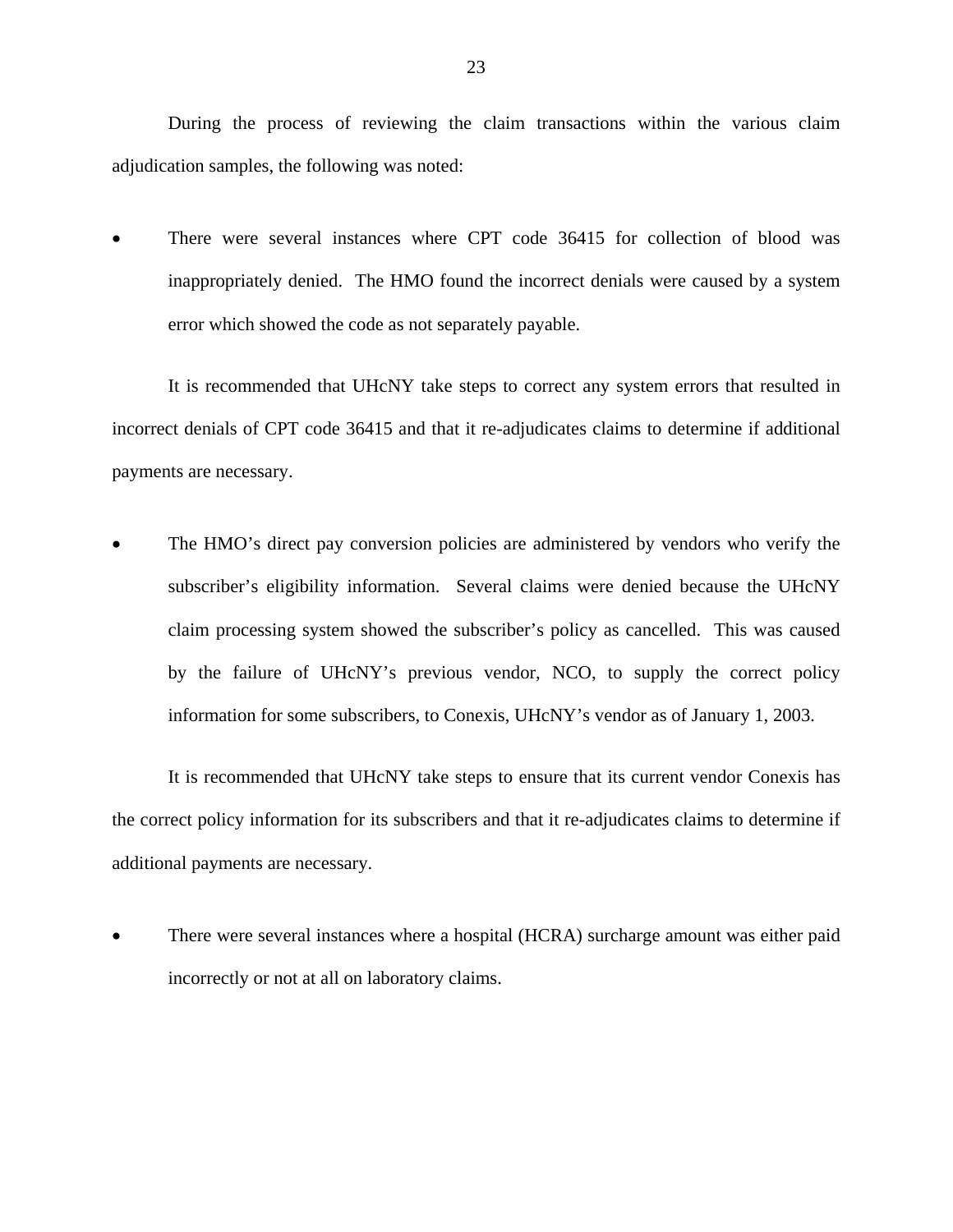During the process of reviewing the claim transactions within the various claim adjudication samples, the following was noted:

There were several instances where CPT code 36415 for collection of blood was inappropriately denied. The HMO found the incorrect denials were caused by a system error which showed the code as not separately payable.

It is recommended that UHcNY take steps to correct any system errors that resulted in incorrect denials of CPT code 36415 and that it re-adjudicates claims to determine if additional payments are necessary.

The HMO's direct pay conversion policies are administered by vendors who verify the subscriber's eligibility information. Several claims were denied because the UHcNY claim processing system showed the subscriber's policy as cancelled. This was caused by the failure of UHcNY's previous vendor, NCO, to supply the correct policy information for some subscribers, to Conexis, UHcNY's vendor as of January 1, 2003.

It is recommended that UHcNY take steps to ensure that its current vendor Conexis has the correct policy information for its subscribers and that it re-adjudicates claims to determine if additional payments are necessary.

• There were several instances where a hospital (HCRA) surcharge amount was either paid incorrectly or not at all on laboratory claims.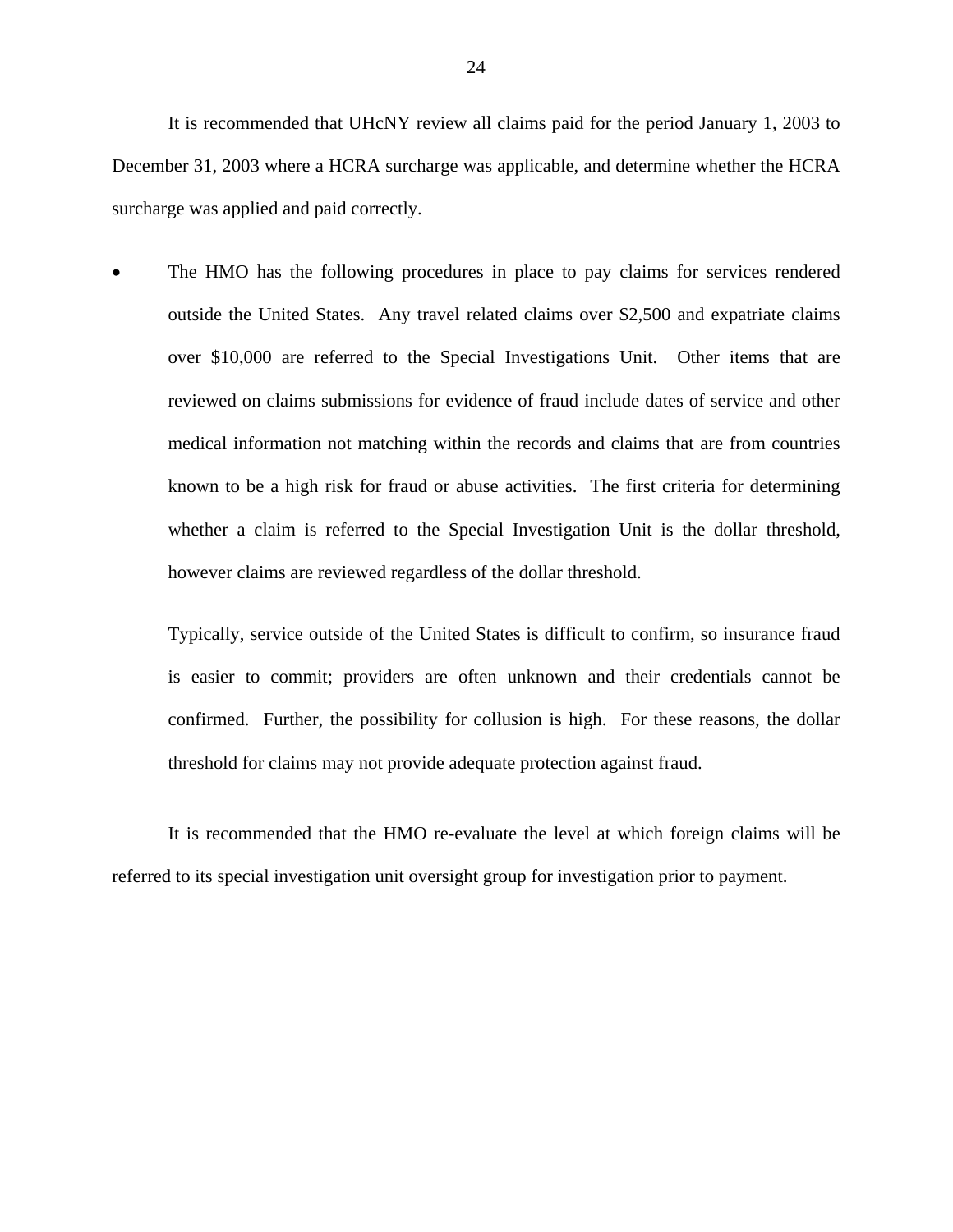It is recommended that UHcNY review all claims paid for the period January 1, 2003 to December 31, 2003 where a HCRA surcharge was applicable, and determine whether the HCRA surcharge was applied and paid correctly.

The HMO has the following procedures in place to pay claims for services rendered outside the United States. Any travel related claims over \$2,500 and expatriate claims over \$10,000 are referred to the Special Investigations Unit. Other items that are reviewed on claims submissions for evidence of fraud include dates of service and other medical information not matching within the records and claims that are from countries known to be a high risk for fraud or abuse activities. The first criteria for determining whether a claim is referred to the Special Investigation Unit is the dollar threshold, however claims are reviewed regardless of the dollar threshold.

Typically, service outside of the United States is difficult to confirm, so insurance fraud is easier to commit; providers are often unknown and their credentials cannot be confirmed. Further, the possibility for collusion is high. For these reasons, the dollar threshold for claims may not provide adequate protection against fraud.

It is recommended that the HMO re-evaluate the level at which foreign claims will be referred to its special investigation unit oversight group for investigation prior to payment.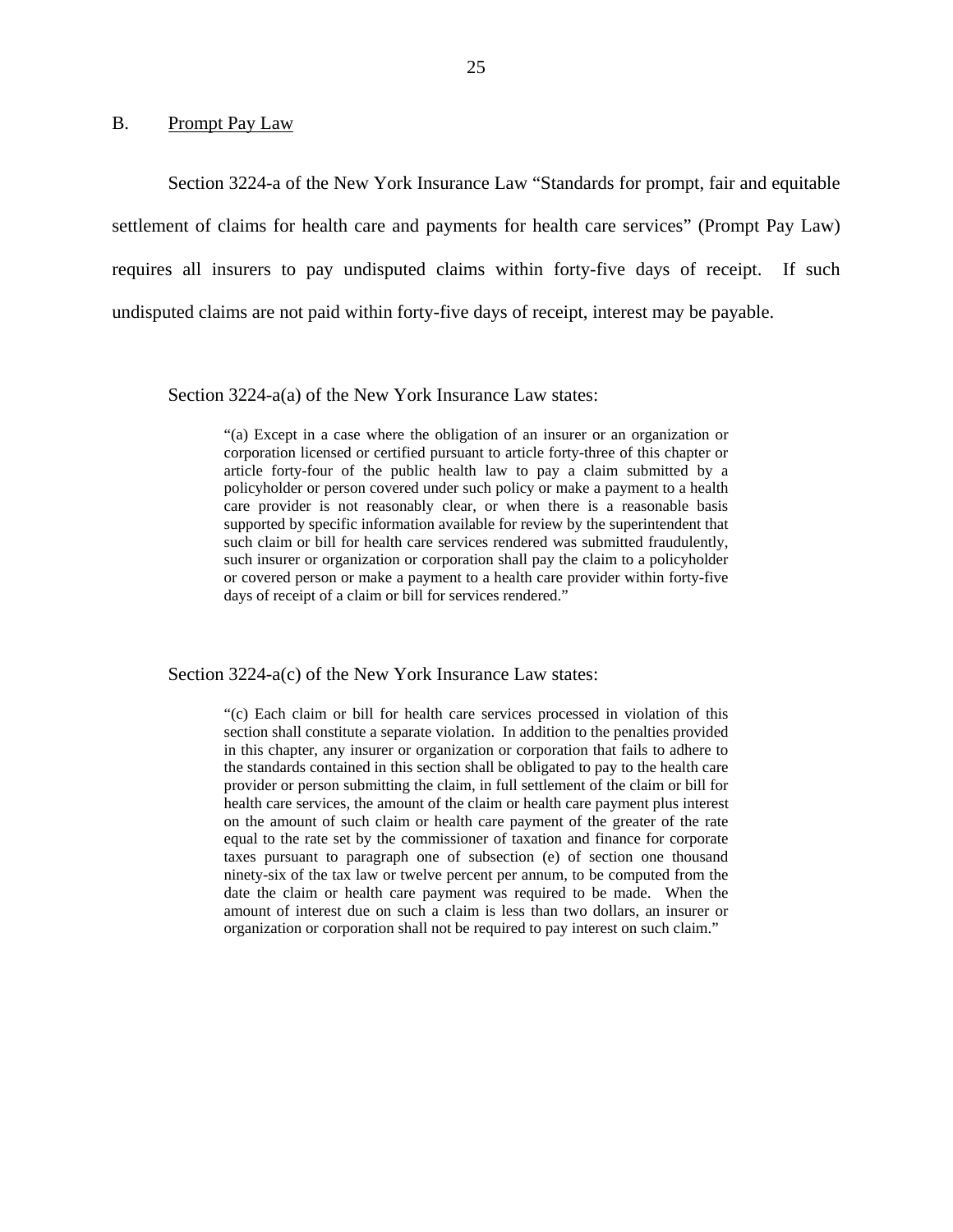### <span id="page-26-0"></span>B. Prompt Pay Law

Section 3224-a of the New York Insurance Law "Standards for prompt, fair and equitable settlement of claims for health care and payments for health care services" (Prompt Pay Law) requires all insurers to pay undisputed claims within forty-five days of receipt. If such undisputed claims are not paid within forty-five days of receipt, interest may be payable.

Section 3224-a(a) of the New York Insurance Law states:

"(a) Except in a case where the obligation of an insurer or an organization or corporation licensed or certified pursuant to article forty-three of this chapter or article forty-four of the public health law to pay a claim submitted by a policyholder or person covered under such policy or make a payment to a health care provider is not reasonably clear, or when there is a reasonable basis supported by specific information available for review by the superintendent that such claim or bill for health care services rendered was submitted fraudulently, such insurer or organization or corporation shall pay the claim to a policyholder or covered person or make a payment to a health care provider within forty-five days of receipt of a claim or bill for services rendered."

Section 3224-a(c) of the New York Insurance Law states:

 the standards contained in this section shall be obligated to pay to the health care "(c) Each claim or bill for health care services processed in violation of this section shall constitute a separate violation. In addition to the penalties provided in this chapter, any insurer or organization or corporation that fails to adhere to provider or person submitting the claim, in full settlement of the claim or bill for health care services, the amount of the claim or health care payment plus interest on the amount of such claim or health care payment of the greater of the rate equal to the rate set by the commissioner of taxation and finance for corporate taxes pursuant to paragraph one of subsection (e) of section one thousand ninety-six of the tax law or twelve percent per annum, to be computed from the date the claim or health care payment was required to be made. When the amount of interest due on such a claim is less than two dollars, an insurer or organization or corporation shall not be required to pay interest on such claim."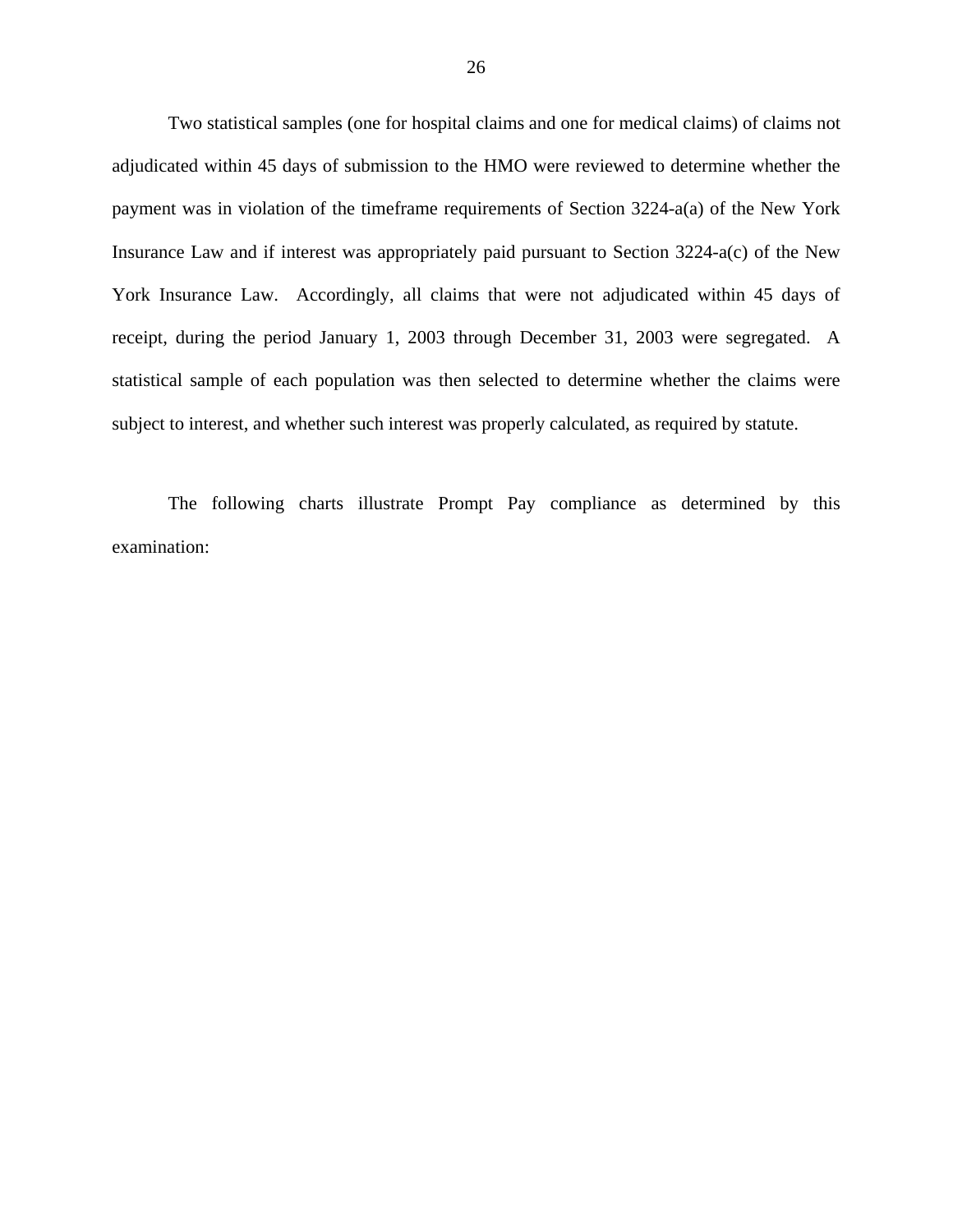Two statistical samples (one for hospital claims and one for medical claims) of claims not adjudicated within 45 days of submission to the HMO were reviewed to determine whether the payment was in violation of the timeframe requirements of Section 3224-a(a) of the New York Insurance Law and if interest was appropriately paid pursuant to Section 3224-a(c) of the New York Insurance Law. Accordingly, all claims that were not adjudicated within 45 days of receipt, during the period January 1, 2003 through December 31, 2003 were segregated. A statistical sample of each population was then selected to determine whether the claims were subject to interest, and whether such interest was properly calculated, as required by statute.

The following charts illustrate Prompt Pay compliance as determined by this examination: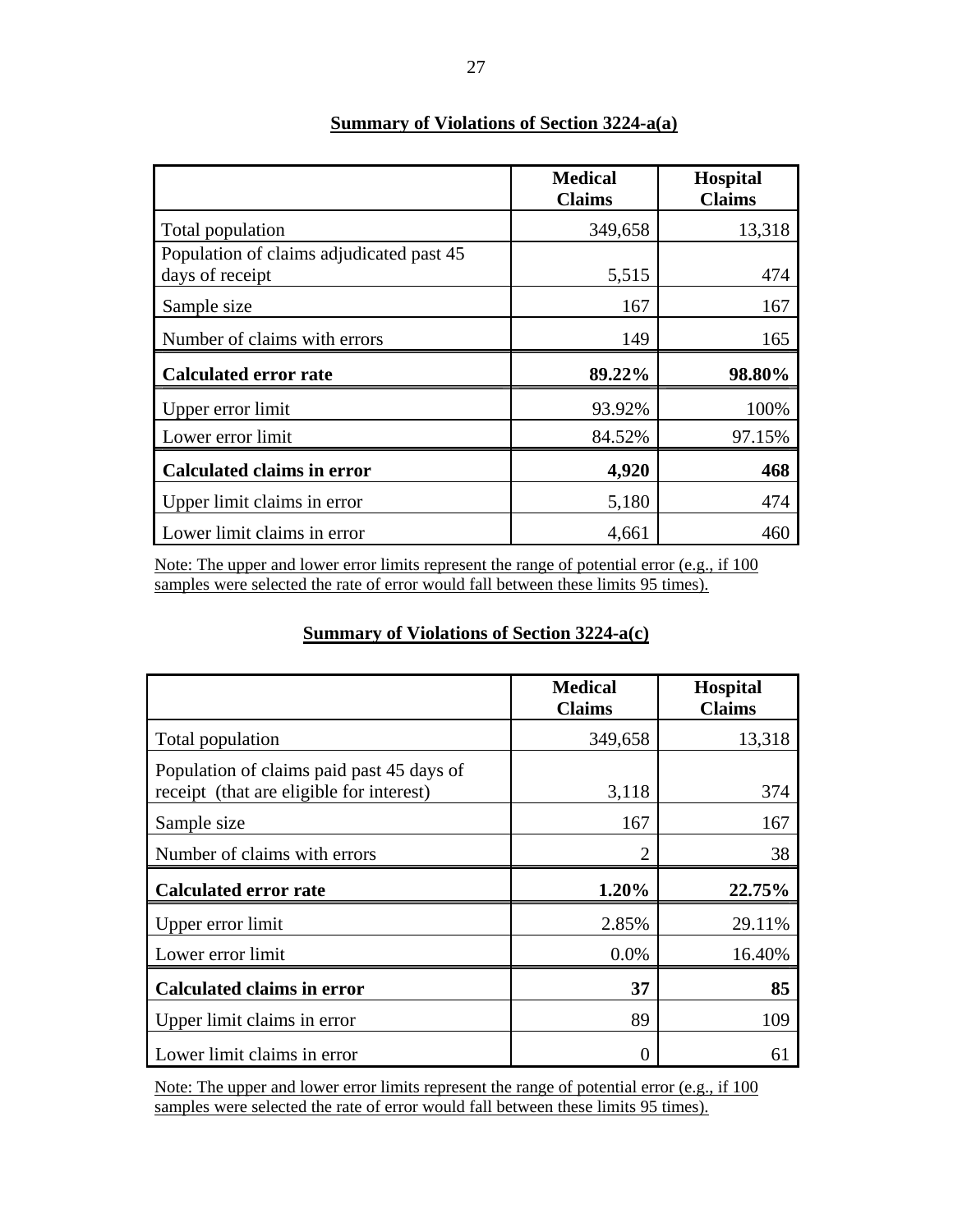|                                          | <b>Medical</b><br><b>Claims</b> | <b>Hospital</b><br><b>Claims</b> |
|------------------------------------------|---------------------------------|----------------------------------|
| Total population                         | 349,658                         | 13,318                           |
| Population of claims adjudicated past 45 |                                 |                                  |
| days of receipt                          | 5,515                           | 474                              |
| Sample size                              | 167                             | 167                              |
| Number of claims with errors             | 149                             | 165                              |
| <b>Calculated error rate</b>             | 89.22%                          | 98.80%                           |
| Upper error limit                        | 93.92%                          | 100%                             |
| Lower error limit                        | 84.52%                          | 97.15%                           |
| <b>Calculated claims in error</b>        | 4,920                           | 468                              |
| Upper limit claims in error              | 5,180                           | 474                              |
| Lower limit claims in error              | 4,661                           | 460                              |

## **Summary of Violations of Section 3224-a(a)**

Note: The upper and lower error limits represent the range of potential error (e.g., if 100 samples were selected the rate of error would fall between these limits 95 times).

## **Summary of Violations of Section 3224-a(c)**

|                                                                                       | <b>Medical</b><br><b>Claims</b> | <b>Hospital</b><br><b>Claims</b> |
|---------------------------------------------------------------------------------------|---------------------------------|----------------------------------|
| Total population                                                                      | 349,658                         | 13,318                           |
| Population of claims paid past 45 days of<br>receipt (that are eligible for interest) | 3,118                           | 374                              |
| Sample size                                                                           | 167                             | 167                              |
| Number of claims with errors                                                          | 2                               | 38                               |
| <b>Calculated error rate</b>                                                          | 1.20%                           | 22.75%                           |
| Upper error limit                                                                     | 2.85%                           | 29.11%                           |
| Lower error limit                                                                     | 0.0%                            | 16.40%                           |
| <b>Calculated claims in error</b>                                                     | 37                              | 85                               |
| Upper limit claims in error                                                           | 89                              | 109                              |
| Lower limit claims in error                                                           |                                 | 61                               |

Note: The upper and lower error limits represent the range of potential error (e.g., if 100 samples were selected the rate of error would fall between these limits 95 times).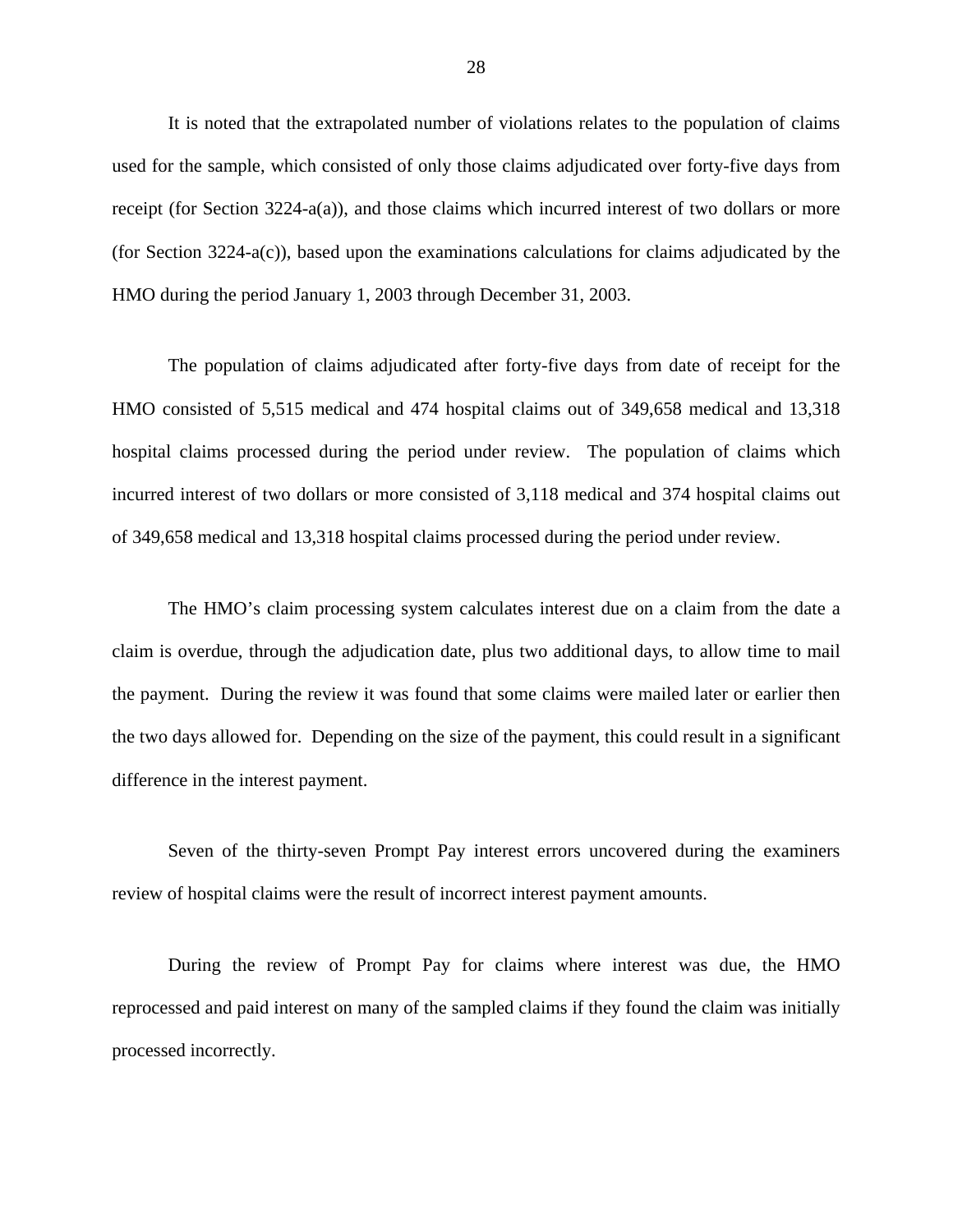It is noted that the extrapolated number of violations relates to the population of claims used for the sample, which consisted of only those claims adjudicated over forty-five days from receipt (for Section 3224-a(a)), and those claims which incurred interest of two dollars or more (for Section 3224-a(c)), based upon the examinations calculations for claims adjudicated by the HMO during the period January 1, 2003 through December 31, 2003.

The population of claims adjudicated after forty-five days from date of receipt for the HMO consisted of 5,515 medical and 474 hospital claims out of 349,658 medical and 13,318 hospital claims processed during the period under review. The population of claims which incurred interest of two dollars or more consisted of 3,118 medical and 374 hospital claims out of 349,658 medical and 13,318 hospital claims processed during the period under review.

The HMO's claim processing system calculates interest due on a claim from the date a claim is overdue, through the adjudication date, plus two additional days, to allow time to mail the payment. During the review it was found that some claims were mailed later or earlier then the two days allowed for. Depending on the size of the payment, this could result in a significant difference in the interest payment.

Seven of the thirty-seven Prompt Pay interest errors uncovered during the examiners review of hospital claims were the result of incorrect interest payment amounts.

During the review of Prompt Pay for claims where interest was due, the HMO reprocessed and paid interest on many of the sampled claims if they found the claim was initially processed incorrectly.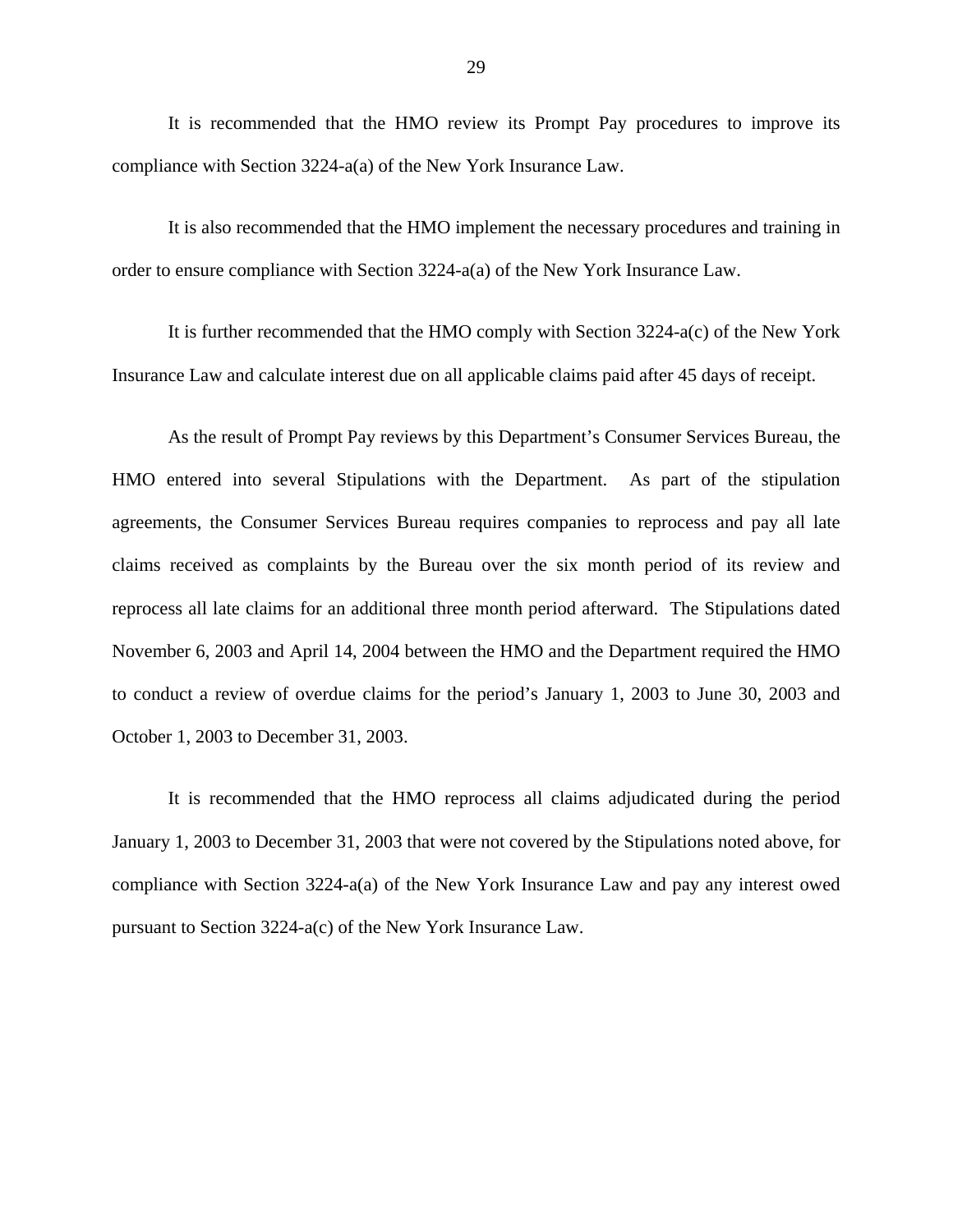It is recommended that the HMO review its Prompt Pay procedures to improve its compliance with Section 3224-a(a) of the New York Insurance Law.

It is also recommended that the HMO implement the necessary procedures and training in order to ensure compliance with Section 3224-a(a) of the New York Insurance Law.

It is further recommended that the HMO comply with Section 3224-a(c) of the New York Insurance Law and calculate interest due on all applicable claims paid after 45 days of receipt.

As the result of Prompt Pay reviews by this Department's Consumer Services Bureau, the HMO entered into several Stipulations with the Department. As part of the stipulation agreements, the Consumer Services Bureau requires companies to reprocess and pay all late claims received as complaints by the Bureau over the six month period of its review and reprocess all late claims for an additional three month period afterward. The Stipulations dated November 6, 2003 and April 14, 2004 between the HMO and the Department required the HMO to conduct a review of overdue claims for the period's January 1, 2003 to June 30, 2003 and October 1, 2003 to December 31, 2003.

It is recommended that the HMO reprocess all claims adjudicated during the period January 1, 2003 to December 31, 2003 that were not covered by the Stipulations noted above, for compliance with Section 3224-a(a) of the New York Insurance Law and pay any interest owed pursuant to Section 3224-a(c) of the New York Insurance Law.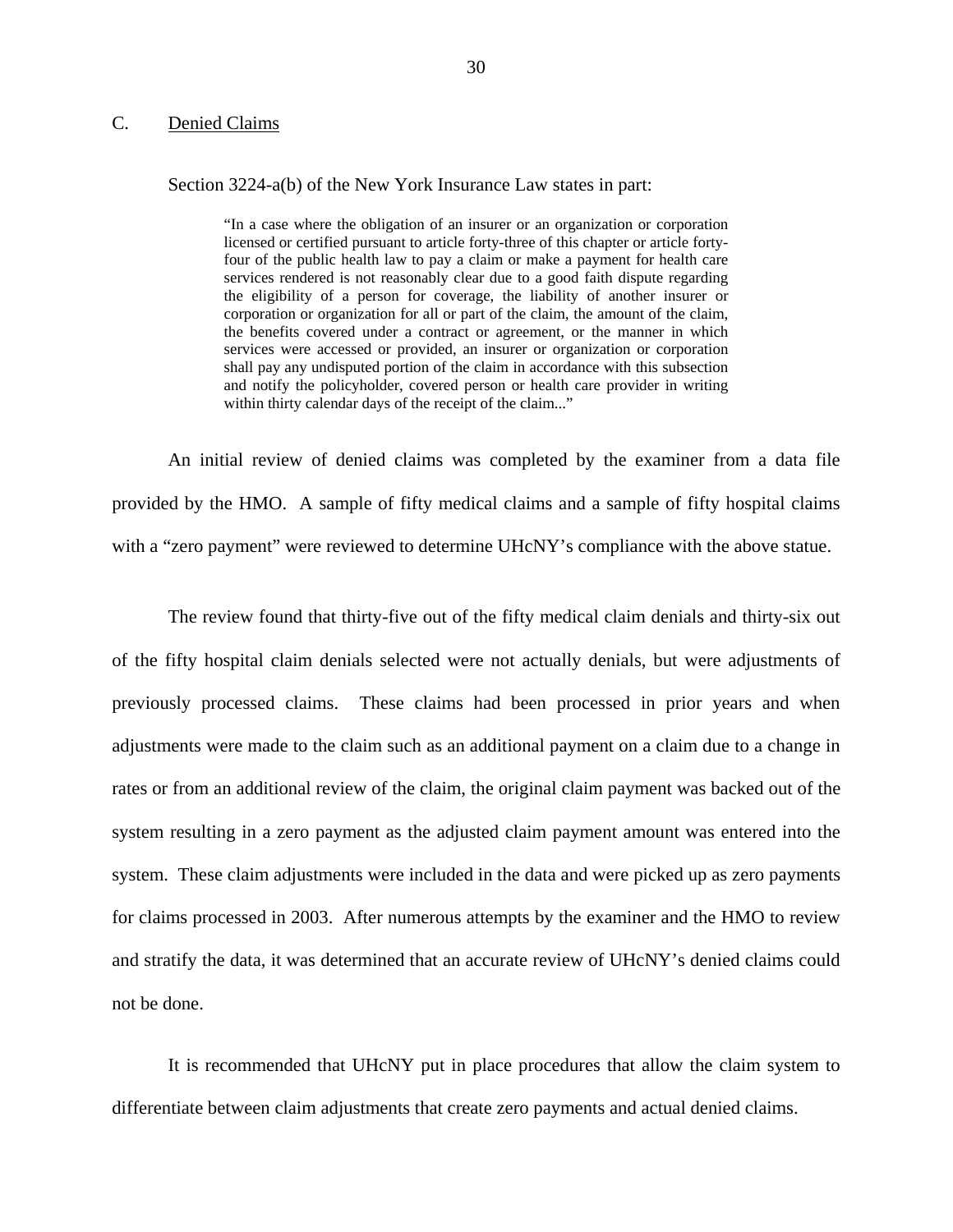## <span id="page-31-0"></span>C. Denied Claims

### Section 3224-a(b) of the New York Insurance Law states in part:

 licensed or certified pursuant to article forty-three of this chapter or article forty- the benefits covered under a contract or agreement, or the manner in which and notify the policyholder, covered person or health care provider in writing "In a case where the obligation of an insurer or an organization or corporation four of the public health law to pay a claim or make a payment for health care services rendered is not reasonably clear due to a good faith dispute regarding the eligibility of a person for coverage, the liability of another insurer or corporation or organization for all or part of the claim, the amount of the claim, services were accessed or provided, an insurer or organization or corporation shall pay any undisputed portion of the claim in accordance with this subsection within thirty calendar days of the receipt of the claim..."

An initial review of denied claims was completed by the examiner from a data file provided by the HMO. A sample of fifty medical claims and a sample of fifty hospital claims with a "zero payment" were reviewed to determine UHcNY's compliance with the above statue.

The review found that thirty-five out of the fifty medical claim denials and thirty-six out of the fifty hospital claim denials selected were not actually denials, but were adjustments of previously processed claims. These claims had been processed in prior years and when adjustments were made to the claim such as an additional payment on a claim due to a change in rates or from an additional review of the claim, the original claim payment was backed out of the system resulting in a zero payment as the adjusted claim payment amount was entered into the system. These claim adjustments were included in the data and were picked up as zero payments for claims processed in 2003. After numerous attempts by the examiner and the HMO to review and stratify the data, it was determined that an accurate review of UHcNY's denied claims could not be done.

It is recommended that UHcNY put in place procedures that allow the claim system to differentiate between claim adjustments that create zero payments and actual denied claims.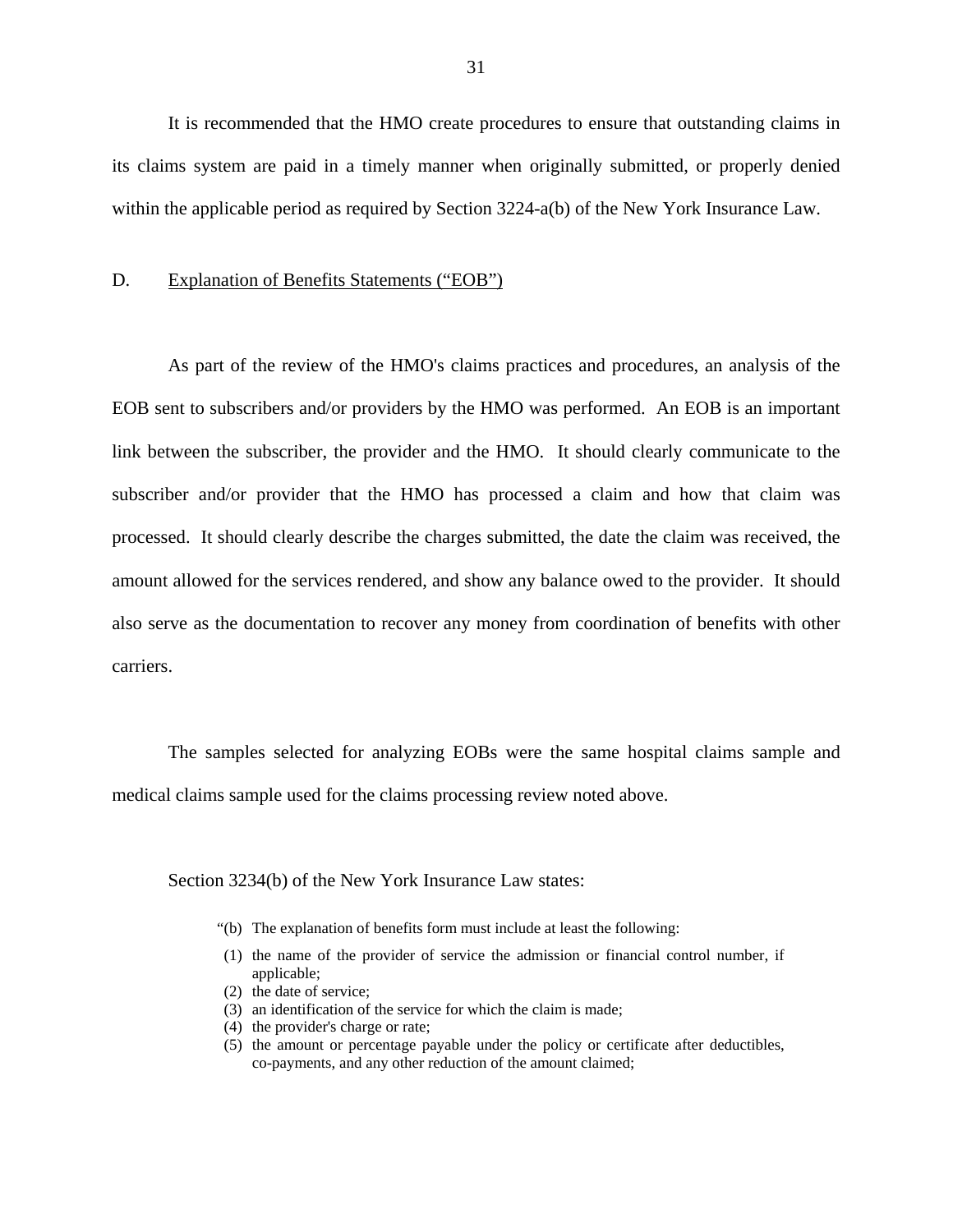<span id="page-32-0"></span>It is recommended that the HMO create procedures to ensure that outstanding claims in its claims system are paid in a timely manner when originally submitted, or properly denied within the applicable period as required by Section 3224-a(b) of the New York Insurance Law.

### D. Explanation of Benefits Statements ("EOB")

As part of the review of the HMO's claims practices and procedures, an analysis of the EOB sent to subscribers and/or providers by the HMO was performed. An EOB is an important link between the subscriber, the provider and the HMO. It should clearly communicate to the subscriber and/or provider that the HMO has processed a claim and how that claim was processed. It should clearly describe the charges submitted, the date the claim was received, the amount allowed for the services rendered, and show any balance owed to the provider. It should also serve as the documentation to recover any money from coordination of benefits with other carriers.

The samples selected for analyzing EOBs were the same hospital claims sample and medical claims sample used for the claims processing review noted above.

Section 3234(b) of the New York Insurance Law states:

- "(b) The explanation of benefits form must include at least the following:
- (1) the name of the provider of service the admission or financial control number, if applicable;
- (2) the date of service;
- (3) an identification of the service for which the claim is made;
- (4) the provider's charge or rate;
- co-payments, and any other reduction of the amount claimed; (5) the amount or percentage payable under the policy or certificate after deductibles,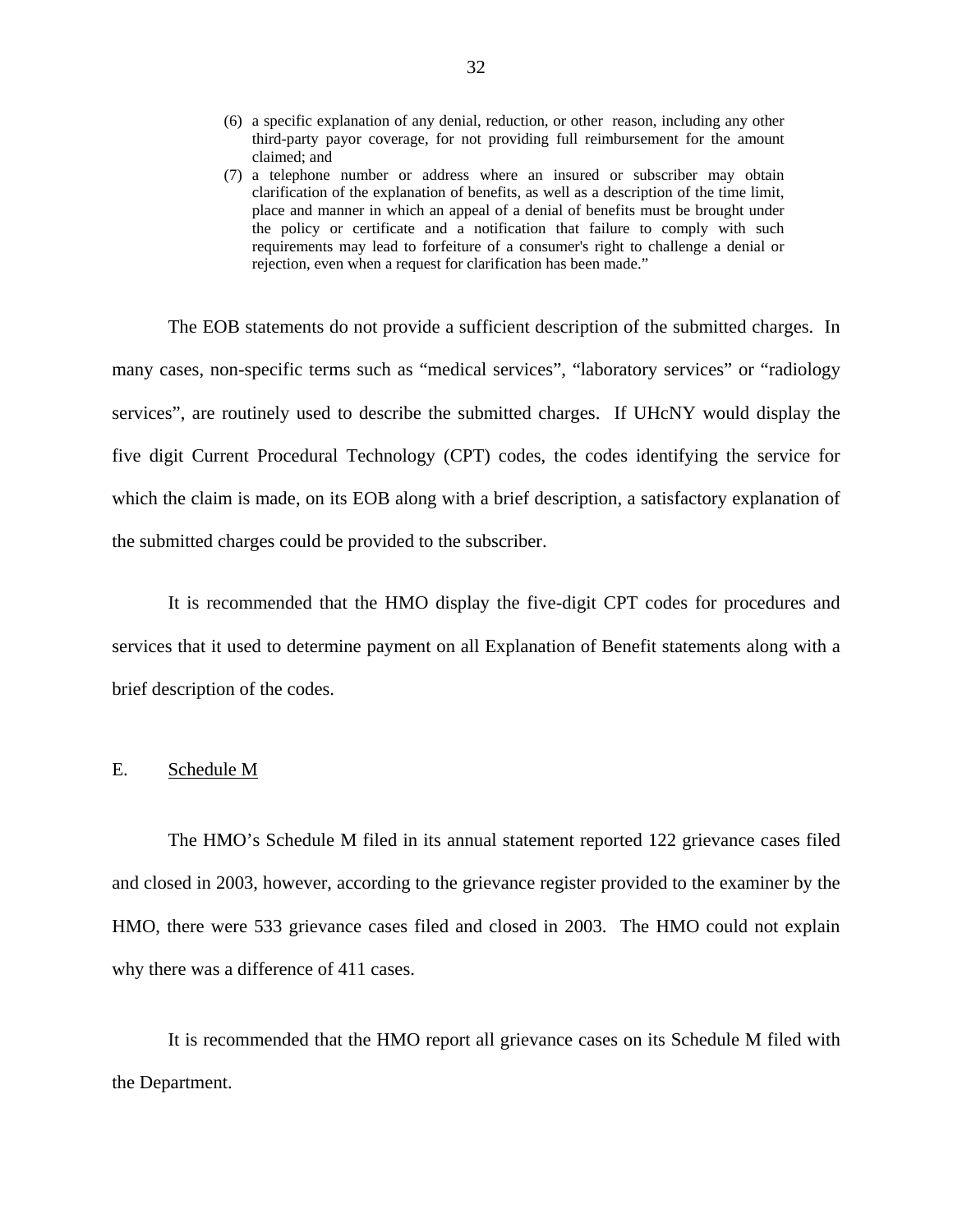- <span id="page-33-0"></span>(6) a specific explanation of any denial, reduction, or other reason, including any other third-party payor coverage, for not providing full reimbursement for the amount claimed; and
- (7) a telephone number or address where an insured or subscriber may obtain clarification of the explanation of benefits, as well as a description of the time limit, place and manner in which an appeal of a denial of benefits must be brought under the policy or certificate and a notification that failure to comply with such requirements may lead to forfeiture of a consumer's right to challenge a denial or rejection, even when a request for clarification has been made."

The EOB statements do not provide a sufficient description of the submitted charges. In many cases, non-specific terms such as "medical services", "laboratory services" or "radiology services", are routinely used to describe the submitted charges. If UHcNY would display the five digit Current Procedural Technology (CPT) codes, the codes identifying the service for which the claim is made, on its EOB along with a brief description, a satisfactory explanation of the submitted charges could be provided to the subscriber.

It is recommended that the HMO display the five-digit CPT codes for procedures and services that it used to determine payment on all Explanation of Benefit statements along with a brief description of the codes.

## E. Schedule M

The HMO's Schedule M filed in its annual statement reported 122 grievance cases filed and closed in 2003, however, according to the grievance register provided to the examiner by the HMO, there were 533 grievance cases filed and closed in 2003. The HMO could not explain why there was a difference of 411 cases.

It is recommended that the HMO report all grievance cases on its Schedule M filed with the Department.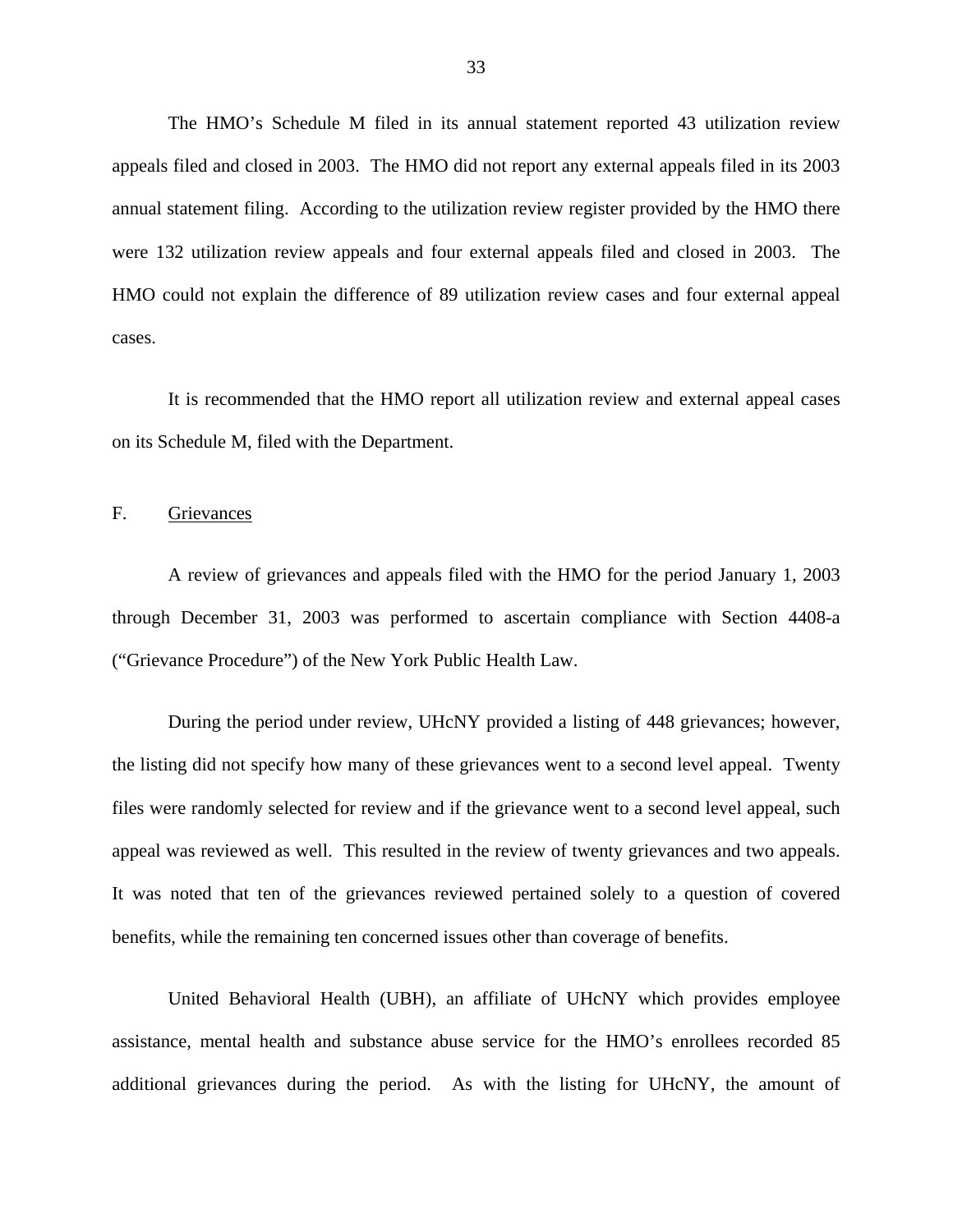<span id="page-34-0"></span>The HMO's Schedule M filed in its annual statement reported 43 utilization review appeals filed and closed in 2003. The HMO did not report any external appeals filed in its 2003 annual statement filing. According to the utilization review register provided by the HMO there were 132 utilization review appeals and four external appeals filed and closed in 2003. The HMO could not explain the difference of 89 utilization review cases and four external appeal cases.

It is recommended that the HMO report all utilization review and external appeal cases on its Schedule M, filed with the Department.

## F. Grievances

A review of grievances and appeals filed with the HMO for the period January 1, 2003 through December 31, 2003 was performed to ascertain compliance with Section 4408-a ("Grievance Procedure") of the New York Public Health Law.

During the period under review, UHcNY provided a listing of 448 grievances; however, the listing did not specify how many of these grievances went to a second level appeal. Twenty files were randomly selected for review and if the grievance went to a second level appeal, such appeal was reviewed as well. This resulted in the review of twenty grievances and two appeals. It was noted that ten of the grievances reviewed pertained solely to a question of covered benefits, while the remaining ten concerned issues other than coverage of benefits.

United Behavioral Health (UBH), an affiliate of UHcNY which provides employee assistance, mental health and substance abuse service for the HMO's enrollees recorded 85 additional grievances during the period. As with the listing for UHcNY, the amount of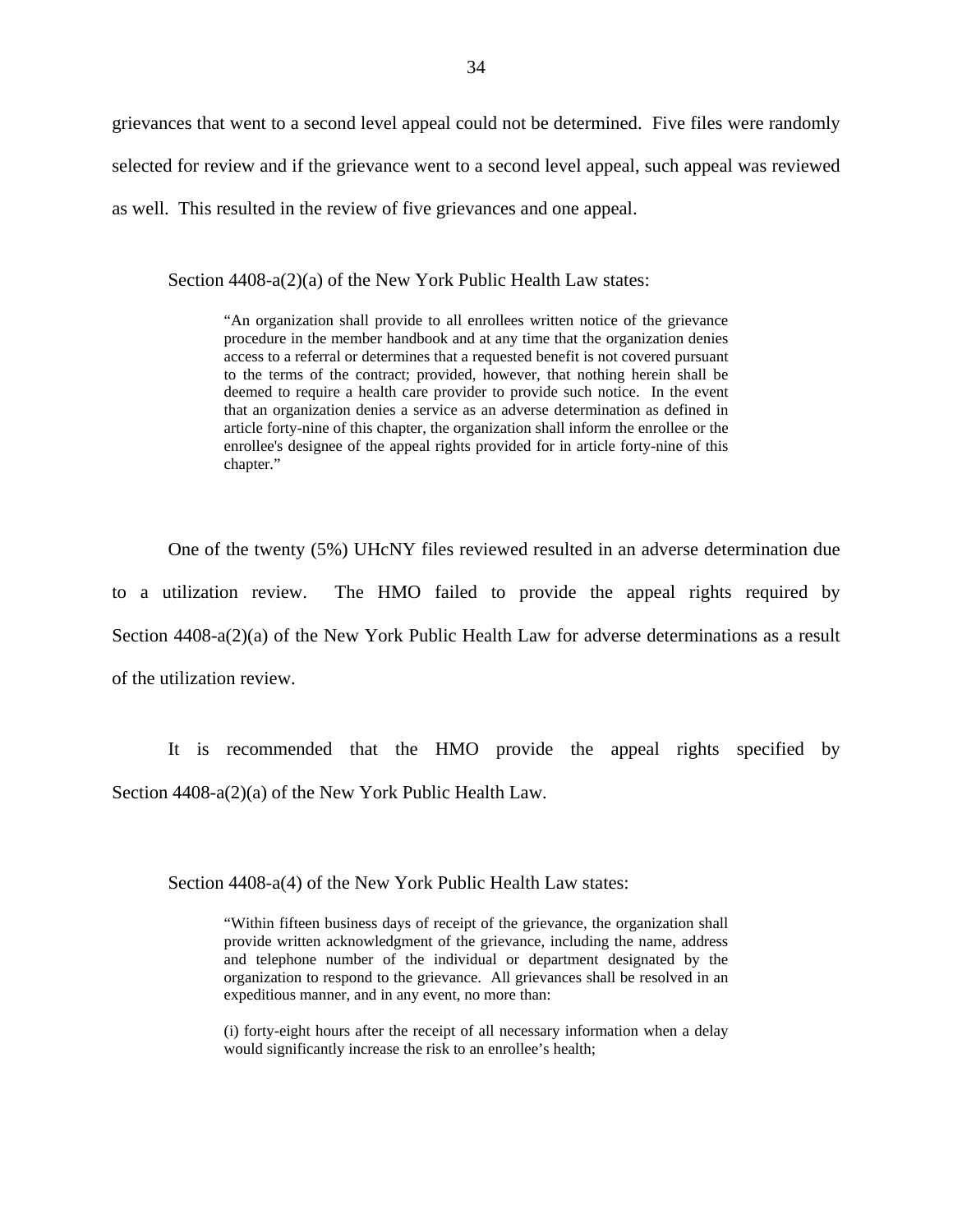grievances that went to a second level appeal could not be determined. Five files were randomly selected for review and if the grievance went to a second level appeal, such appeal was reviewed as well. This resulted in the review of five grievances and one appeal.

Section 4408-a(2)(a) of the New York Public Health Law states:

 to the terms of the contract; provided, however, that nothing herein shall be "An organization shall provide to all enrollees written notice of the grievance procedure in the member handbook and at any time that the organization denies access to a referral or determines that a requested benefit is not covered pursuant deemed to require a health care provider to provide such notice. In the event that an organization denies a service as an adverse determination as defined in article forty-nine of this chapter, the organization shall inform the enrollee or the enrollee's designee of the appeal rights provided for in article forty-nine of this chapter."

One of the twenty (5%) UHcNY files reviewed resulted in an adverse determination due to a utilization review. The HMO failed to provide the appeal rights required by Section 4408-a(2)(a) of the New York Public Health Law for adverse determinations as a result of the utilization review.

It is recommended that the HMO provide the appeal rights specified by Section 4408-a(2)(a) of the New York Public Health Law.

Section 4408-a(4) of the New York Public Health Law states:

"Within fifteen business days of receipt of the grievance, the organization shall provide written acknowledgment of the grievance, including the name, address and telephone number of the individual or department designated by the organization to respond to the grievance. All grievances shall be resolved in an expeditious manner, and in any event, no more than:

(i) forty-eight hours after the receipt of all necessary information when a delay would significantly increase the risk to an enrollee's health;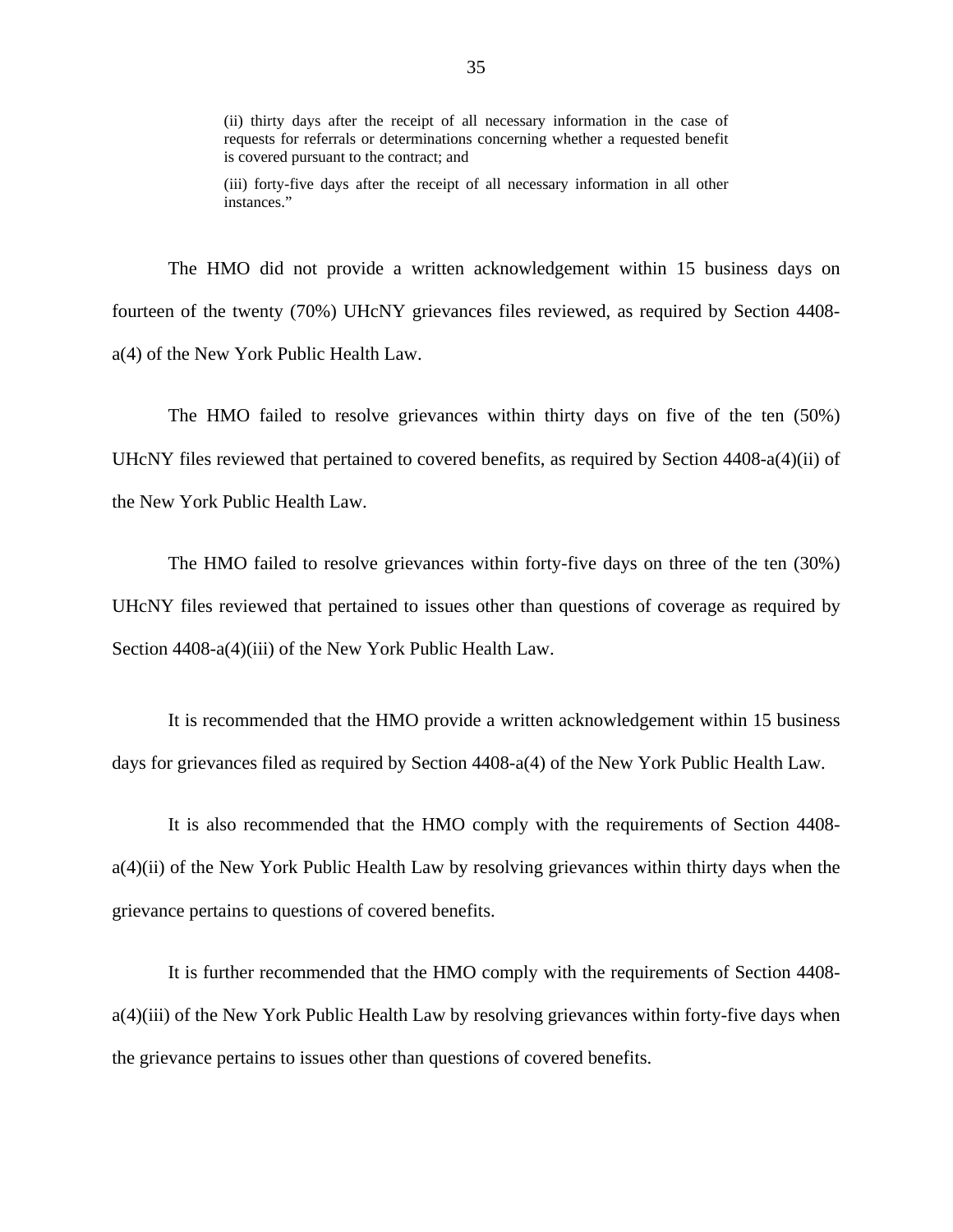requests for referrals or determinations concerning whether a requested benefit (ii) thirty days after the receipt of all necessary information in the case of is covered pursuant to the contract; and

(iii) forty-five days after the receipt of all necessary information in all other instances."

The HMO did not provide a written acknowledgement within 15 business days on fourteen of the twenty (70%) UHcNY grievances files reviewed, as required by Section 4408 a(4) of the New York Public Health Law.

The HMO failed to resolve grievances within thirty days on five of the ten (50%) UHcNY files reviewed that pertained to covered benefits, as required by Section 4408-a(4)(ii) of the New York Public Health Law.

The HMO failed to resolve grievances within forty-five days on three of the ten (30%) UHcNY files reviewed that pertained to issues other than questions of coverage as required by Section 4408-a(4)(iii) of the New York Public Health Law.

It is recommended that the HMO provide a written acknowledgement within 15 business days for grievances filed as required by Section 4408-a(4) of the New York Public Health Law.

It is also recommended that the HMO comply with the requirements of Section 4408 a(4)(ii) of the New York Public Health Law by resolving grievances within thirty days when the grievance pertains to questions of covered benefits.

It is further recommended that the HMO comply with the requirements of Section 4408 a(4)(iii) of the New York Public Health Law by resolving grievances within forty-five days when the grievance pertains to issues other than questions of covered benefits.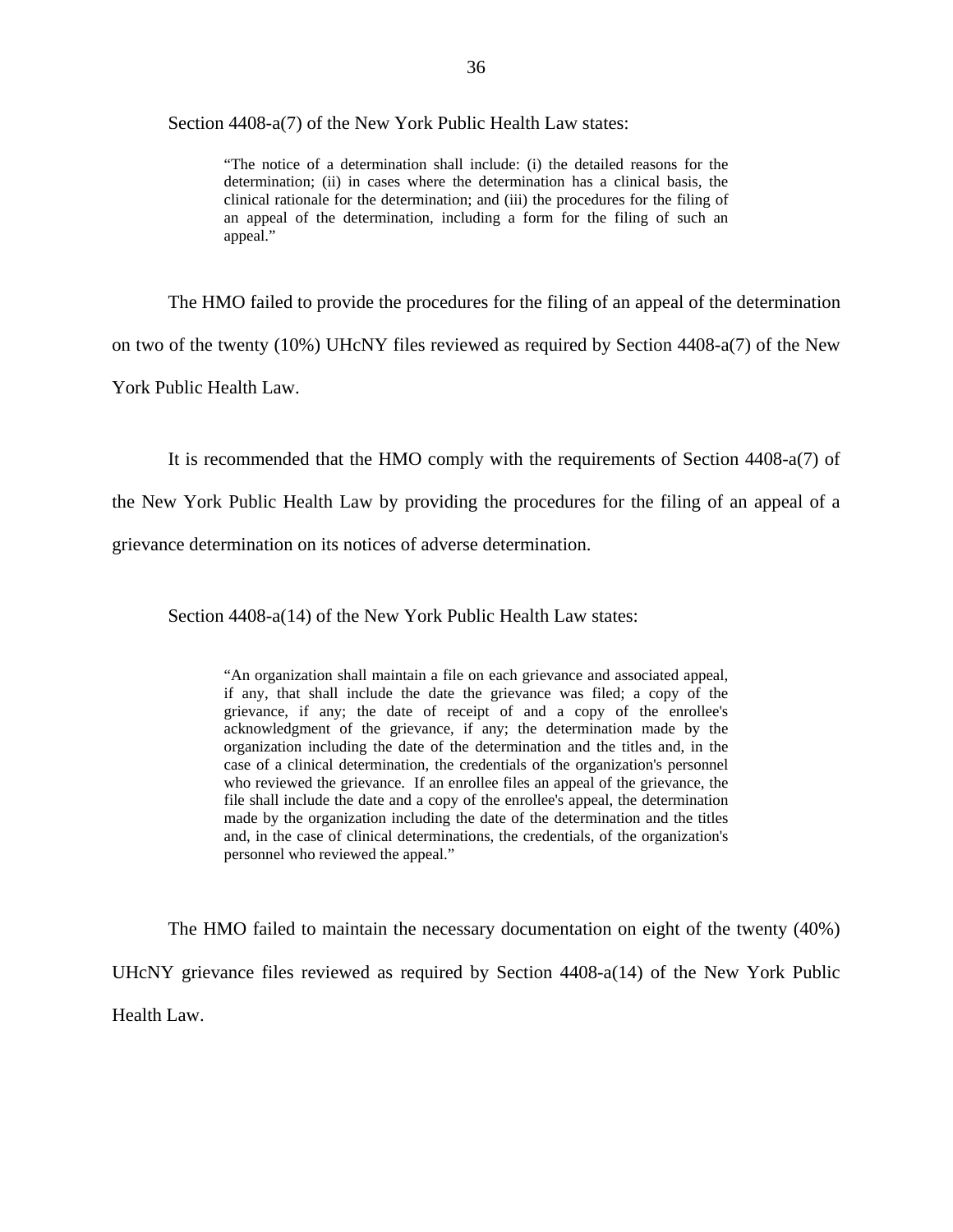Section 4408-a(7) of the New York Public Health Law states:

 clinical rationale for the determination; and (iii) the procedures for the filing of "The notice of a determination shall include: (i) the detailed reasons for the determination; (ii) in cases where the determination has a clinical basis, the an appeal of the determination, including a form for the filing of such an appeal."

The HMO failed to provide the procedures for the filing of an appeal of the determination

on two of the twenty (10%) UHcNY files reviewed as required by Section 4408-a(7) of the New

York Public Health Law.

It is recommended that the HMO comply with the requirements of Section 4408-a(7) of

the New York Public Health Law by providing the procedures for the filing of an appeal of a

grievance determination on its notices of adverse determination.

Section 4408-a(14) of the New York Public Health Law states:

"An organization shall maintain a file on each grievance and associated appeal, if any, that shall include the date the grievance was filed; a copy of the grievance, if any; the date of receipt of and a copy of the enrollee's acknowledgment of the grievance, if any; the determination made by the organization including the date of the determination and the titles and, in the case of a clinical determination, the credentials of the organization's personnel who reviewed the grievance. If an enrollee files an appeal of the grievance, the file shall include the date and a copy of the enrollee's appeal, the determination made by the organization including the date of the determination and the titles and, in the case of clinical determinations, the credentials, of the organization's personnel who reviewed the appeal."

The HMO failed to maintain the necessary documentation on eight of the twenty (40%) UHcNY grievance files reviewed as required by Section 4408-a(14) of the New York Public Health Law.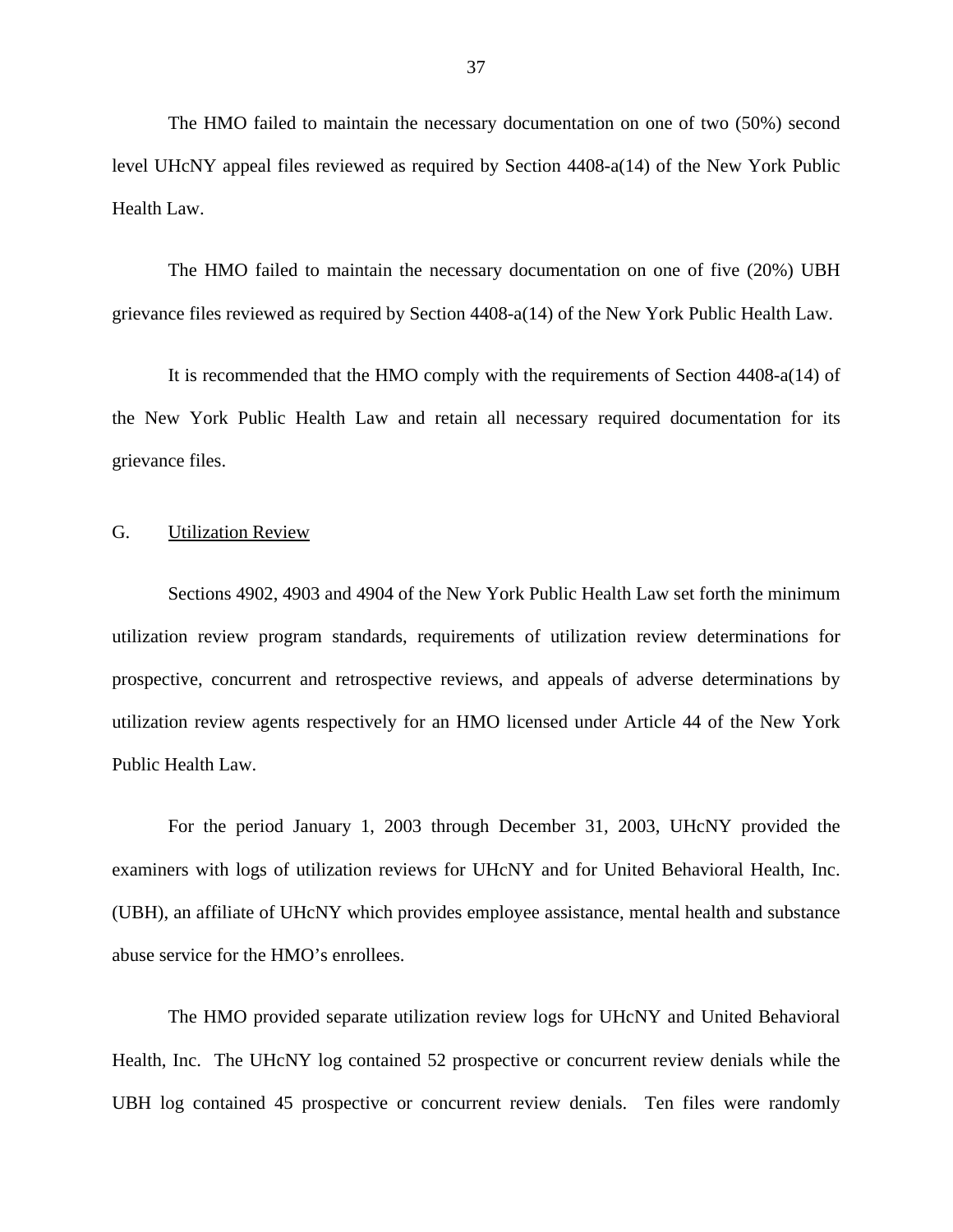<span id="page-38-0"></span>The HMO failed to maintain the necessary documentation on one of two (50%) second level UHcNY appeal files reviewed as required by Section 4408-a(14) of the New York Public Health Law.

The HMO failed to maintain the necessary documentation on one of five (20%) UBH grievance files reviewed as required by Section 4408-a(14) of the New York Public Health Law.

It is recommended that the HMO comply with the requirements of Section 4408-a(14) of the New York Public Health Law and retain all necessary required documentation for its grievance files.

## G. Utilization Review

Sections 4902, 4903 and 4904 of the New York Public Health Law set forth the minimum utilization review program standards, requirements of utilization review determinations for prospective, concurrent and retrospective reviews, and appeals of adverse determinations by utilization review agents respectively for an HMO licensed under Article 44 of the New York Public Health Law.

For the period January 1, 2003 through December 31, 2003, UHcNY provided the examiners with logs of utilization reviews for UHcNY and for United Behavioral Health, Inc. (UBH), an affiliate of UHcNY which provides employee assistance, mental health and substance abuse service for the HMO's enrollees.

The HMO provided separate utilization review logs for UHcNY and United Behavioral Health, Inc. The UHcNY log contained 52 prospective or concurrent review denials while the UBH log contained 45 prospective or concurrent review denials. Ten files were randomly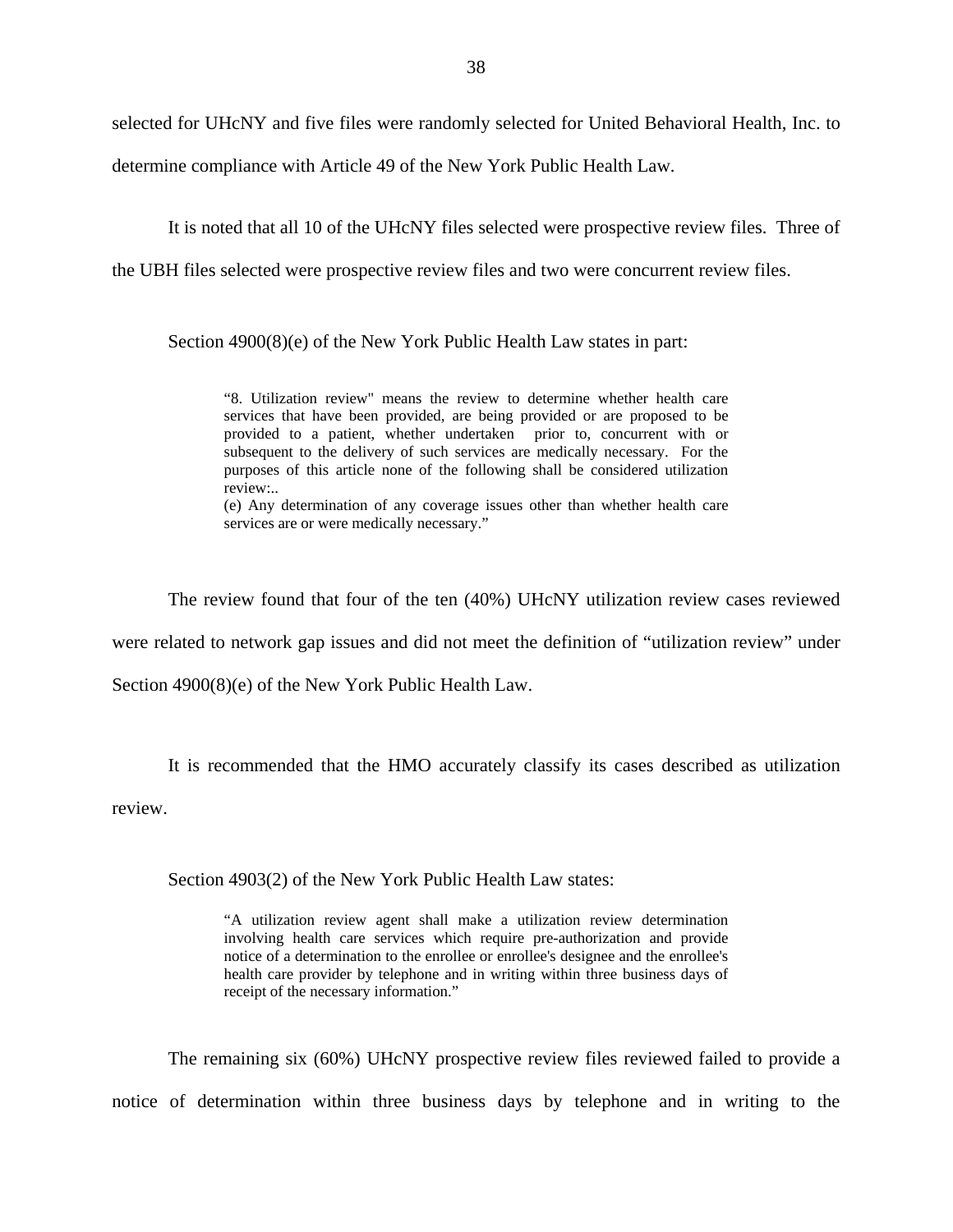selected for UHcNY and five files were randomly selected for United Behavioral Health, Inc. to

determine compliance with Article 49 of the New York Public Health Law.

It is noted that all 10 of the UHcNY files selected were prospective review files. Three of

the UBH files selected were prospective review files and two were concurrent review files.

Section 4900(8)(e) of the New York Public Health Law states in part:

"8. Utilization review" means the review to determine whether health care services that have been provided, are being provided or are proposed to be provided to a patient, whether undertaken prior to, concurrent with or subsequent to the delivery of such services are medically necessary. For the purposes of this article none of the following shall be considered utilization review:..

(e) Any determination of any coverage issues other than whether health care services are or were medically necessary."

The review found that four of the ten (40%) UHcNY utilization review cases reviewed were related to network gap issues and did not meet the definition of "utilization review" under Section 4900(8)(e) of the New York Public Health Law.

It is recommended that the HMO accurately classify its cases described as utilization

review.

Section 4903(2) of the New York Public Health Law states:

 health care provider by telephone and in writing within three business days of "A utilization review agent shall make a utilization review determination involving health care services which require pre-authorization and provide notice of a determination to the enrollee or enrollee's designee and the enrollee's receipt of the necessary information."

The remaining six (60%) UHcNY prospective review files reviewed failed to provide a notice of determination within three business days by telephone and in writing to the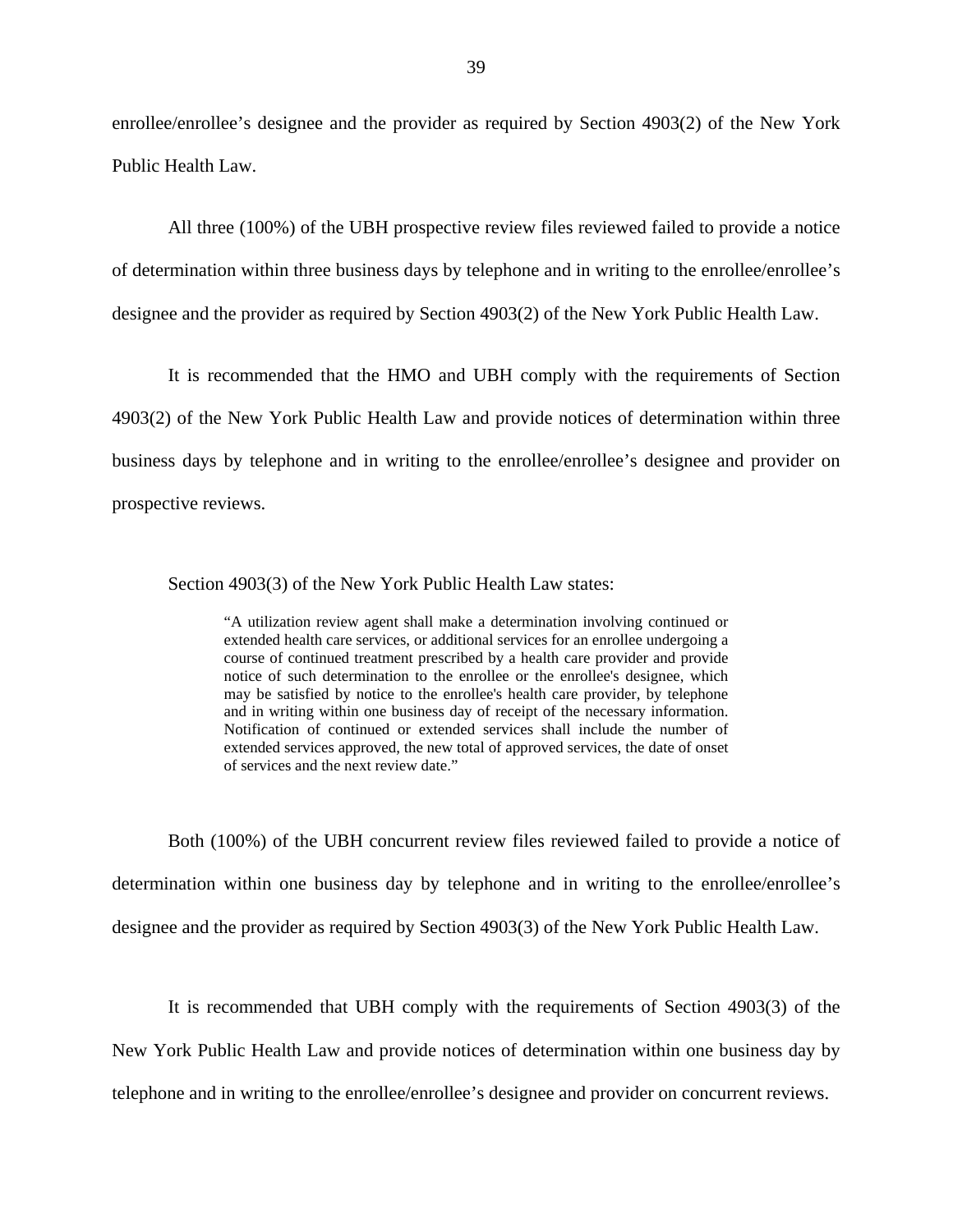enrollee/enrollee's designee and the provider as required by Section 4903(2) of the New York Public Health Law.

All three (100%) of the UBH prospective review files reviewed failed to provide a notice of determination within three business days by telephone and in writing to the enrollee/enrollee's designee and the provider as required by Section 4903(2) of the New York Public Health Law.

It is recommended that the HMO and UBH comply with the requirements of Section 4903(2) of the New York Public Health Law and provide notices of determination within three business days by telephone and in writing to the enrollee/enrollee's designee and provider on prospective reviews.

Section 4903(3) of the New York Public Health Law states:

and in writing within one business day of receipt of the necessary information. "A utilization review agent shall make a determination involving continued or extended health care services, or additional services for an enrollee undergoing a course of continued treatment prescribed by a health care provider and provide notice of such determination to the enrollee or the enrollee's designee, which may be satisfied by notice to the enrollee's health care provider, by telephone Notification of continued or extended services shall include the number of extended services approved, the new total of approved services, the date of onset of services and the next review date."

Both (100%) of the UBH concurrent review files reviewed failed to provide a notice of determination within one business day by telephone and in writing to the enrollee/enrollee's designee and the provider as required by Section 4903(3) of the New York Public Health Law.

It is recommended that UBH comply with the requirements of Section 4903(3) of the New York Public Health Law and provide notices of determination within one business day by telephone and in writing to the enrollee/enrollee's designee and provider on concurrent reviews.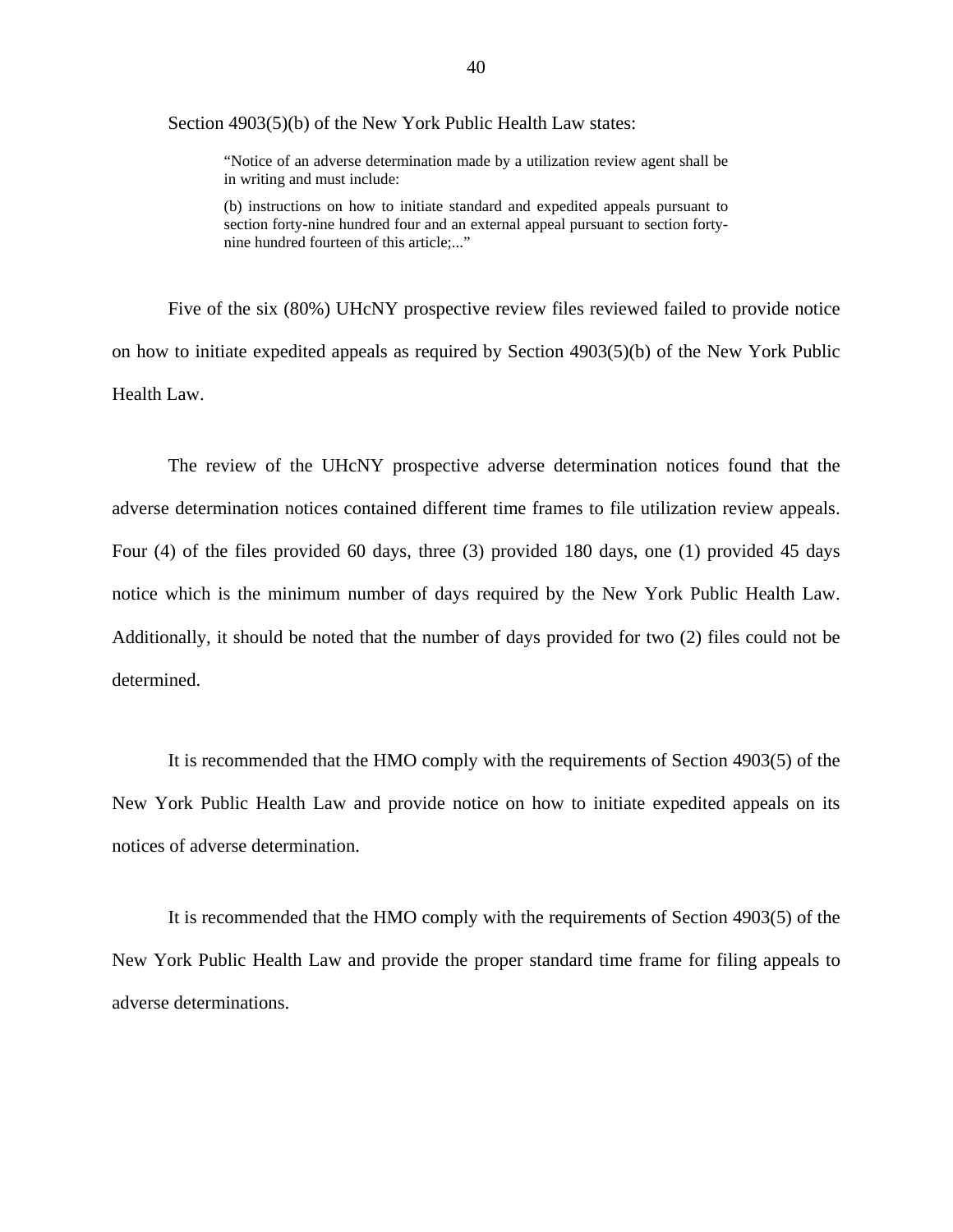Section 4903(5)(b) of the New York Public Health Law states:

"Notice of an adverse determination made by a utilization review agent shall be in writing and must include:

(b) instructions on how to initiate standard and expedited appeals pursuant to section forty-nine hundred four and an external appeal pursuant to section fortynine hundred fourteen of this article;..."

Five of the six (80%) UHcNY prospective review files reviewed failed to provide notice on how to initiate expedited appeals as required by Section 4903(5)(b) of the New York Public Health Law.

The review of the UHcNY prospective adverse determination notices found that the adverse determination notices contained different time frames to file utilization review appeals. Four (4) of the files provided 60 days, three (3) provided 180 days, one (1) provided 45 days notice which is the minimum number of days required by the New York Public Health Law. Additionally, it should be noted that the number of days provided for two (2) files could not be determined.

It is recommended that the HMO comply with the requirements of Section 4903(5) of the New York Public Health Law and provide notice on how to initiate expedited appeals on its notices of adverse determination.

It is recommended that the HMO comply with the requirements of Section 4903(5) of the New York Public Health Law and provide the proper standard time frame for filing appeals to adverse determinations.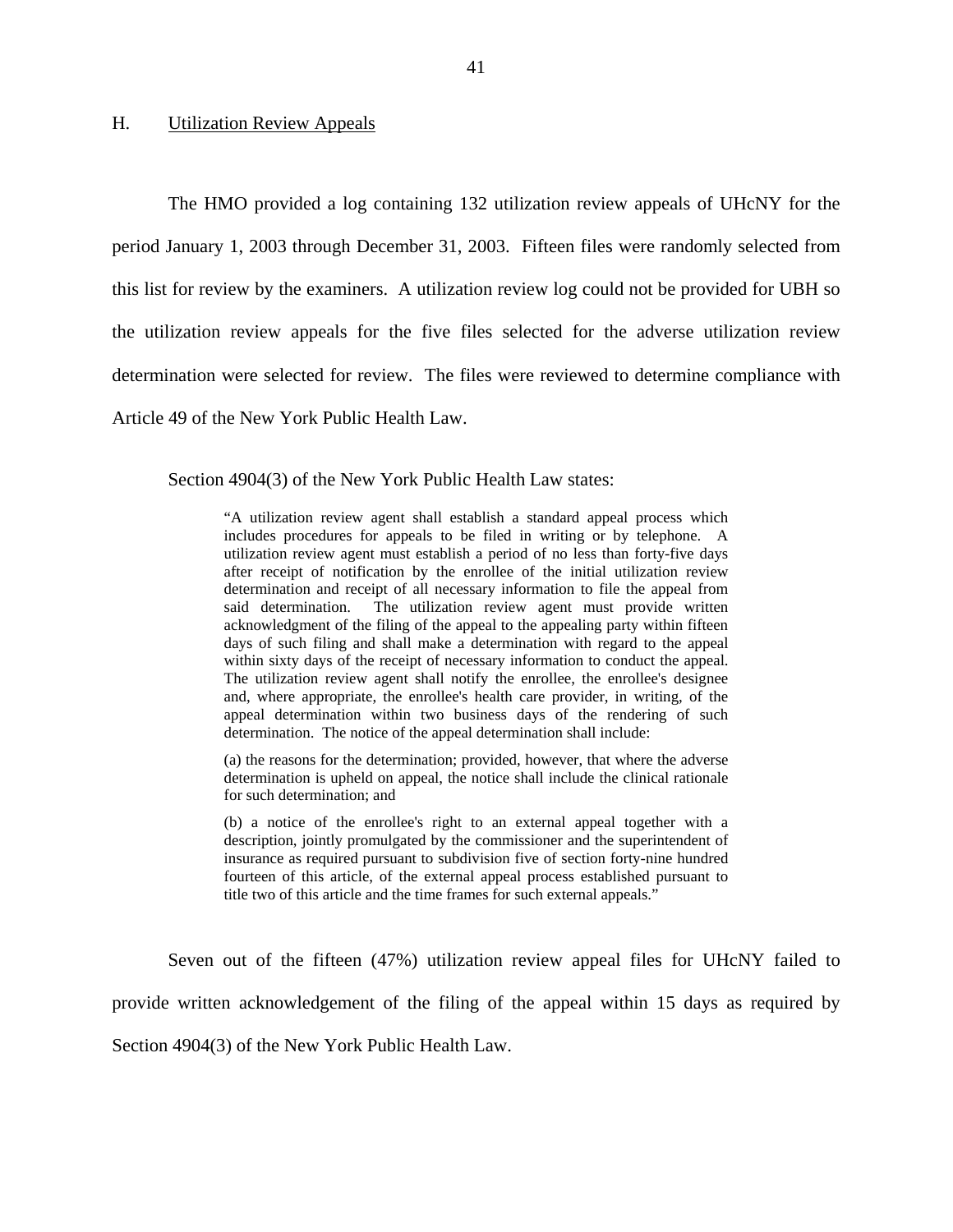### <span id="page-42-0"></span>H. Utilization Review Appeals

The HMO provided a log containing 132 utilization review appeals of UHcNY for the period January 1, 2003 through December 31, 2003. Fifteen files were randomly selected from this list for review by the examiners. A utilization review log could not be provided for UBH so the utilization review appeals for the five files selected for the adverse utilization review determination were selected for review. The files were reviewed to determine compliance with Article 49 of the New York Public Health Law.

Section 4904(3) of the New York Public Health Law states:

 utilization review agent must establish a period of no less than forty-five days acknowledgment of the filing of the appeal to the appealing party within fifteen within sixty days of the receipt of necessary information to conduct the appeal. appeal determination within two business days of the rendering of such "A utilization review agent shall establish a standard appeal process which includes procedures for appeals to be filed in writing or by telephone. A after receipt of notification by the enrollee of the initial utilization review determination and receipt of all necessary information to file the appeal from said determination. The utilization review agent must provide written days of such filing and shall make a determination with regard to the appeal The utilization review agent shall notify the enrollee, the enrollee's designee and, where appropriate, the enrollee's health care provider, in writing, of the determination. The notice of the appeal determination shall include:

(a) the reasons for the determination; provided, however, that where the adverse determination is upheld on appeal, the notice shall include the clinical rationale for such determination; and

(b) a notice of the enrollee's right to an external appeal together with a description, jointly promulgated by the commissioner and the superintendent of insurance as required pursuant to subdivision five of section forty-nine hundred fourteen of this article, of the external appeal process established pursuant to title two of this article and the time frames for such external appeals."

Seven out of the fifteen (47%) utilization review appeal files for UHcNY failed to

provide written acknowledgement of the filing of the appeal within 15 days as required by

Section 4904(3) of the New York Public Health Law.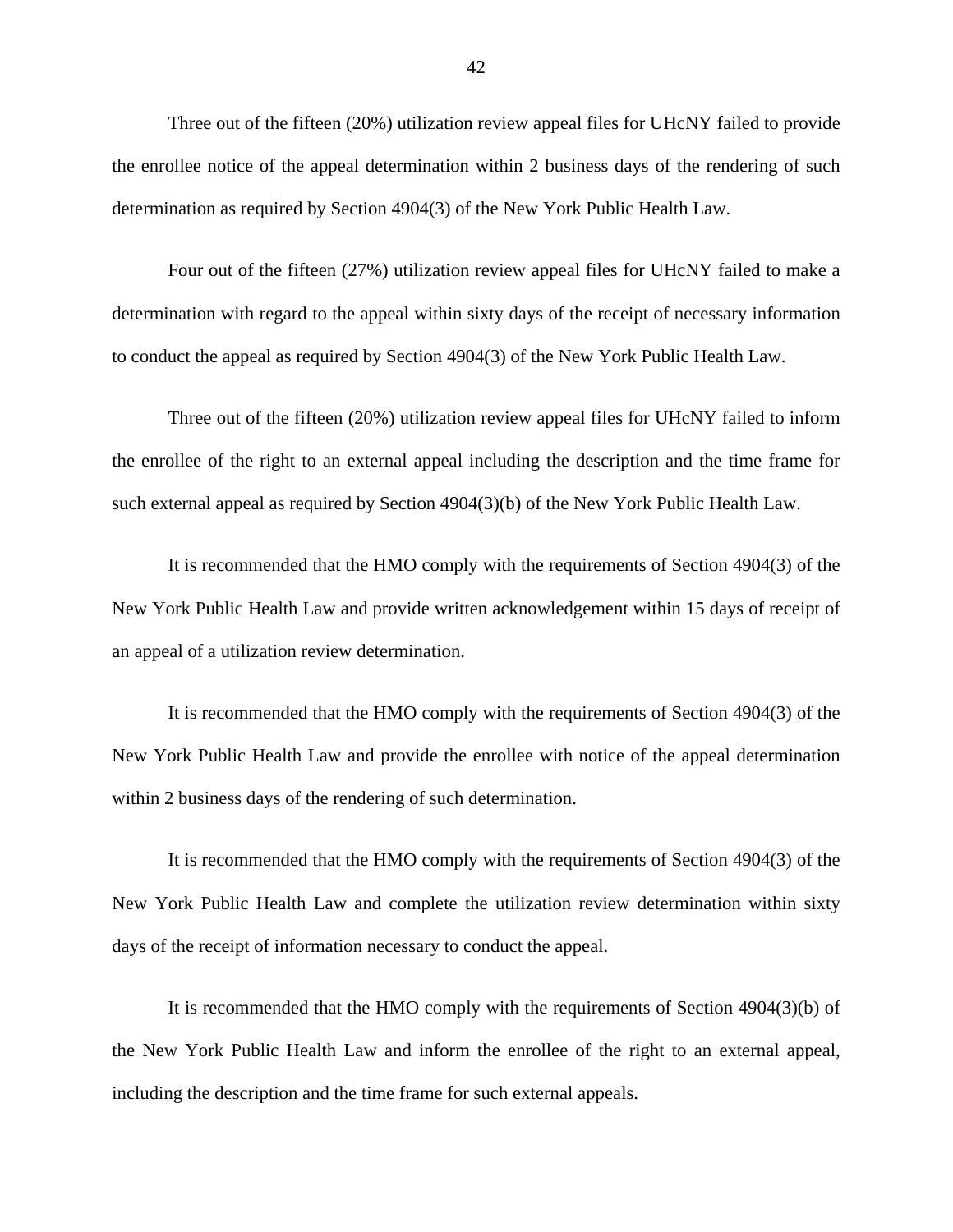Three out of the fifteen (20%) utilization review appeal files for UHcNY failed to provide the enrollee notice of the appeal determination within 2 business days of the rendering of such determination as required by Section 4904(3) of the New York Public Health Law.

Four out of the fifteen (27%) utilization review appeal files for UHcNY failed to make a determination with regard to the appeal within sixty days of the receipt of necessary information to conduct the appeal as required by Section 4904(3) of the New York Public Health Law.

Three out of the fifteen (20%) utilization review appeal files for UHcNY failed to inform the enrollee of the right to an external appeal including the description and the time frame for such external appeal as required by Section 4904(3)(b) of the New York Public Health Law.

It is recommended that the HMO comply with the requirements of Section 4904(3) of the New York Public Health Law and provide written acknowledgement within 15 days of receipt of an appeal of a utilization review determination.

It is recommended that the HMO comply with the requirements of Section 4904(3) of the New York Public Health Law and provide the enrollee with notice of the appeal determination within 2 business days of the rendering of such determination.

It is recommended that the HMO comply with the requirements of Section 4904(3) of the New York Public Health Law and complete the utilization review determination within sixty days of the receipt of information necessary to conduct the appeal.

It is recommended that the HMO comply with the requirements of Section 4904(3)(b) of the New York Public Health Law and inform the enrollee of the right to an external appeal, including the description and the time frame for such external appeals.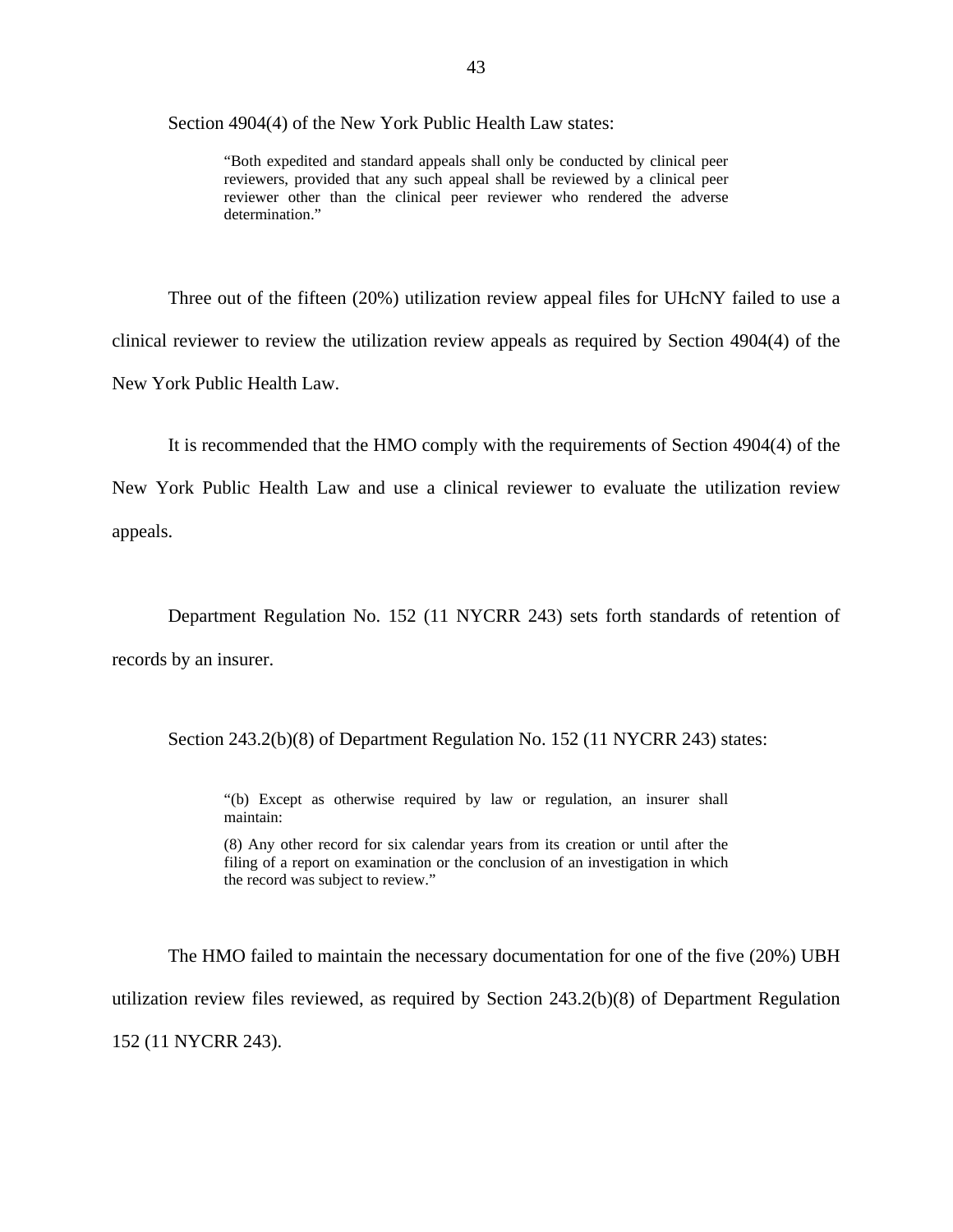Section 4904(4) of the New York Public Health Law states:

"Both expedited and standard appeals shall only be conducted by clinical peer reviewers, provided that any such appeal shall be reviewed by a clinical peer reviewer other than the clinical peer reviewer who rendered the adverse determination."

Three out of the fifteen (20%) utilization review appeal files for UHcNY failed to use a clinical reviewer to review the utilization review appeals as required by Section 4904(4) of the New York Public Health Law.

It is recommended that the HMO comply with the requirements of Section 4904(4) of the

New York Public Health Law and use a clinical reviewer to evaluate the utilization review appeals.

Department Regulation No. 152 (11 NYCRR 243) sets forth standards of retention of records by an insurer.

Section 243.2(b)(8) of Department Regulation No. 152 (11 NYCRR 243) states:

"(b) Except as otherwise required by law or regulation, an insurer shall maintain:

(8) Any other record for six calendar years from its creation or until after the filing of a report on examination or the conclusion of an investigation in which the record was subject to review."

The HMO failed to maintain the necessary documentation for one of the five (20%) UBH utilization review files reviewed, as required by Section 243.2(b)(8) of Department Regulation 152 (11 NYCRR 243).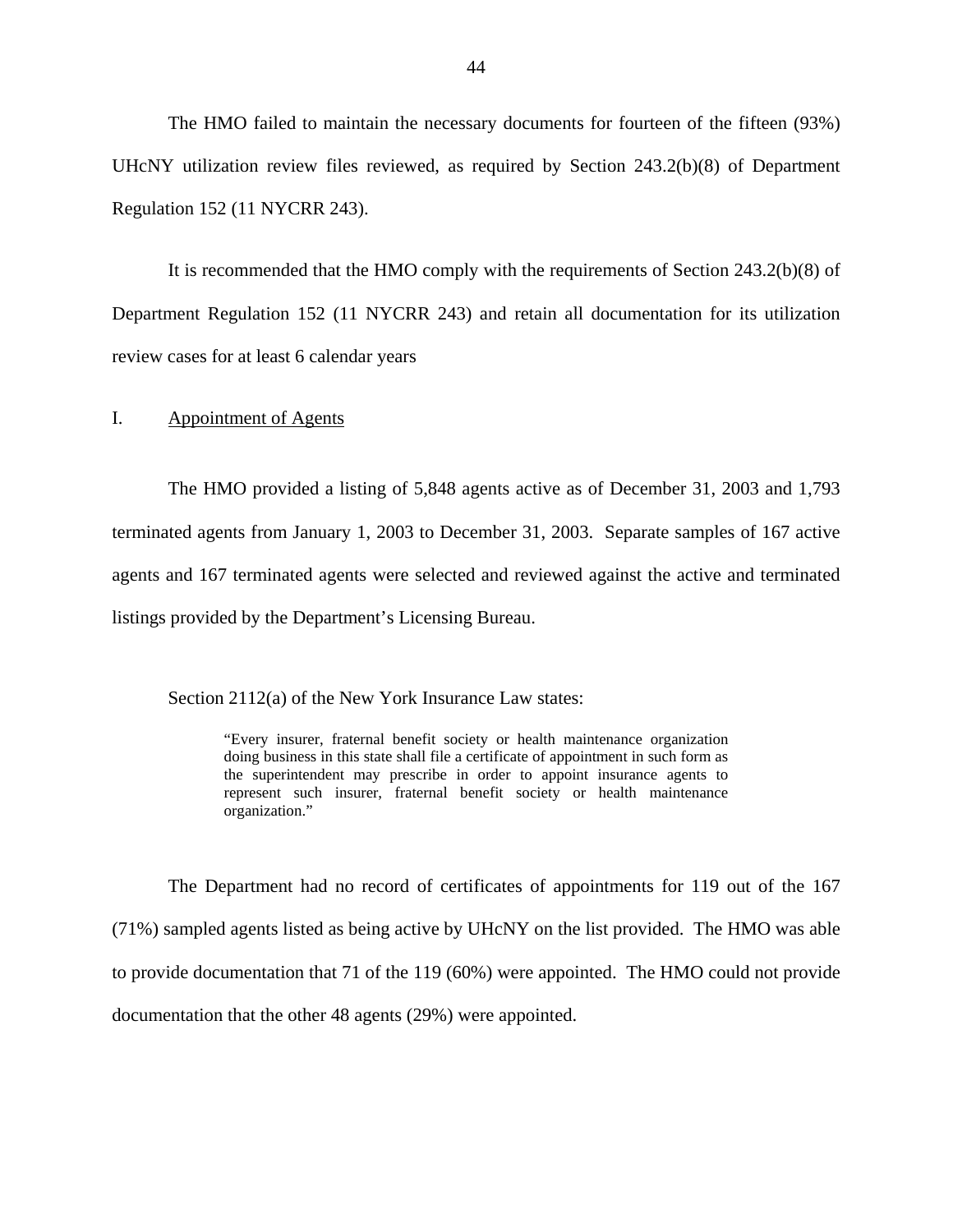<span id="page-45-0"></span>The HMO failed to maintain the necessary documents for fourteen of the fifteen (93%) UHcNY utilization review files reviewed, as required by Section 243.2(b)(8) of Department Regulation 152 (11 NYCRR 243).

It is recommended that the HMO comply with the requirements of Section 243.2(b)(8) of Department Regulation 152 (11 NYCRR 243) and retain all documentation for its utilization review cases for at least 6 calendar years

### I. Appointment of Agents

The HMO provided a listing of 5,848 agents active as of December 31, 2003 and 1,793 terminated agents from January 1, 2003 to December 31, 2003. Separate samples of 167 active agents and 167 terminated agents were selected and reviewed against the active and terminated listings provided by the Department's Licensing Bureau.

Section 2112(a) of the New York Insurance Law states:

 doing business in this state shall file a certificate of appointment in such form as "Every insurer, fraternal benefit society or health maintenance organization the superintendent may prescribe in order to appoint insurance agents to represent such insurer, fraternal benefit society or health maintenance organization."

The Department had no record of certificates of appointments for 119 out of the 167 (71%) sampled agents listed as being active by UHcNY on the list provided. The HMO was able to provide documentation that 71 of the 119 (60%) were appointed. The HMO could not provide documentation that the other 48 agents (29%) were appointed.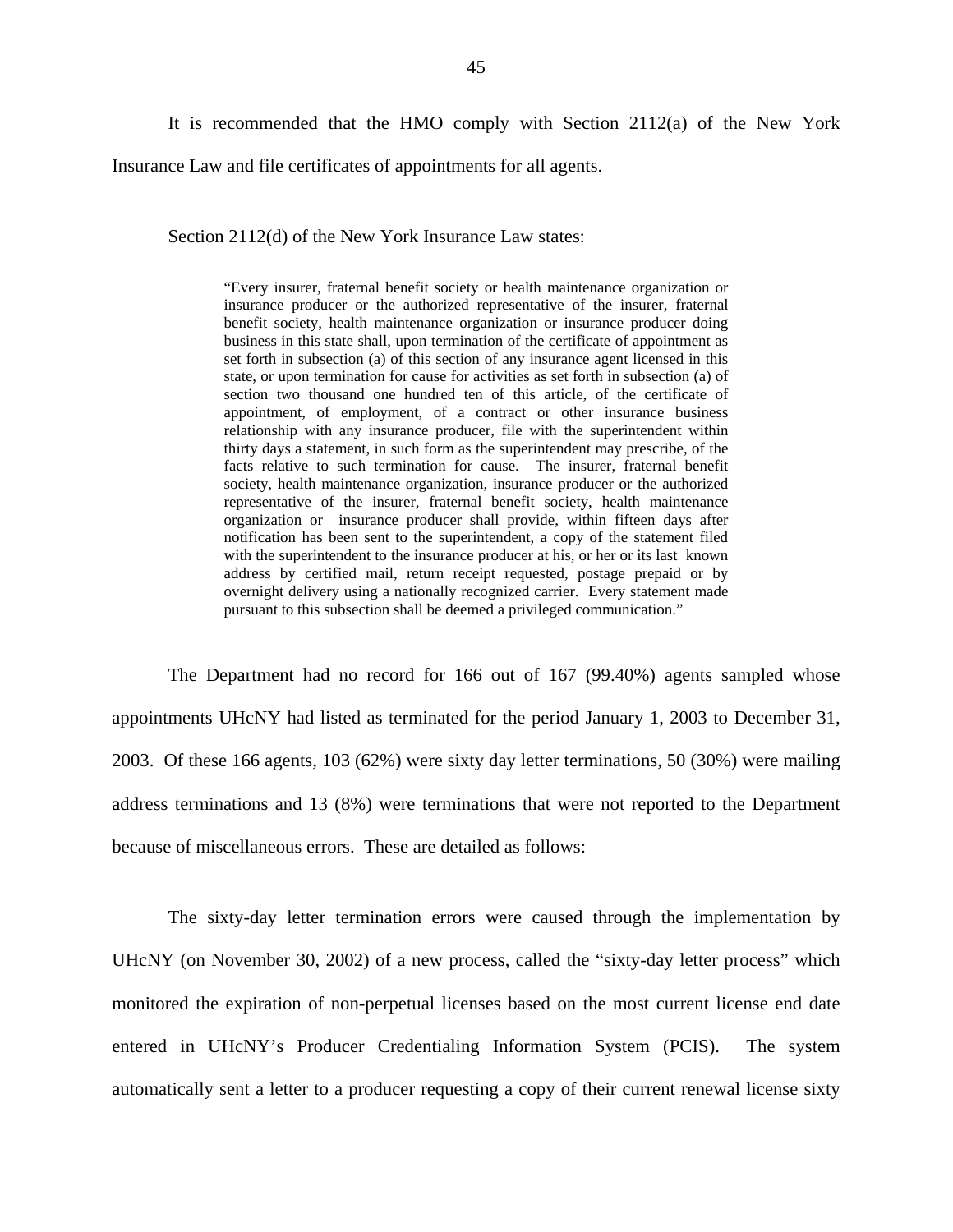It is recommended that the HMO comply with Section 2112(a) of the New York Insurance Law and file certificates of appointments for all agents.

Section 2112(d) of the New York Insurance Law states:

 appointment, of employment, of a contract or other insurance business relationship with any insurance producer, file with the superintendent within with the superintendent to the insurance producer at his, or her or its last known "Every insurer, fraternal benefit society or health maintenance organization or insurance producer or the authorized representative of the insurer, fraternal benefit society, health maintenance organization or insurance producer doing business in this state shall, upon termination of the certificate of appointment as set forth in subsection (a) of this section of any insurance agent licensed in this state, or upon termination for cause for activities as set forth in subsection (a) of section two thousand one hundred ten of this article, of the certificate of thirty days a statement, in such form as the superintendent may prescribe, of the facts relative to such termination for cause. The insurer, fraternal benefit society, health maintenance organization, insurance producer or the authorized representative of the insurer, fraternal benefit society, health maintenance organization or insurance producer shall provide, within fifteen days after notification has been sent to the superintendent, a copy of the statement filed address by certified mail, return receipt requested, postage prepaid or by overnight delivery using a nationally recognized carrier. Every statement made pursuant to this subsection shall be deemed a privileged communication."

The Department had no record for 166 out of 167 (99.40%) agents sampled whose appointments UHcNY had listed as terminated for the period January 1, 2003 to December 31, 2003. Of these 166 agents, 103 (62%) were sixty day letter terminations, 50 (30%) were mailing address terminations and 13 (8%) were terminations that were not reported to the Department because of miscellaneous errors. These are detailed as follows:

The sixty-day letter termination errors were caused through the implementation by UHcNY (on November 30, 2002) of a new process, called the "sixty-day letter process" which monitored the expiration of non-perpetual licenses based on the most current license end date entered in UHcNY's Producer Credentialing Information System (PCIS). The system automatically sent a letter to a producer requesting a copy of their current renewal license sixty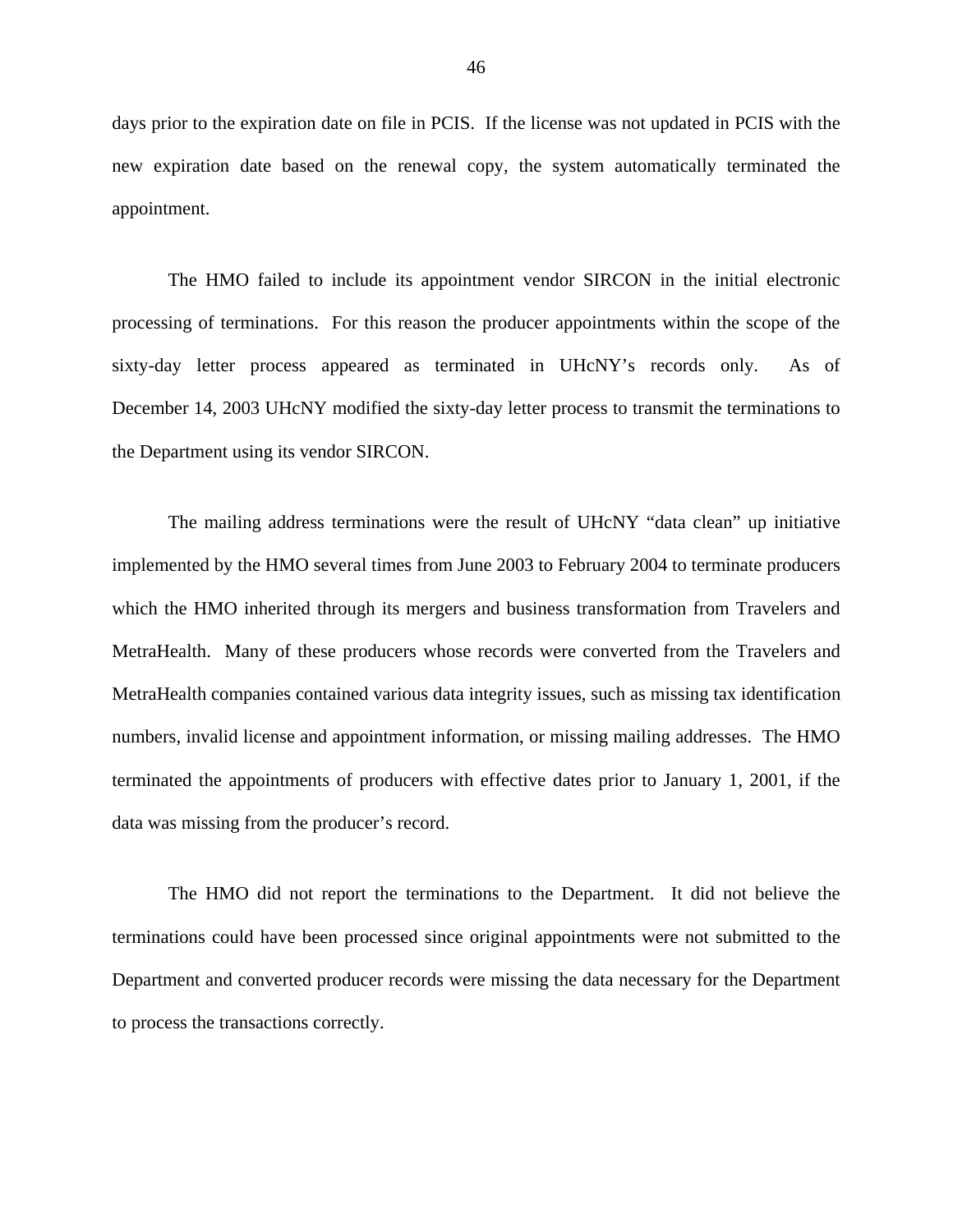days prior to the expiration date on file in PCIS. If the license was not updated in PCIS with the new expiration date based on the renewal copy, the system automatically terminated the appointment.

The HMO failed to include its appointment vendor SIRCON in the initial electronic processing of terminations. For this reason the producer appointments within the scope of the sixty-day letter process appeared as terminated in UHcNY's records only. As of December 14, 2003 UHcNY modified the sixty-day letter process to transmit the terminations to the Department using its vendor SIRCON.

The mailing address terminations were the result of UHcNY "data clean" up initiative implemented by the HMO several times from June 2003 to February 2004 to terminate producers which the HMO inherited through its mergers and business transformation from Travelers and MetraHealth. Many of these producers whose records were converted from the Travelers and MetraHealth companies contained various data integrity issues, such as missing tax identification numbers, invalid license and appointment information, or missing mailing addresses. The HMO terminated the appointments of producers with effective dates prior to January 1, 2001, if the data was missing from the producer's record.

The HMO did not report the terminations to the Department. It did not believe the terminations could have been processed since original appointments were not submitted to the Department and converted producer records were missing the data necessary for the Department to process the transactions correctly.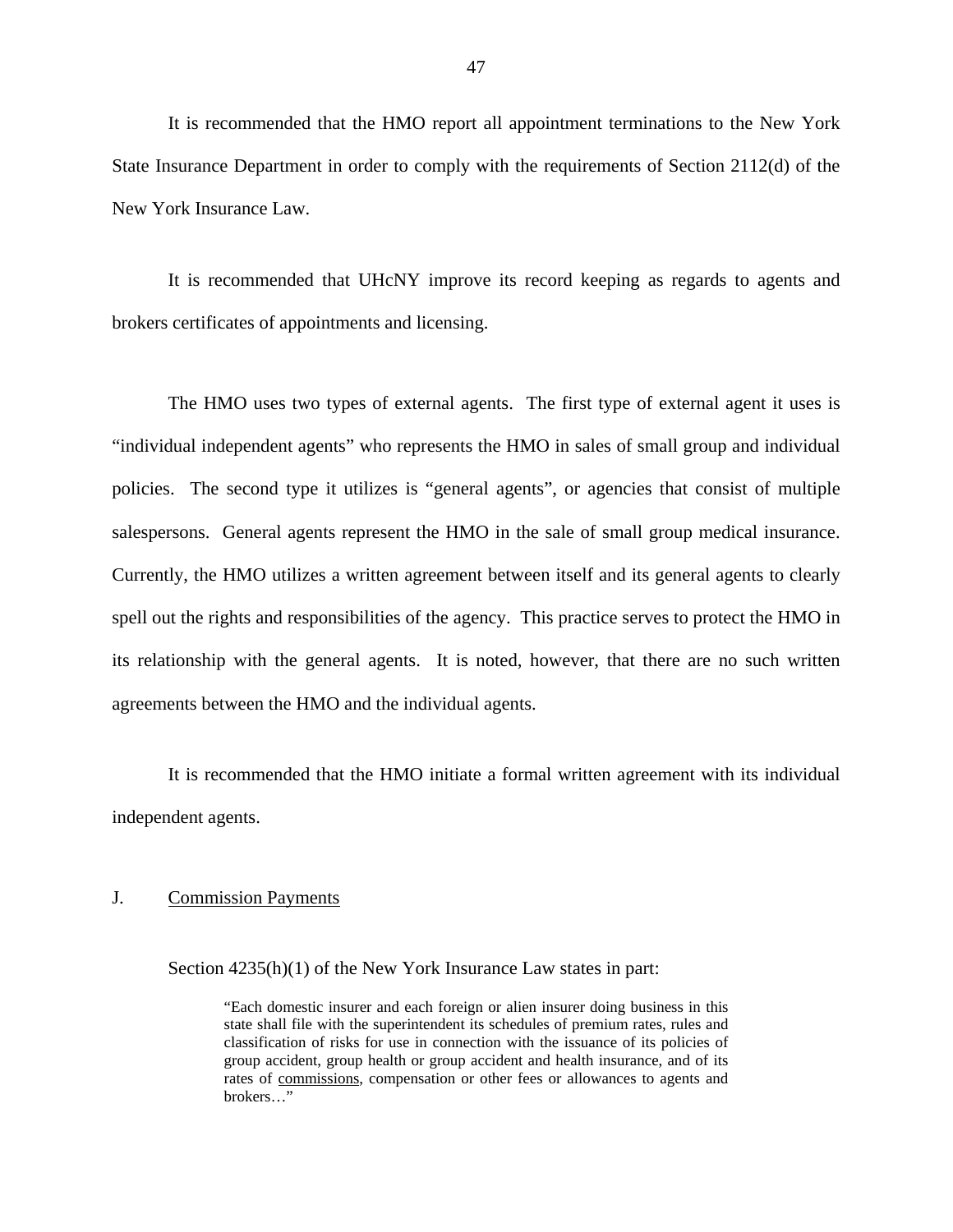<span id="page-48-0"></span>It is recommended that the HMO report all appointment terminations to the New York State Insurance Department in order to comply with the requirements of Section 2112(d) of the New York Insurance Law.

It is recommended that UHcNY improve its record keeping as regards to agents and brokers certificates of appointments and licensing.

The HMO uses two types of external agents. The first type of external agent it uses is "individual independent agents" who represents the HMO in sales of small group and individual policies. The second type it utilizes is "general agents", or agencies that consist of multiple salespersons. General agents represent the HMO in the sale of small group medical insurance. Currently, the HMO utilizes a written agreement between itself and its general agents to clearly spell out the rights and responsibilities of the agency. This practice serves to protect the HMO in its relationship with the general agents. It is noted, however, that there are no such written agreements between the HMO and the individual agents.

It is recommended that the HMO initiate a formal written agreement with its individual independent agents.

## J. Commission Payments

Section 4235(h)(1) of the New York Insurance Law states in part:

"Each domestic insurer and each foreign or alien insurer doing business in this state shall file with the superintendent its schedules of premium rates, rules and classification of risks for use in connection with the issuance of its policies of group accident, group health or group accident and health insurance, and of its rates of commissions, compensation or other fees or allowances to agents and brokers…"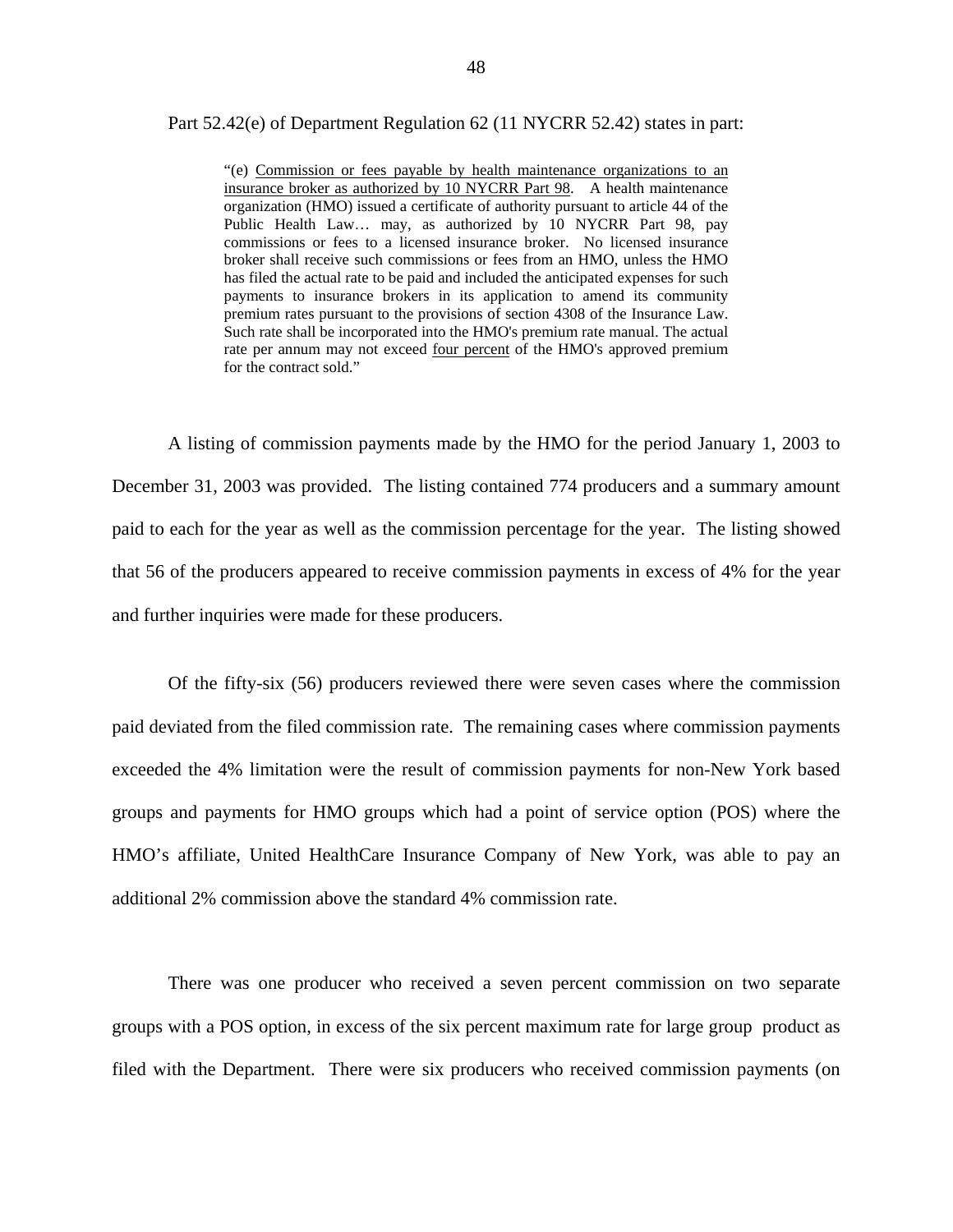### Part 52.42(e) of Department Regulation 62 (11 NYCRR 52.42) states in part:

 Public Health Law… may, as authorized by 10 NYCRR Part 98, pay "(e) Commission or fees payable by health maintenance organizations to an insurance broker as authorized by 10 NYCRR Part 98. A health maintenance organization (HMO) issued a certificate of authority pursuant to article 44 of the commissions or fees to a licensed insurance broker. No licensed insurance broker shall receive such commissions or fees from an HMO, unless the HMO has filed the actual rate to be paid and included the anticipated expenses for such payments to insurance brokers in its application to amend its community premium rates pursuant to the provisions of section 4308 of the Insurance Law. Such rate shall be incorporated into the HMO's premium rate manual. The actual rate per annum may not exceed four percent of the HMO's approved premium for the contract sold."

A listing of commission payments made by the HMO for the period January 1, 2003 to December 31, 2003 was provided. The listing contained 774 producers and a summary amount paid to each for the year as well as the commission percentage for the year. The listing showed that 56 of the producers appeared to receive commission payments in excess of 4% for the year and further inquiries were made for these producers.

Of the fifty-six (56) producers reviewed there were seven cases where the commission paid deviated from the filed commission rate. The remaining cases where commission payments exceeded the 4% limitation were the result of commission payments for non-New York based groups and payments for HMO groups which had a point of service option (POS) where the HMO's affiliate, United HealthCare Insurance Company of New York, was able to pay an additional 2% commission above the standard 4% commission rate.

There was one producer who received a seven percent commission on two separate groups with a POS option, in excess of the six percent maximum rate for large group product as filed with the Department. There were six producers who received commission payments (on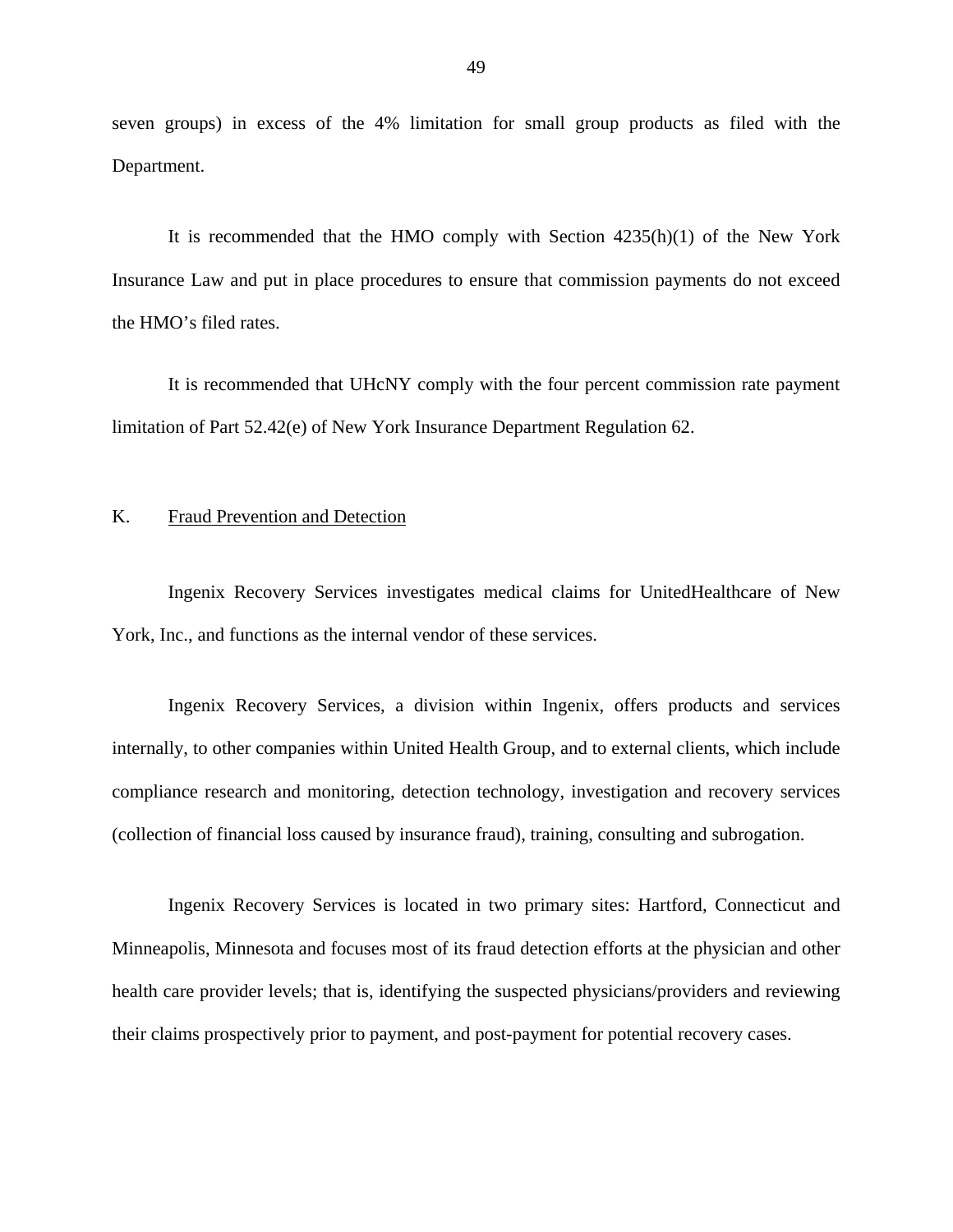seven groups) in excess of the 4% limitation for small group products as filed with the Department.

It is recommended that the HMO comply with Section 4235(h)(1) of the New York Insurance Law and put in place procedures to ensure that commission payments do not exceed the HMO's filed rates.

It is recommended that UHcNY comply with the four percent commission rate payment limitation of Part 52.42(e) of New York Insurance Department Regulation 62.

## K. Fraud Prevention and Detection

Ingenix Recovery Services investigates medical claims for UnitedHealthcare of New York, Inc., and functions as the internal vendor of these services.

Ingenix Recovery Services, a division within Ingenix, offers products and services internally, to other companies within United Health Group, and to external clients, which include compliance research and monitoring, detection technology, investigation and recovery services (collection of financial loss caused by insurance fraud), training, consulting and subrogation.

Ingenix Recovery Services is located in two primary sites: Hartford, Connecticut and Minneapolis, Minnesota and focuses most of its fraud detection efforts at the physician and other health care provider levels; that is, identifying the suspected physicians/providers and reviewing their claims prospectively prior to payment, and post-payment for potential recovery cases.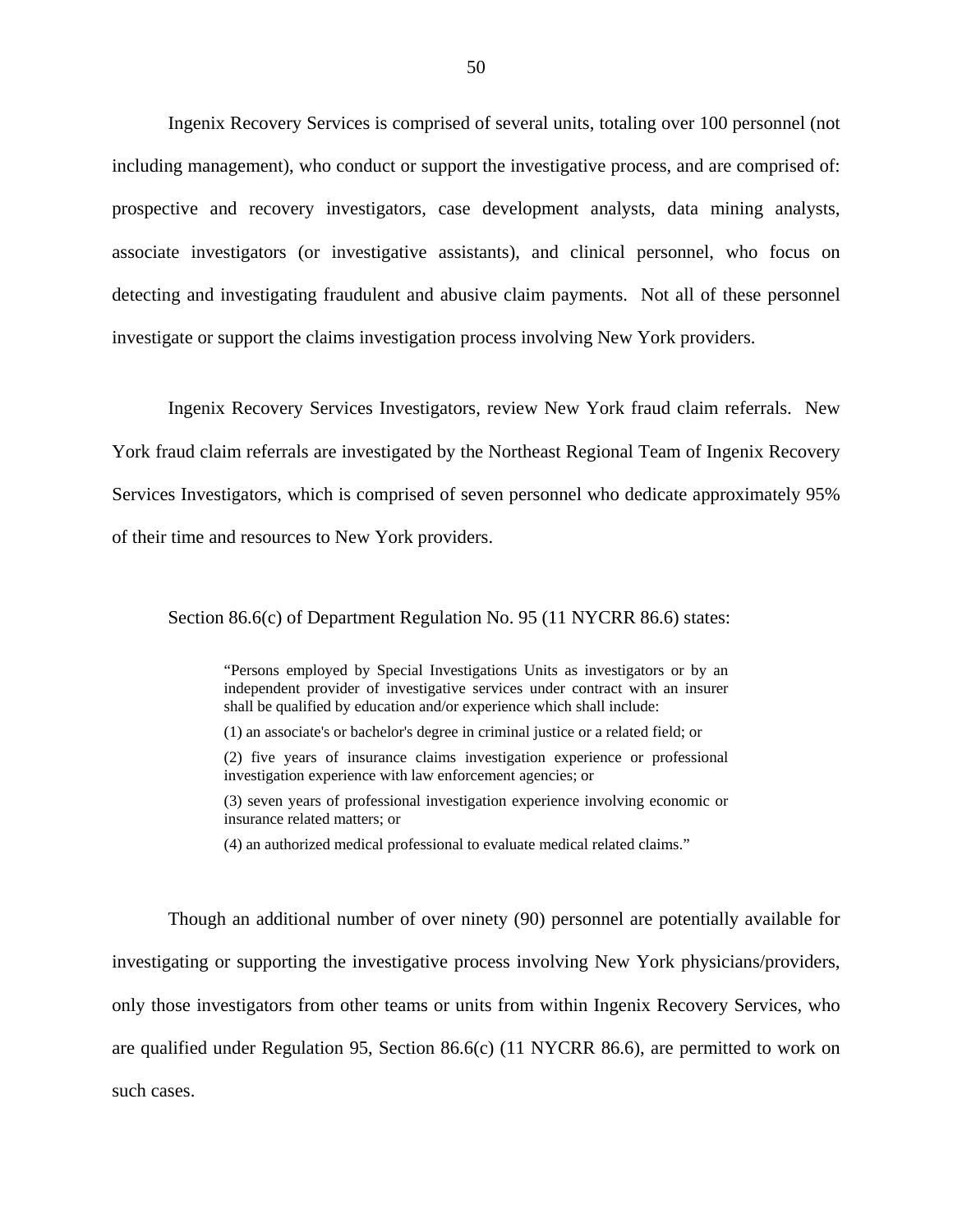Ingenix Recovery Services is comprised of several units, totaling over 100 personnel (not including management), who conduct or support the investigative process, and are comprised of: prospective and recovery investigators, case development analysts, data mining analysts, associate investigators (or investigative assistants), and clinical personnel, who focus on detecting and investigating fraudulent and abusive claim payments. Not all of these personnel investigate or support the claims investigation process involving New York providers.

Ingenix Recovery Services Investigators, review New York fraud claim referrals. New York fraud claim referrals are investigated by the Northeast Regional Team of Ingenix Recovery Services Investigators, which is comprised of seven personnel who dedicate approximately 95% of their time and resources to New York providers.

## Section 86.6(c) of Department Regulation No. 95 (11 NYCRR 86.6) states:

"Persons employed by Special Investigations Units as investigators or by an independent provider of investigative services under contract with an insurer shall be qualified by education and/or experience which shall include:

- (1) an associate's or bachelor's degree in criminal justice or a related field; or
- (2) five years of insurance claims investigation experience or professional investigation experience with law enforcement agencies; or
- (3) seven years of professional investigation experience involving economic or insurance related matters; or
- (4) an authorized medical professional to evaluate medical related claims."

Though an additional number of over ninety (90) personnel are potentially available for investigating or supporting the investigative process involving New York physicians/providers, only those investigators from other teams or units from within Ingenix Recovery Services, who are qualified under Regulation 95, Section 86.6(c) (11 NYCRR 86.6), are permitted to work on such cases.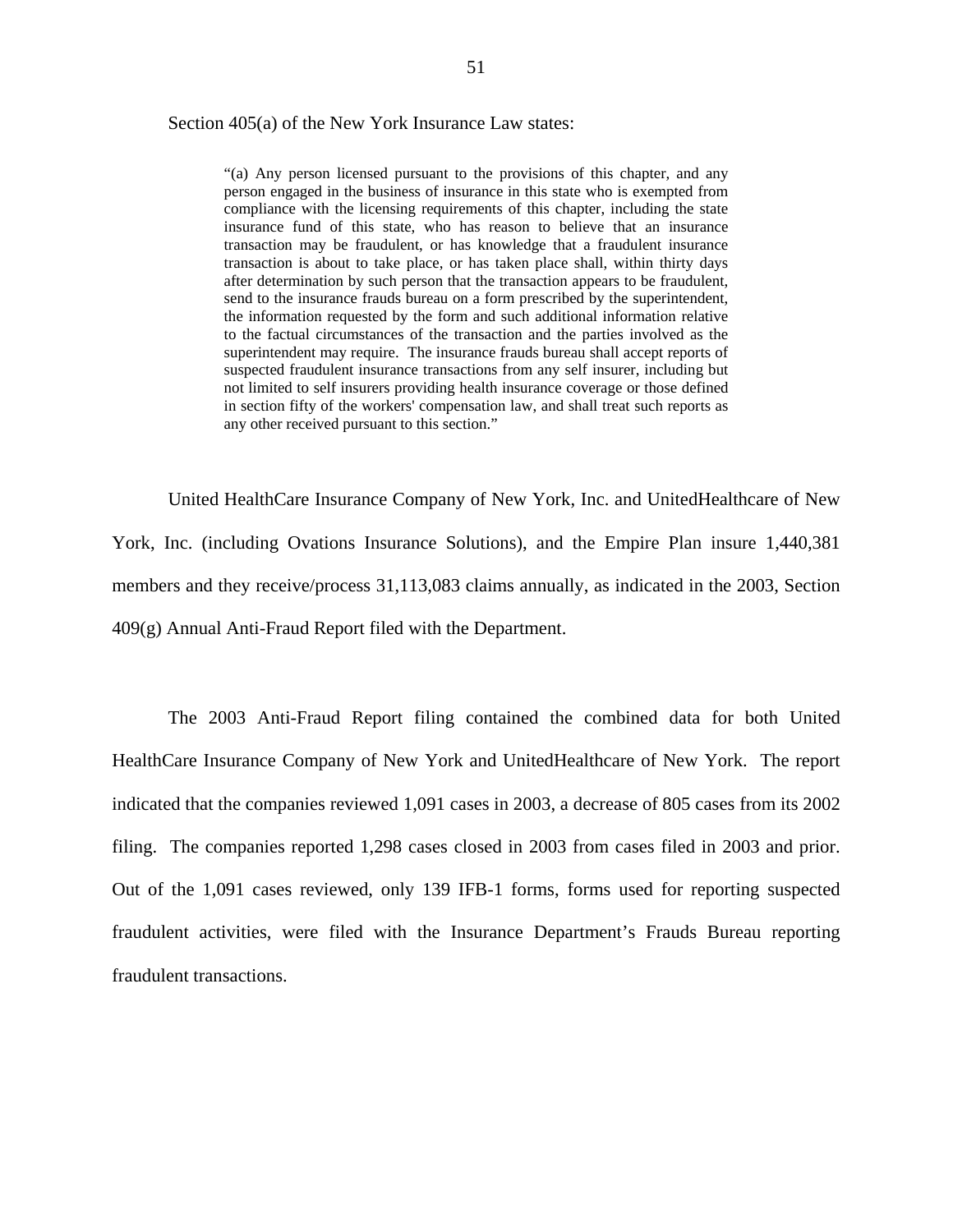### Section 405(a) of the New York Insurance Law states:

 after determination by such person that the transaction appears to be fraudulent, suspected fraudulent insurance transactions from any self insurer, including but "(a) Any person licensed pursuant to the provisions of this chapter, and any person engaged in the business of insurance in this state who is exempted from compliance with the licensing requirements of this chapter, including the state insurance fund of this state, who has reason to believe that an insurance transaction may be fraudulent, or has knowledge that a fraudulent insurance transaction is about to take place, or has taken place shall, within thirty days send to the insurance frauds bureau on a form prescribed by the superintendent, the information requested by the form and such additional information relative to the factual circumstances of the transaction and the parties involved as the superintendent may require. The insurance frauds bureau shall accept reports of not limited to self insurers providing health insurance coverage or those defined in section fifty of the workers' compensation law, and shall treat such reports as any other received pursuant to this section."

United HealthCare Insurance Company of New York, Inc. and UnitedHealthcare of New York, Inc. (including Ovations Insurance Solutions), and the Empire Plan insure 1,440,381 members and they receive/process 31,113,083 claims annually, as indicated in the 2003, Section 409(g) Annual Anti-Fraud Report filed with the Department.

The 2003 Anti-Fraud Report filing contained the combined data for both United HealthCare Insurance Company of New York and UnitedHealthcare of New York. The report indicated that the companies reviewed 1,091 cases in 2003, a decrease of 805 cases from its 2002 filing. The companies reported 1,298 cases closed in 2003 from cases filed in 2003 and prior. Out of the 1,091 cases reviewed, only 139 IFB-1 forms, forms used for reporting suspected fraudulent activities, were filed with the Insurance Department's Frauds Bureau reporting fraudulent transactions.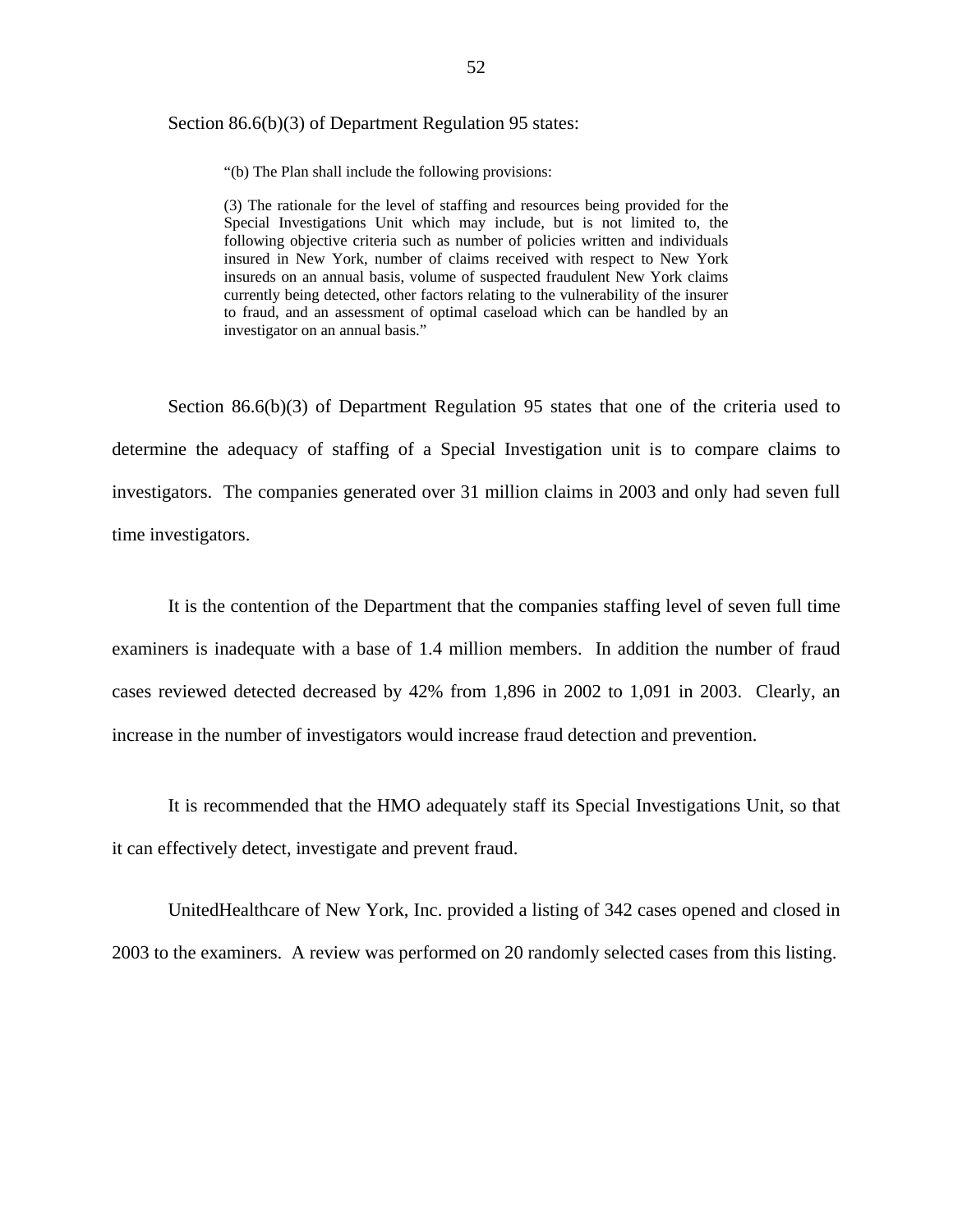## Section 86.6(b)(3) of Department Regulation 95 states:

"(b) The Plan shall include the following provisions:

 "(b) The Plan shall include the following provisions: (3) The rationale for the level of staffing and resources being provided for the Special Investigations Unit which may include, but is not limited to, the following objective criteria such as number of policies written and individuals insured in New York, number of claims received with respect to New York insureds on an annual basis, volume of suspected fraudulent New York claims currently being detected, other factors relating to the vulnerability of the insurer to fraud, and an assessment of optimal caseload which can be handled by an investigator on an annual basis."

Section 86.6(b)(3) of Department Regulation 95 states that one of the criteria used to determine the adequacy of staffing of a Special Investigation unit is to compare claims to investigators. The companies generated over 31 million claims in 2003 and only had seven full time investigators.

It is the contention of the Department that the companies staffing level of seven full time examiners is inadequate with a base of 1.4 million members. In addition the number of fraud cases reviewed detected decreased by 42% from 1,896 in 2002 to 1,091 in 2003. Clearly, an increase in the number of investigators would increase fraud detection and prevention.

It is recommended that the HMO adequately staff its Special Investigations Unit, so that it can effectively detect, investigate and prevent fraud.

UnitedHealthcare of New York, Inc. provided a listing of 342 cases opened and closed in 2003 to the examiners. A review was performed on 20 randomly selected cases from this listing.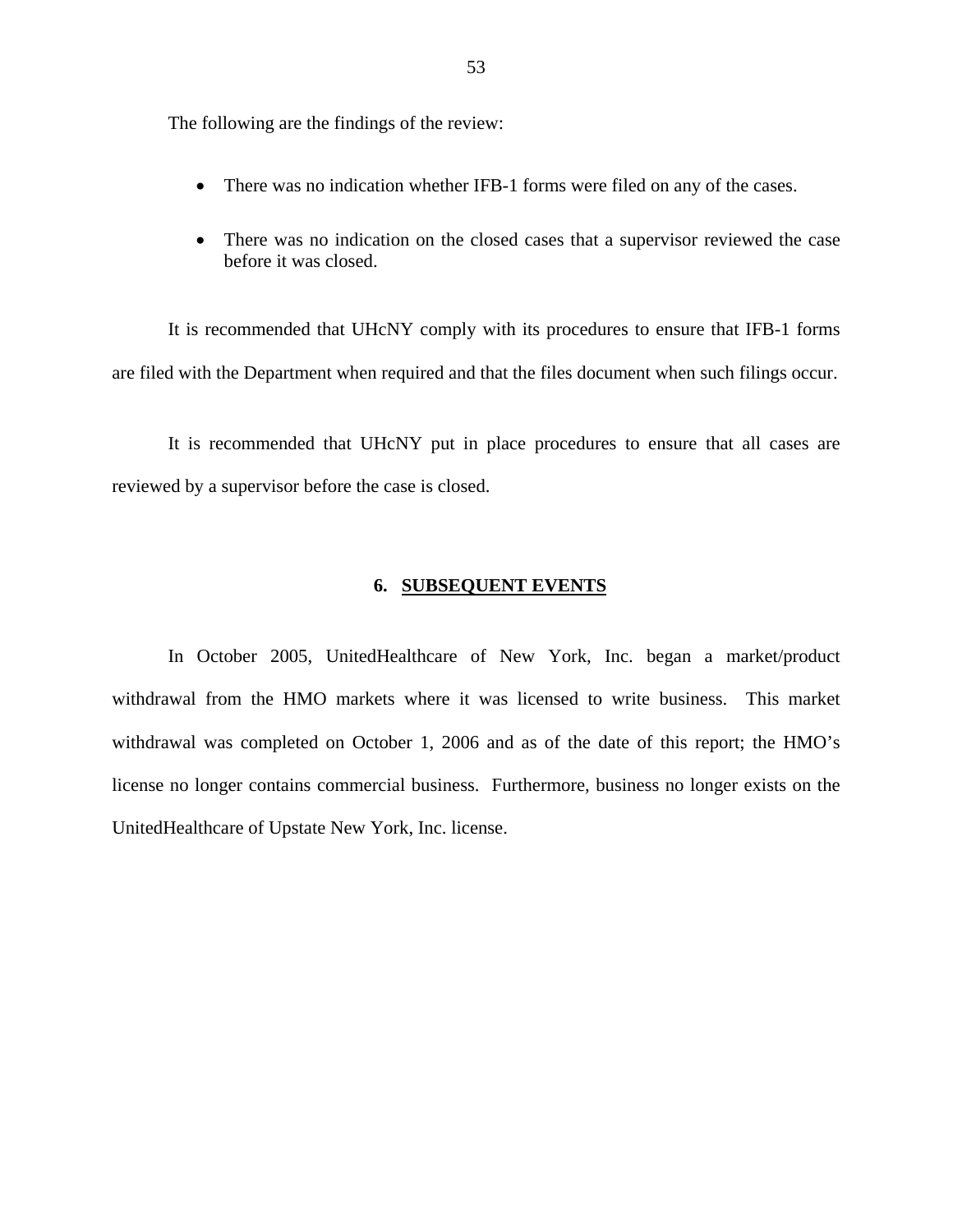The following are the findings of the review:

- There was no indication whether IFB-1 forms were filed on any of the cases.
- There was no indication on the closed cases that a supervisor reviewed the case before it was closed.

It is recommended that UHcNY comply with its procedures to ensure that IFB-1 forms are filed with the Department when required and that the files document when such filings occur.

It is recommended that UHcNY put in place procedures to ensure that all cases are reviewed by a supervisor before the case is closed.

### **6. SUBSEQUENT EVENTS**

In October 2005, UnitedHealthcare of New York, Inc. began a market/product withdrawal from the HMO markets where it was licensed to write business. This market withdrawal was completed on October 1, 2006 and as of the date of this report; the HMO's license no longer contains commercial business. Furthermore, business no longer exists on the UnitedHealthcare of Upstate New York, Inc. license.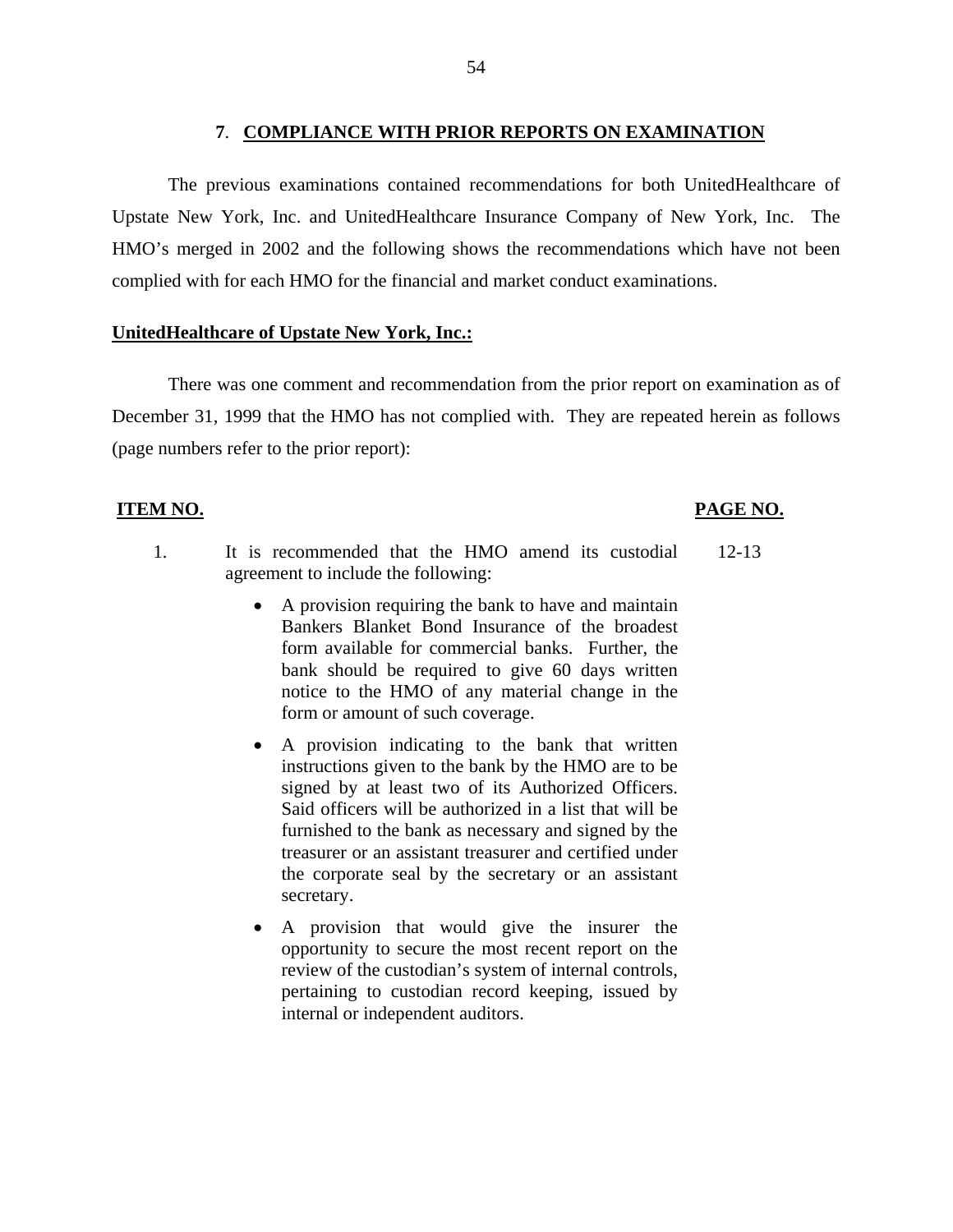The previous examinations contained recommendations for both UnitedHealthcare of Upstate New York, Inc. and UnitedHealthcare Insurance Company of New York, Inc. The HMO's merged in 2002 and the following shows the recommendations which have not been complied with for each HMO for the financial and market conduct examinations.

## **UnitedHealthcare of Upstate New York, Inc.:**

There was one comment and recommendation from the prior report on examination as of December 31, 1999 that the HMO has not complied with. They are repeated herein as follows (page numbers refer to the prior report):

## **ITEM NO. PAGE NO.**

- 1. It is recommended that the HMO amend its custodial 12-13 agreement to include the following:
	- A provision requiring the bank to have and maintain Bankers Blanket Bond Insurance of the broadest form available for commercial banks. Further, the bank should be required to give 60 days written notice to the HMO of any material change in the form or amount of such coverage.
	- signed by at least two of its Authorized Officers. • A provision indicating to the bank that written instructions given to the bank by the HMO are to be Said officers will be authorized in a list that will be furnished to the bank as necessary and signed by the treasurer or an assistant treasurer and certified under the corporate seal by the secretary or an assistant secretary.
	- A provision that would give the insurer the opportunity to secure the most recent report on the review of the custodian's system of internal controls, pertaining to custodian record keeping, issued by internal or independent auditors.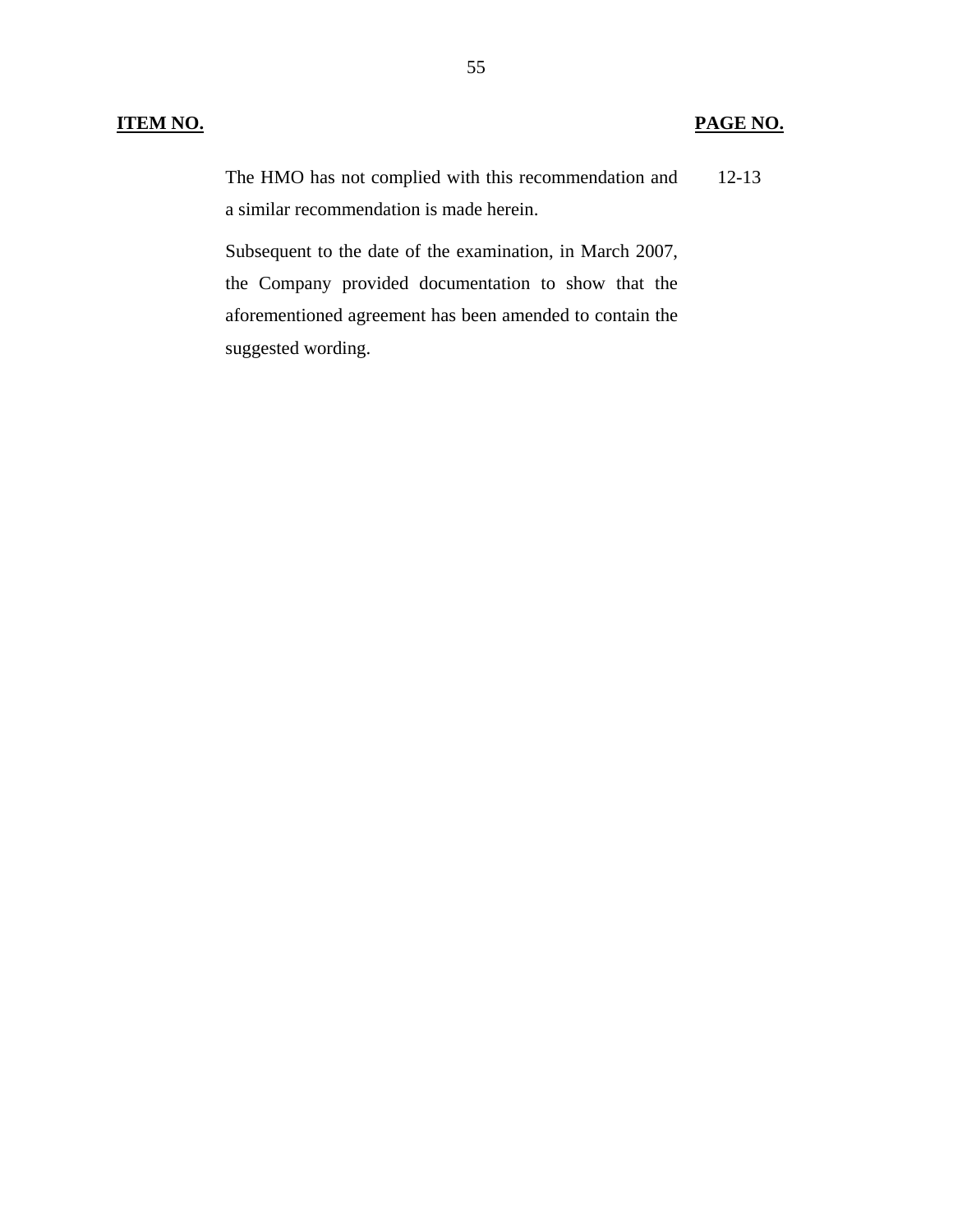## **ITEM NO. PAGE NO.**

The HMO has not complied with this recommendation and a similar recommendation is made herein. 12-13

Subsequent to the date of the examination, in March 2007, the Company provided documentation to show that the aforementioned agreement has been amended to contain the suggested wording.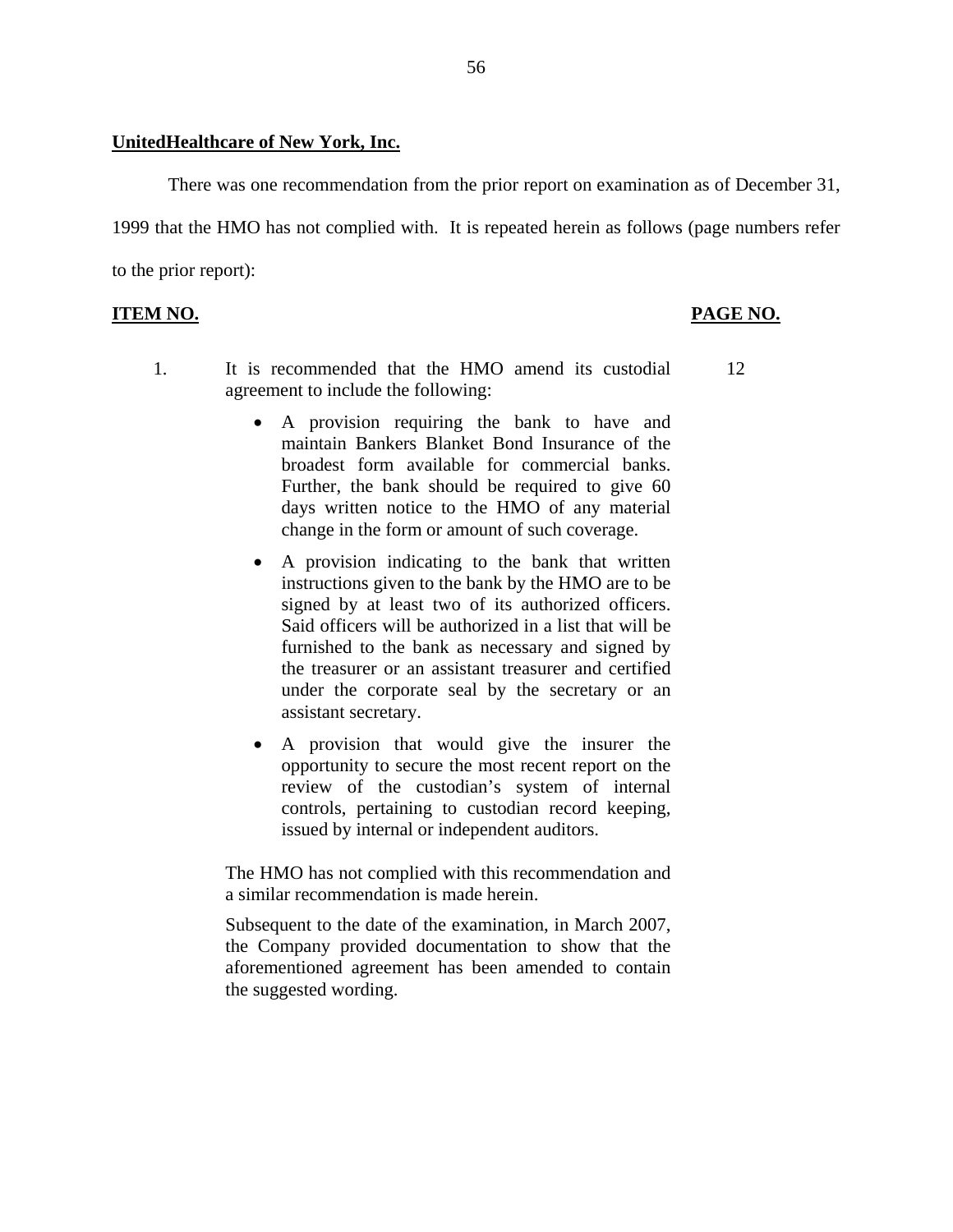### **UnitedHealthcare of New York, Inc.**

There was one recommendation from the prior report on examination as of December 31, 1999 that the HMO has not complied with. It is repeated herein as follows (page numbers refer to the prior report):

## **ITEM NO. PAGE NO. PAGE NO.**

- 1. It is recommended that the HMO amend its custodial 12 agreement to include the following:
	- broadest form available for commercial banks. • A provision requiring the bank to have and maintain Bankers Blanket Bond Insurance of the Further, the bank should be required to give  $60$ days written notice to the HMO of any material change in the form or amount of such coverage.
	- A provision indicating to the bank that written instructions given to the bank by the HMO are to be signed by at least two of its authorized officers. Said officers will be authorized in a list that will be furnished to the bank as necessary and signed by the treasurer or an assistant treasurer and certified under the corporate seal by the secretary or an assistant secretary.
	- A provision that would give the insurer the opportunity to secure the most recent report on the review of the custodian's system of internal controls, pertaining to custodian record keeping, issued by internal or independent auditors.

The HMO has not complied with this recommendation and a similar recommendation is made herein.

Subsequent to the date of the examination, in March 2007, the Company provided documentation to show that the aforementioned agreement has been amended to contain the suggested wording.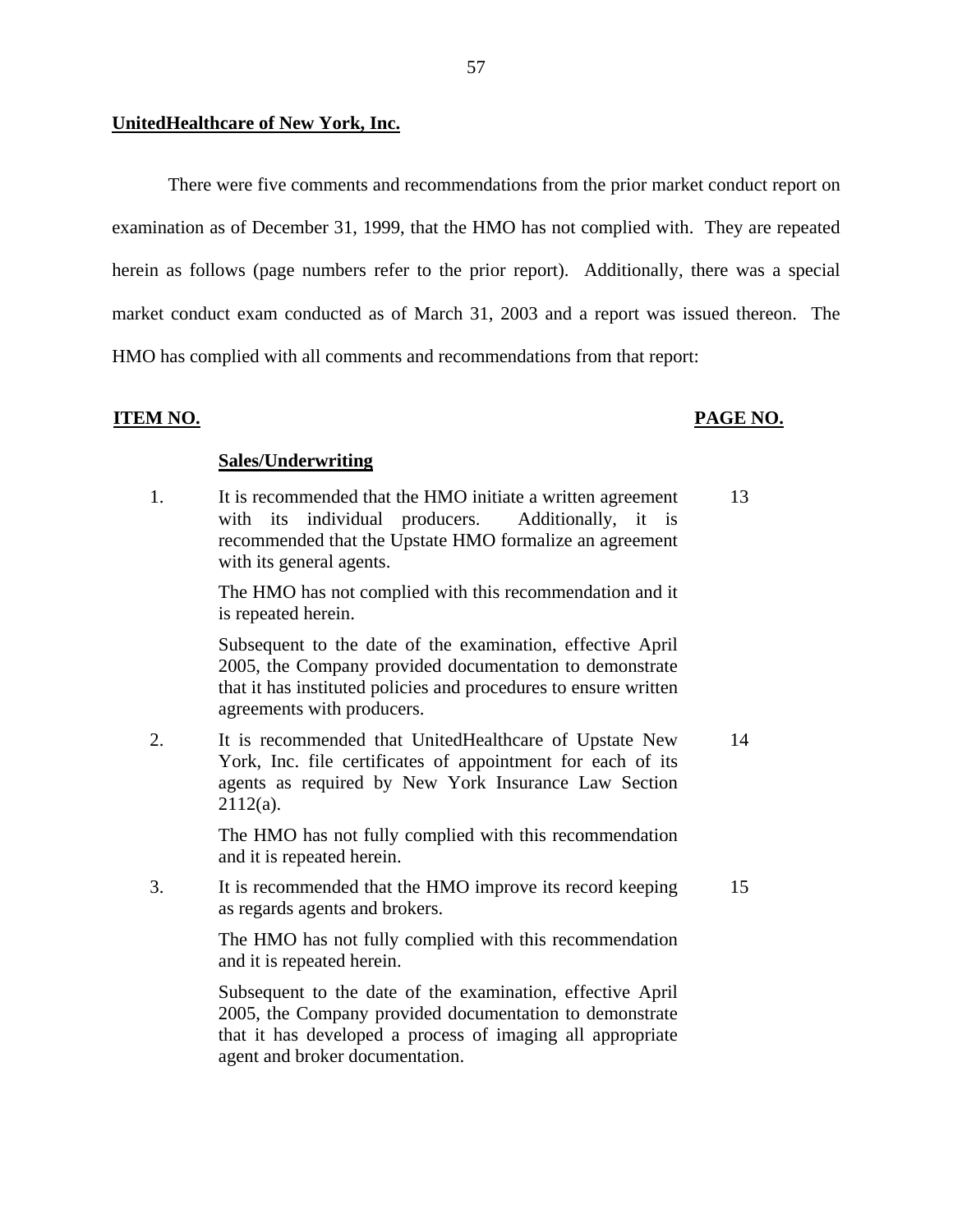There were five comments and recommendations from the prior market conduct report on examination as of December 31, 1999, that the HMO has not complied with. They are repeated herein as follows (page numbers refer to the prior report). Additionally, there was a special market conduct exam conducted as of March 31, 2003 and a report was issued thereon. The HMO has complied with all comments and recommendations from that report:

## **ITEM NO. PAGE NO.**

## **Sales/Underwriting**

1. It is recommended that the HMO initiate a written agreement 13 with its individual producers. Additionally, it is recommended that the Upstate HMO formalize an agreement with its general agents.

> The HMO has not complied with this recommendation and it is repeated herein.

> Subsequent to the date of the examination, effective April 2005, the Company provided documentation to demonstrate that it has instituted policies and procedures to ensure written agreements with producers.

2. It is recommended that UnitedHealthcare of Upstate New 14 York, Inc. file certificates of appointment for each of its agents as required by New York Insurance Law Section 2112(a).

> The HMO has not fully complied with this recommendation and it is repeated herein.

3. It is recommended that the HMO improve its record keeping 15 as regards agents and brokers.

> The HMO has not fully complied with this recommendation and it is repeated herein.

> Subsequent to the date of the examination, effective April 2005, the Company provided documentation to demonstrate that it has developed a process of imaging all appropriate agent and broker documentation.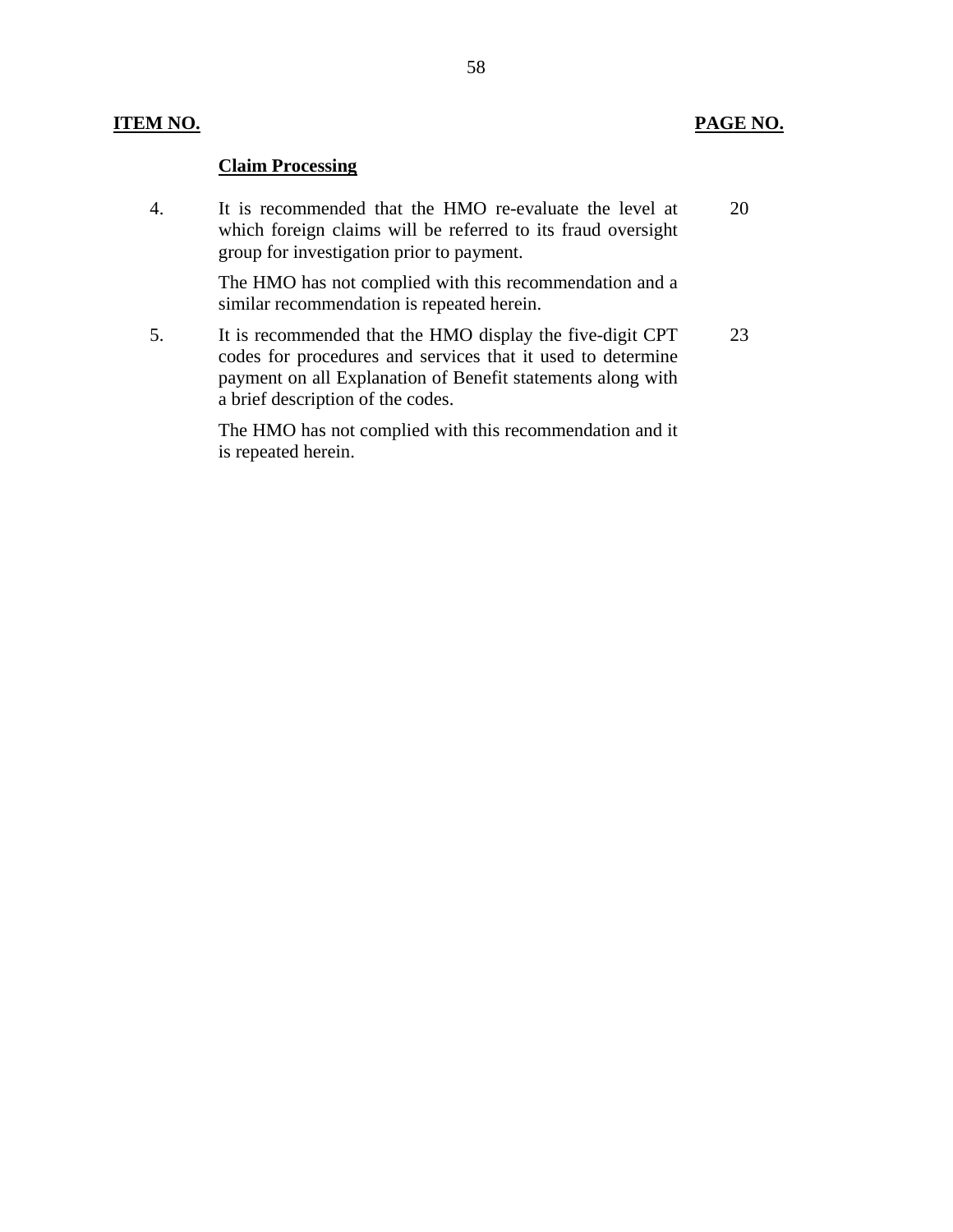## **ITEM NO. PAGE NO.**

## **Claim Processing**

4. It is recommended that the HMO re-evaluate the level at 20 which foreign claims will be referred to its fraud oversight group for investigation prior to payment.

> The HMO has not complied with this recommendation and a similar recommendation is repeated herein.

5. It is recommended that the HMO display the five-digit CPT 23 codes for procedures and services that it used to determine payment on all Explanation of Benefit statements along with a brief description of the codes.

> The HMO has not complied with this recommendation and it is repeated herein.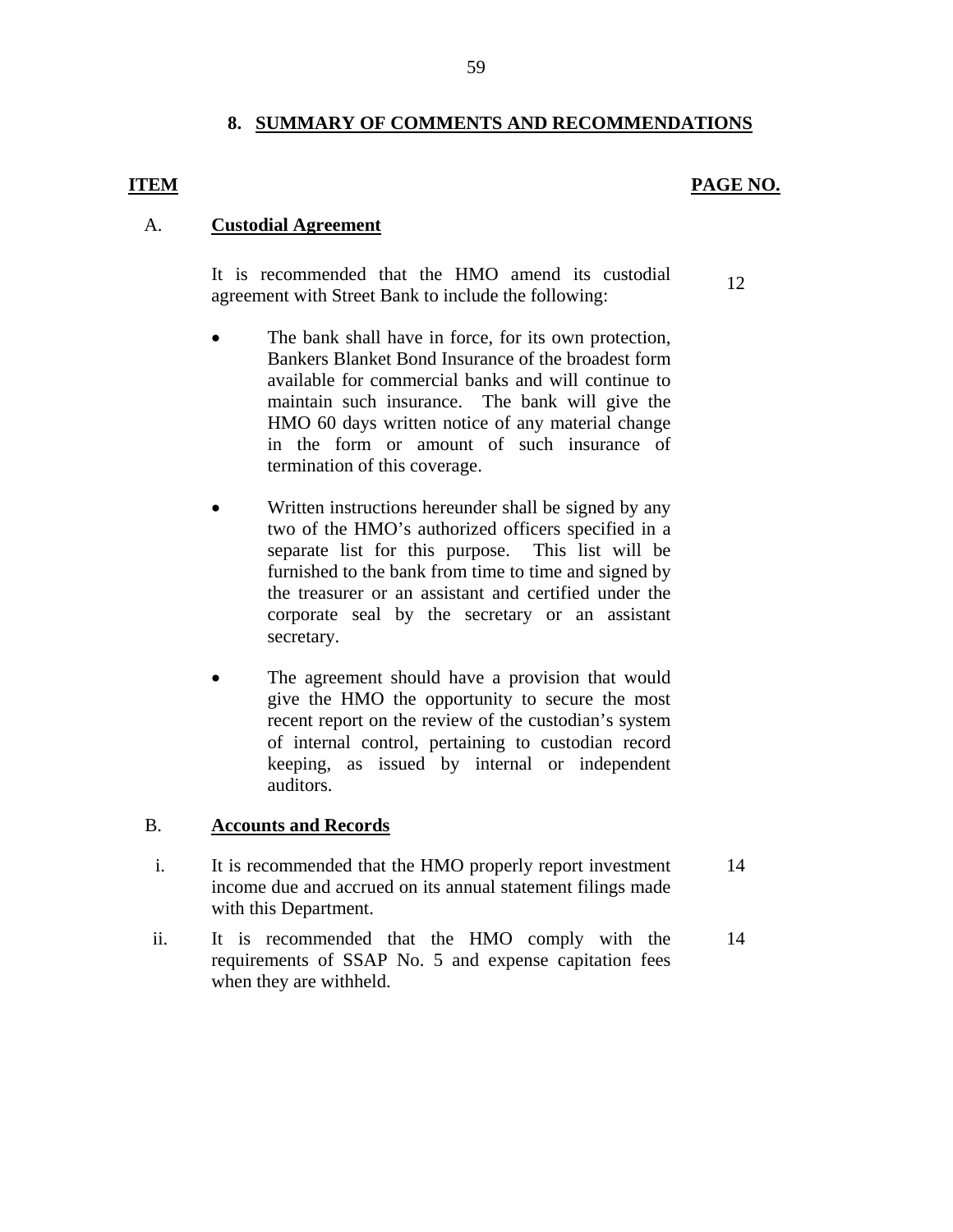## **8. SUMMARY OF COMMENTS AND RECOMMENDATIONS**

### **ITEM PAGE NO.**

### A. **Custodial Agreement**

It is recommended that the HMO amend its custodial agreement with Street Bank to include the following: 12

- The bank shall have in force, for its own protection, Bankers Blanket Bond Insurance of the broadest form available for commercial banks and will continue to maintain such insurance. The bank will give the HMO 60 days written notice of any material change in the form or amount of such insurance of termination of this coverage.
- Written instructions hereunder shall be signed by any two of the HMO's authorized officers specified in a separate list for this purpose. This list will be furnished to the bank from time to time and signed by the treasurer or an assistant and certified under the corporate seal by the secretary or an assistant secretary.
- The agreement should have a provision that would give the HMO the opportunity to secure the most recent report on the review of the custodian's system of internal control, pertaining to custodian record keeping, as issued by internal or independent auditors.

### B. **Accounts and Records**

- i. It is recommended that the HMO properly report investment 14 income due and accrued on its annual statement filings made with this Department.
- ii. It is recommended that the HMO comply with the 14 requirements of SSAP No. 5 and expense capitation fees when they are withheld.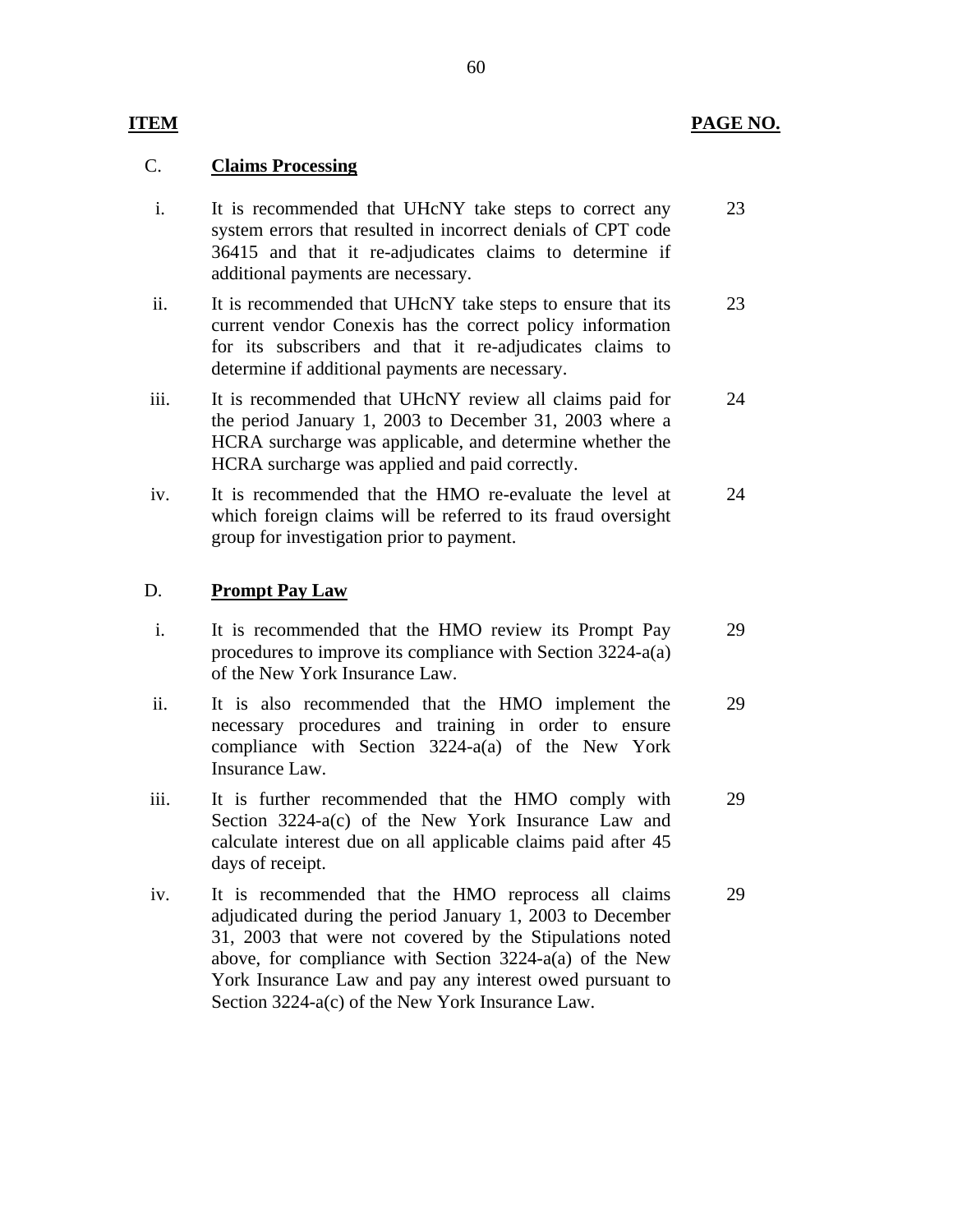## C. **Claims Processing**

| i.   | It is recommended that UHcNY take steps to correct any<br>system errors that resulted in incorrect denials of CPT code<br>36415 and that it re-adjudicates claims to determine if<br>additional payments are necessary.                                                                               | 23 |
|------|-------------------------------------------------------------------------------------------------------------------------------------------------------------------------------------------------------------------------------------------------------------------------------------------------------|----|
| ii.  | It is recommended that UHcNY take steps to ensure that its<br>current vendor Conexis has the correct policy information<br>for its subscribers and that it re-adjudicates claims to<br>determine if additional payments are necessary.                                                                | 23 |
| iii. | It is recommended that UHcNY review all claims paid for<br>the period January 1, 2003 to December 31, 2003 where a<br>HCRA surcharge was applicable, and determine whether the<br>HCRA surcharge was applied and paid correctly.                                                                      | 24 |
| iv.  | It is recommended that the HMO re-evaluate the level at<br>which foreign claims will be referred to its fraud oversight<br>group for investigation prior to payment.                                                                                                                                  | 24 |
| D.   | <b>Prompt Pay Law</b>                                                                                                                                                                                                                                                                                 |    |
| i.   | It is recommended that the HMO review its Prompt Pay<br>procedures to improve its compliance with Section 3224-a(a)<br>of the New York Insurance Law.                                                                                                                                                 | 29 |
| ii.  | It is also recommended that the HMO implement the<br>necessary procedures and training in order to ensure<br>compliance with Section 3224-a(a) of the New York<br>Insurance Law.                                                                                                                      | 29 |
| iii. | It is further recommended that the HMO comply with<br>Section 3224-a(c) of the New York Insurance Law and<br>calculate interest due on all applicable claims paid after 45<br>days of receipt.                                                                                                        | 29 |
| iv.  | It is recommended that the HMO reprocess all claims<br>adjudicated during the period January 1, 2003 to December<br>31, 2003 that were not covered by the Stipulations noted<br>above, for compliance with Section $3224-a(a)$ of the New<br>York Insurance Law and pay any interest owed pursuant to | 29 |

Section 3224-a(c) of the New York Insurance Law.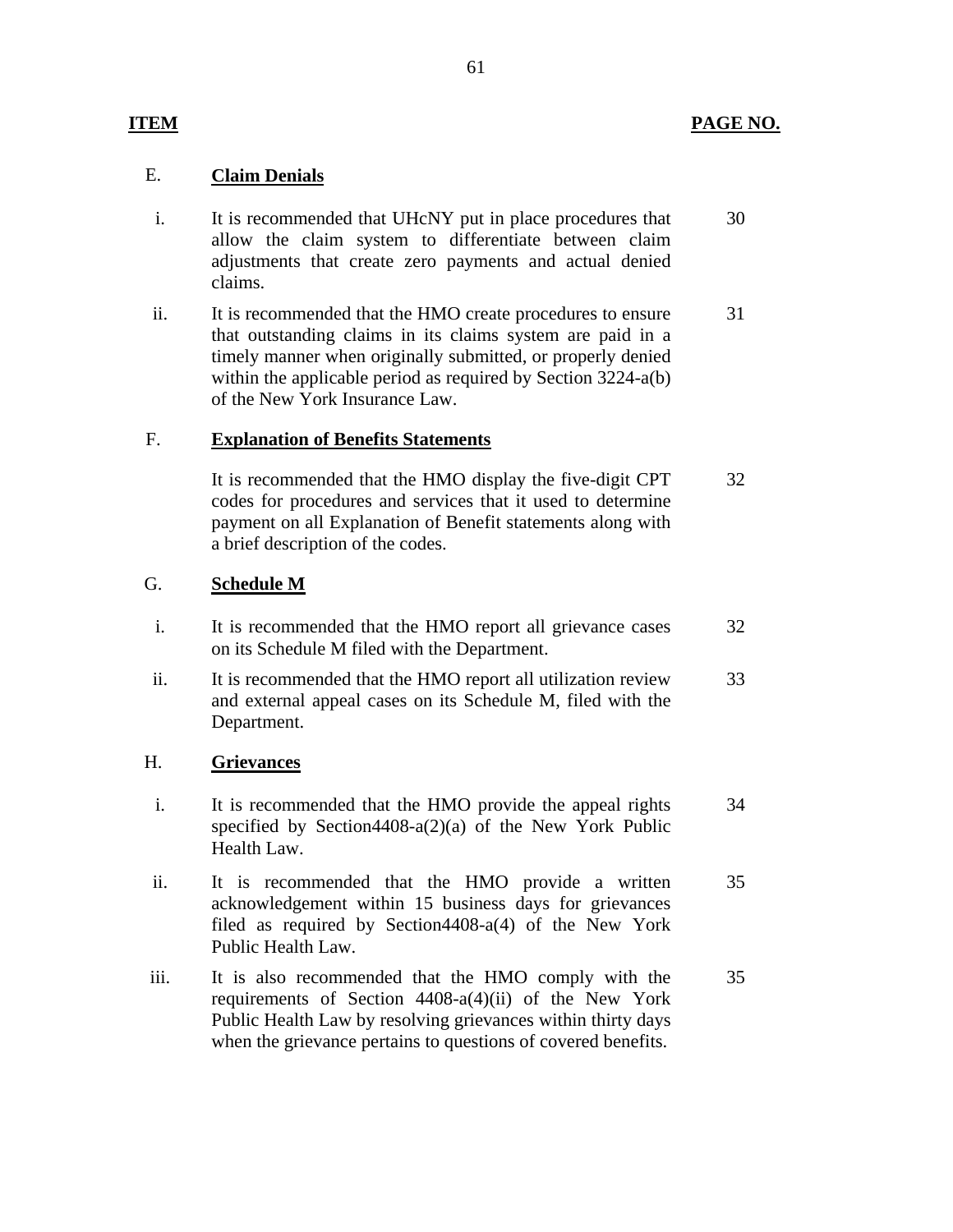## **ITEM PAGE NO.**

## E. **Claim Denials**

- i. It is recommended that UHcNY put in place procedures that allow the claim system to differentiate between claim adjustments that create zero payments and actual denied claims. 30
- ii. It is recommended that the HMO create procedures to ensure that outstanding claims in its claims system are paid in a timely manner when originally submitted, or properly denied within the applicable period as required by Section 3224-a(b) of the New York Insurance Law. 31

## F. **Explanation of Benefits Statements**

It is recommended that the HMO display the five-digit CPT codes for procedures and services that it used to determine payment on all Explanation of Benefit statements along with a brief description of the codes. 32

## G. **Schedule M**

- i. It is recommended that the HMO report all grievance cases on its Schedule M filed with the Department. 32
- ii. It is recommended that the HMO report all utilization review and external appeal cases on its Schedule M, filed with the Department. 33

## H. **Grievances**

- i. It is recommended that the HMO provide the appeal rights specified by Section4408-a(2)(a) of the New York Public Health Law. 34
- ii. It is recommended that the HMO provide a written acknowledgement within 15 business days for grievances filed as required by Section4408-a(4) of the New York Public Health Law. 35
- iii. It is also recommended that the HMO comply with the requirements of Section 4408-a(4)(ii) of the New York Public Health Law by resolving grievances within thirty days when the grievance pertains to questions of covered benefits. 35

61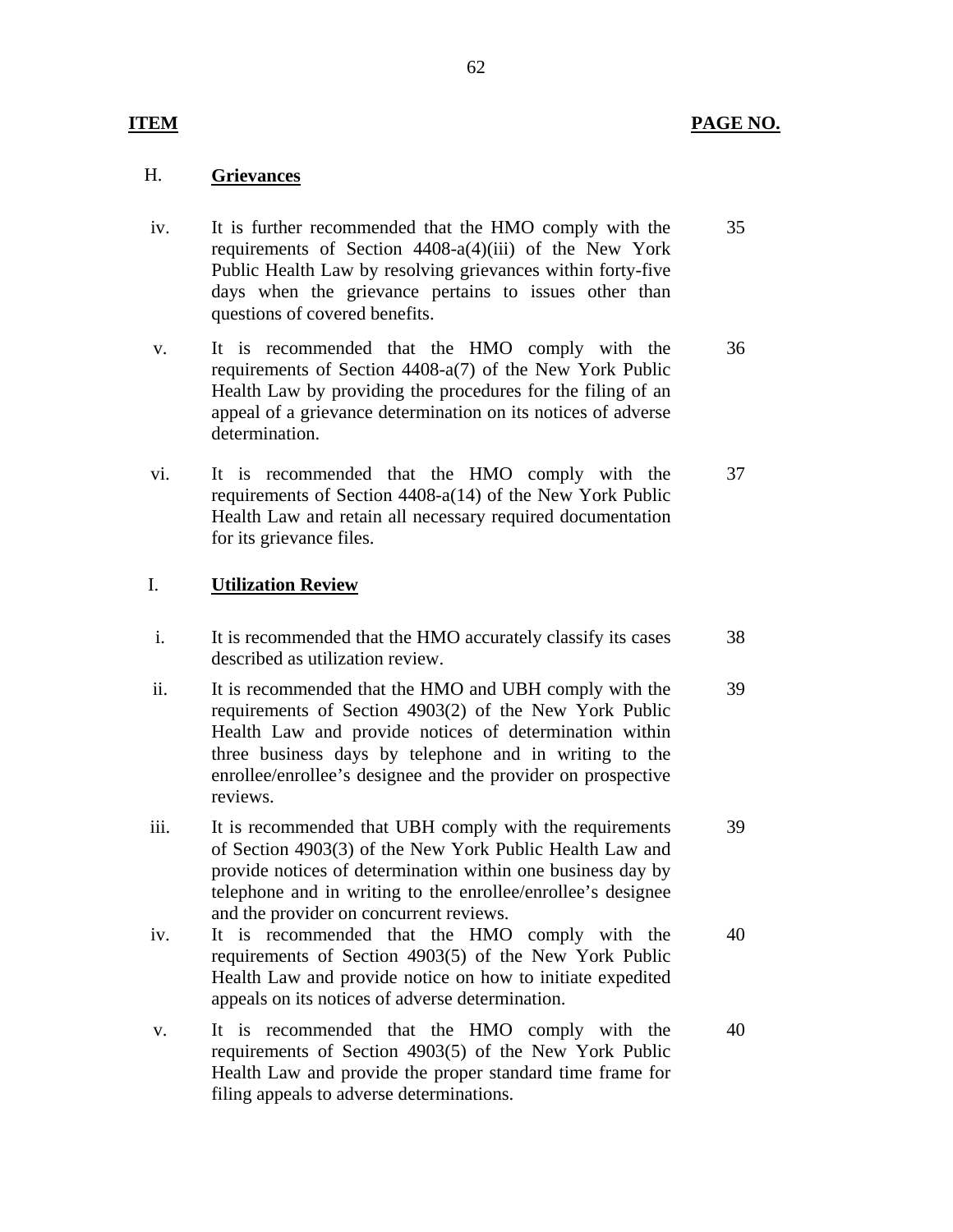## **PAGE NO.**

## H. **Grievances**

**ITEM** 

- iv. It is further recommended that the HMO comply with the requirements of Section 4408-a(4)(iii) of the New York Public Health Law by resolving grievances within forty-five days when the grievance pertains to issues other than questions of covered benefits. 35
- v. It is recommended that the HMO comply with the requirements of Section 4408-a(7) of the New York Public Health Law by providing the procedures for the filing of an appeal of a grievance determination on its notices of adverse determination. 36
- vi. It is recommended that the HMO comply with the requirements of Section 4408-a(14) of the New York Public Health Law and retain all necessary required documentation for its grievance files. 37

## I. **Utilization Review**

- i. It is recommended that the HMO accurately classify its cases described as utilization review. 38
- ii. It is recommended that the HMO and UBH comply with the requirements of Section 4903(2) of the New York Public Health Law and provide notices of determination within three business days by telephone and in writing to the enrollee/enrollee's designee and the provider on prospective reviews. 39
- iii. It is recommended that UBH comply with the requirements of Section 4903(3) of the New York Public Health Law and provide notices of determination within one business day by telephone and in writing to the enrollee/enrollee's designee and the provider on concurrent reviews. 39
- iv. It is recommended that the HMO comply with the requirements of Section 4903(5) of the New York Public Health Law and provide notice on how to initiate expedited appeals on its notices of adverse determination. 40
- v. It is recommended that the HMO comply with the requirements of Section 4903(5) of the New York Public Health Law and provide the proper standard time frame for filing appeals to adverse determinations. 40

### 62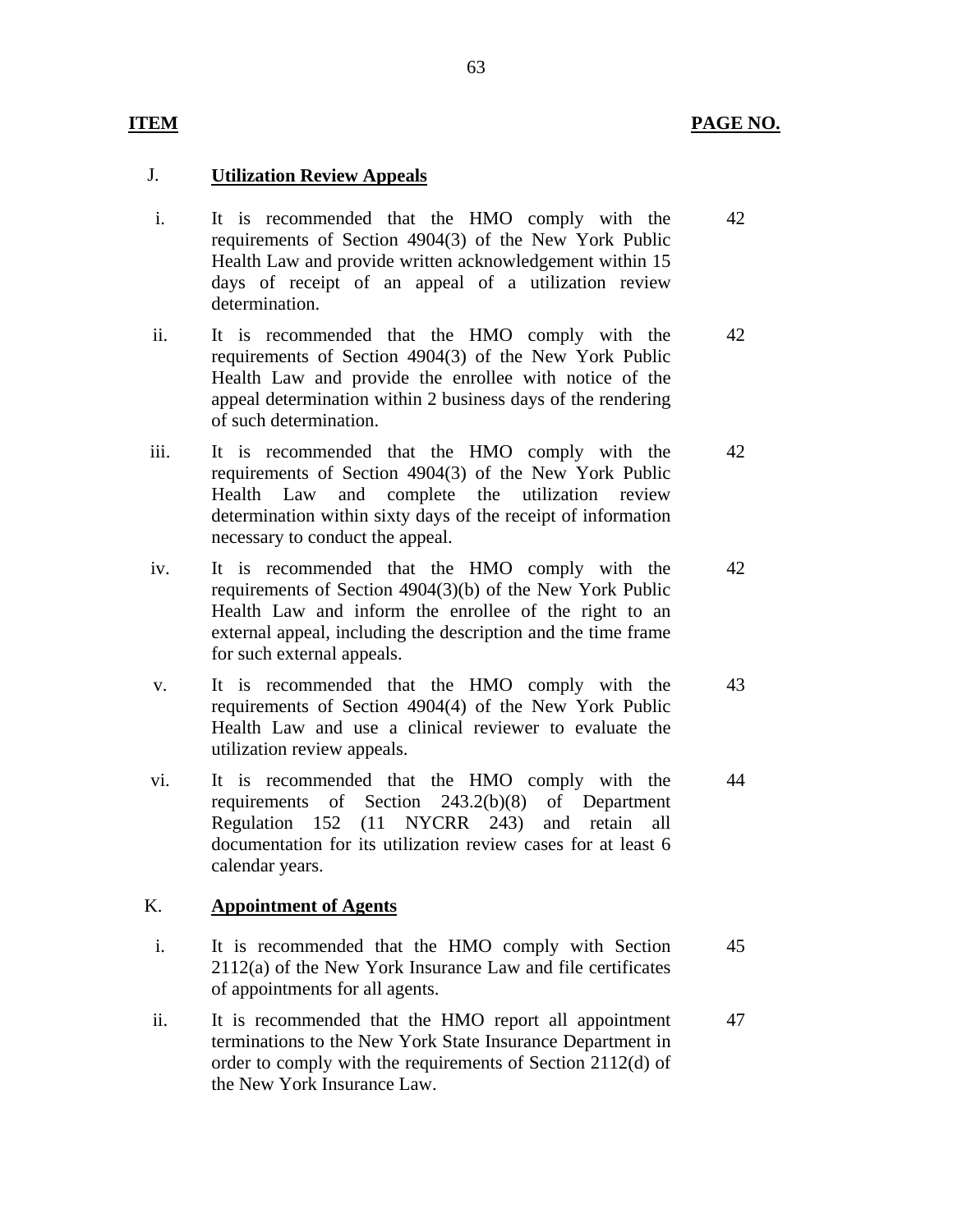## J. **Utilization Review Appeals**

**ITEM** 

- i. It is recommended that the HMO comply with the requirements of Section 4904(3) of the New York Public Health Law and provide written acknowledgement within 15 days of receipt of an appeal of a utilization review determination. 42
- ii. It is recommended that the HMO comply with the requirements of Section 4904(3) of the New York Public Health Law and provide the enrollee with notice of the appeal determination within 2 business days of the rendering of such determination. 42
- iii. It is recommended that the HMO comply with the requirements of Section 4904(3) of the New York Public Health Law and complete the utilization review determination within sixty days of the receipt of information necessary to conduct the appeal. 42
- iv. It is recommended that the HMO comply with the requirements of Section 4904(3)(b) of the New York Public Health Law and inform the enrollee of the right to an external appeal, including the description and the time frame for such external appeals. 42
- v. It is recommended that the HMO comply with the requirements of Section 4904(4) of the New York Public Health Law and use a clinical reviewer to evaluate the 43 utilization review appeals.
- vi. It is recommended that the HMO comply with the requirements of Section 243.2(b)(8) of Department Regulation 152 (11 NYCRR 243) and retain all documentation for its utilization review cases for at least 6 44 calendar years.

## K. **Appointment of Agents**

- i. It is recommended that the HMO comply with Section 2112(a) of the New York Insurance Law and file certificates of appointments for all agents. 45
- ii. It is recommended that the HMO report all appointment terminations to the New York State Insurance Department in order to comply with the requirements of Section 2112(d) of the New York Insurance Law. 47

### 63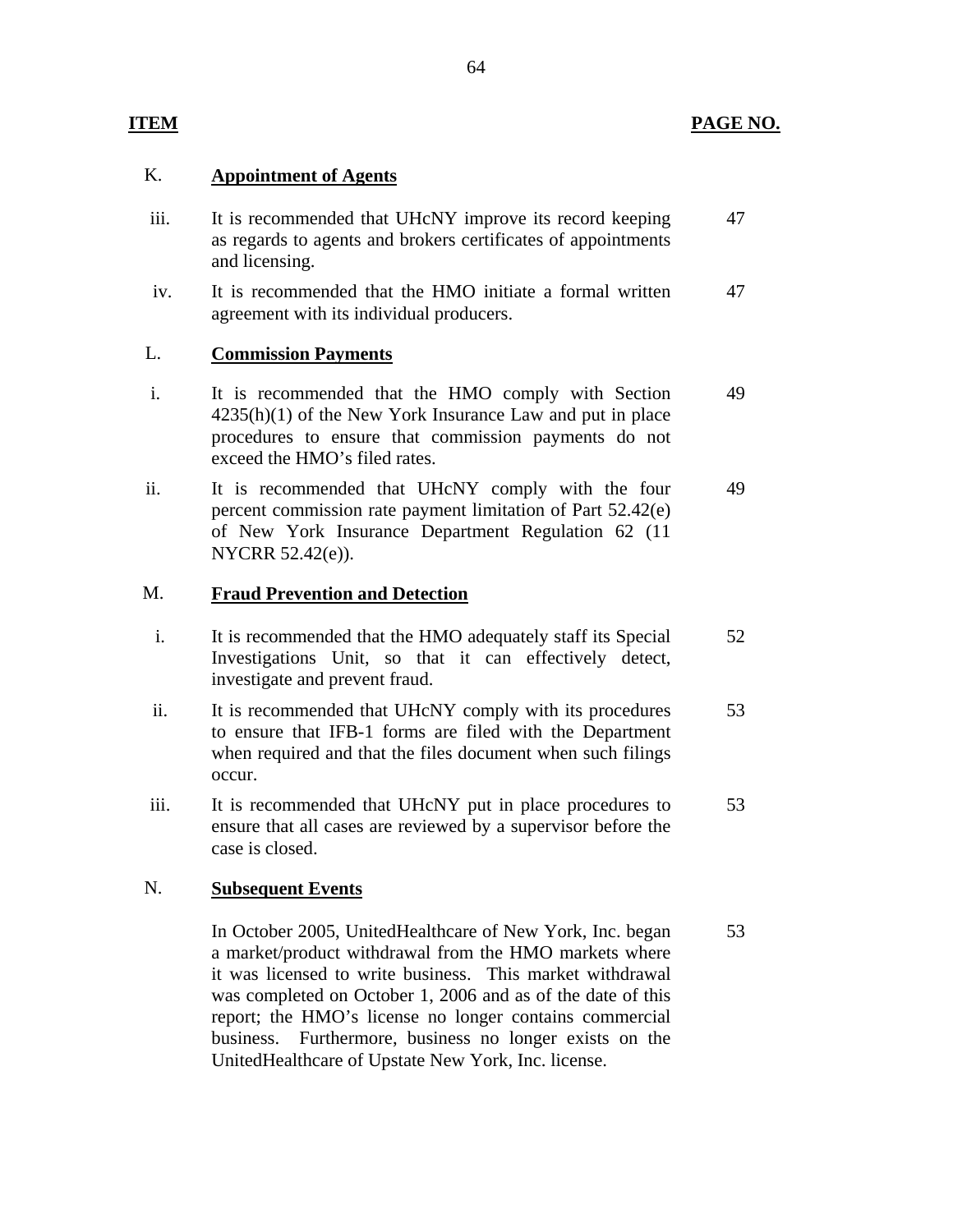## **PAGE NO.**

## K. **Appointment of Agents**

**ITEM** 

- iii. It is recommended that UHcNY improve its record keeping as regards to agents and brokers certificates of appointments and licensing. 47
- iv. It is recommended that the HMO initiate a formal written agreement with its individual producers. 47

## L. **Commission Payments**

- i. It is recommended that the HMO comply with Section  $4235(h)(1)$  of the New York Insurance Law and put in place procedures to ensure that commission payments do not exceed the HMO's filed rates. 49
- ii. It is recommended that UHcNY comply with the four percent commission rate payment limitation of Part 52.42(e) of New York Insurance Department Regulation 62 (11 NYCRR 52.42(e)). 49

## M. **Fraud Prevention and Detection**

- i. It is recommended that the HMO adequately staff its Special Investigations Unit, so that it can effectively detect, investigate and prevent fraud. 52
- ii. It is recommended that UHcNY comply with its procedures to ensure that IFB-1 forms are filed with the Department when required and that the files document when such filings occur. 53
- iii. It is recommended that UHcNY put in place procedures to ensure that all cases are reviewed by a supervisor before the case is closed. 53

## N. **Subsequent Events**

In October 2005, UnitedHealthcare of New York, Inc. began a market/product withdrawal from the HMO markets where it was licensed to write business. This market withdrawal was completed on October 1, 2006 and as of the date of this report; the HMO's license no longer contains commercial business. Furthermore, business no longer exists on the UnitedHealthcare of Upstate New York, Inc. license. 53